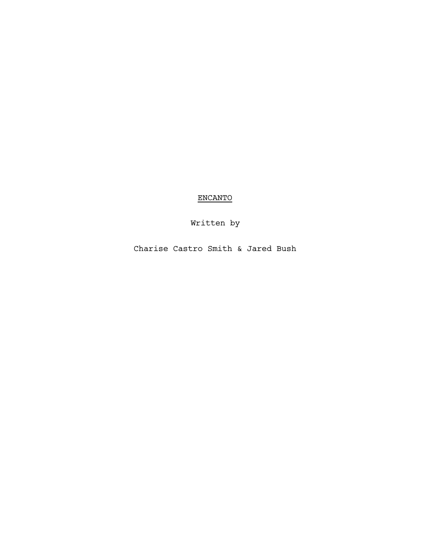ENCANTO

Written by

Charise Castro Smith & Jared Bush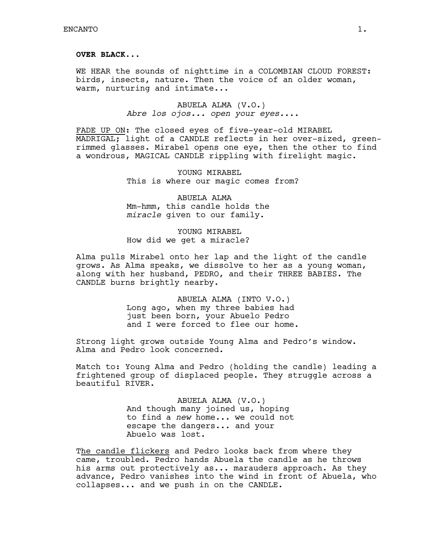## **OVER BLACK...**

WE HEAR the sounds of nighttime in a COLOMBIAN CLOUD FOREST: birds, insects, nature. Then the voice of an older woman, warm, nurturing and intimate...

> ABUELA ALMA (V.O.) *Abre los ojos... open your eyes....*

FADE UP ON: The closed eyes of five-year-old MIRABEL MADRIGAL; light of a CANDLE reflects in her over-sized, greenrimmed glasses. Mirabel opens one eye, then the other to find a wondrous, MAGICAL CANDLE rippling with firelight magic.

> YOUNG MIRABEL This is where our magic comes from?

ABUELA ALMA Mm-hmm, this candle holds the *miracle* given to our family.

YOUNG MIRABEL How did we get a miracle?

Alma pulls Mirabel onto her lap and the light of the candle grows. As Alma speaks, we dissolve to her as a young woman, along with her husband, PEDRO, and their THREE BABIES. The CANDLE burns brightly nearby.

> ABUELA ALMA (INTO V.O.) Long ago, when my three babies had just been born, your Abuelo Pedro and I were forced to flee our home.

Strong light grows outside Young Alma and Pedro's window. Alma and Pedro look concerned.

Match to: Young Alma and Pedro (holding the candle) leading a frightened group of displaced people. They struggle across a beautiful RIVER.

> ABUELA ALMA (V.O.) And though many joined us, hoping to find a *new* home... we could not escape the dangers... and your Abuelo was lost.

The candle flickers and Pedro looks back from where they came, troubled. Pedro hands Abuela the candle as he throws his arms out protectively as... marauders approach. As they advance, Pedro vanishes into the wind in front of Abuela, who collapses... and we push in on the CANDLE.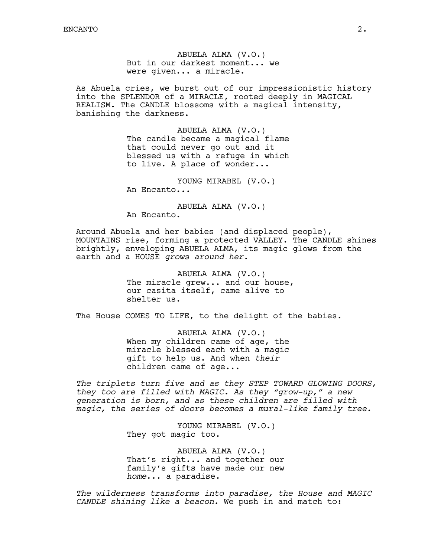ABUELA ALMA (V.O.) But in our darkest moment... we were given... a miracle.

As Abuela cries, we burst out of our impressionistic history into the SPLENDOR of a MIRACLE, rooted deeply in MAGICAL REALISM. The CANDLE blossoms with a magical intensity, banishing the darkness.

> ABUELA ALMA (V.O.) The candle became a magical flame that could never go out and it blessed us with a refuge in which to live. A place of wonder...

YOUNG MIRABEL (V.O.) An Encanto...

ABUELA ALMA (V.O.) An Encanto.

Around Abuela and her babies (and displaced people), MOUNTAINS rise, forming a protected VALLEY. The CANDLE shines brightly, enveloping ABUELA ALMA, its magic glows from the earth and a HOUSE *grows around her.*

> ABUELA ALMA (V.O.) The miracle grew... and our house, our casita itself, came alive to shelter us.

The House COMES TO LIFE, to the delight of the babies.

ABUELA ALMA (V.O.) When my children came of age, the miracle blessed each with a magic gift to help us. And when *their* children came of age...

*The triplets turn five and as they STEP TOWARD GLOWING DOORS, they too are filled with MAGIC. As they "grow-up," a new generation is born, and as these children are filled with magic, the series of doors becomes a mural-like family tree.*

> YOUNG MIRABEL (V.O.) They got magic too.

ABUELA ALMA (V.O.) That's right... and together our family's gifts have made our new *home*... a paradise.

*The wilderness transforms into paradise, the House and MAGIC CANDLE shining like a beacon*. We push in and match to: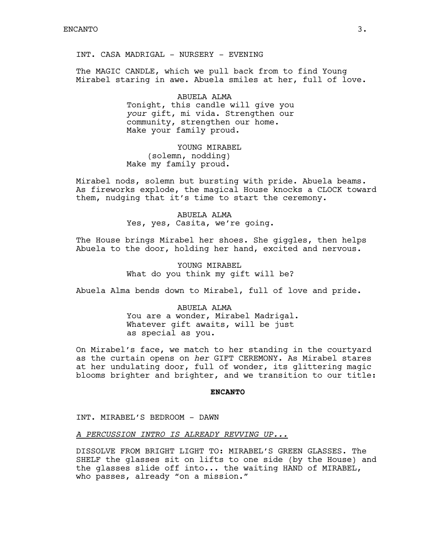INT. CASA MADRIGAL - NURSERY - EVENING

The MAGIC CANDLE, which we pull back from to find Young Mirabel staring in awe. Abuela smiles at her, full of love.

> ABUELA ALMA Tonight, this candle will give you *your* gift, mi vida. Strengthen our community, strengthen our home. Make your family proud.

YOUNG MIRABEL (solemn, nodding) Make my family proud.

Mirabel nods, solemn but bursting with pride. Abuela beams. As fireworks explode, the magical House knocks a CLOCK toward them, nudging that it's time to start the ceremony.

> ABUELA ALMA Yes, yes, Casita, we're going.

The House brings Mirabel her shoes. She giggles, then helps Abuela to the door, holding her hand, excited and nervous.

> YOUNG MIRABEL What do you think my gift will be?

Abuela Alma bends down to Mirabel, full of love and pride.

ABUELA ALMA You are a wonder, Mirabel Madrigal. Whatever gift awaits, will be just as special as you.

On Mirabel's face, we match to her standing in the courtyard as the curtain opens on *her* GIFT CEREMONY. As Mirabel stares at her undulating door, full of wonder, its glittering magic blooms brighter and brighter, and we transition to our title:

#### **ENCANTO**

INT. MIRABEL'S BEDROOM - DAWN

*A PERCUSSION INTRO IS ALREADY REVVING UP...*

DISSOLVE FROM BRIGHT LIGHT TO: MIRABEL'S GREEN GLASSES. The SHELF the glasses sit on lifts to one side (by the House) and the glasses slide off into... the waiting HAND of MIRABEL, who passes, already "on a mission."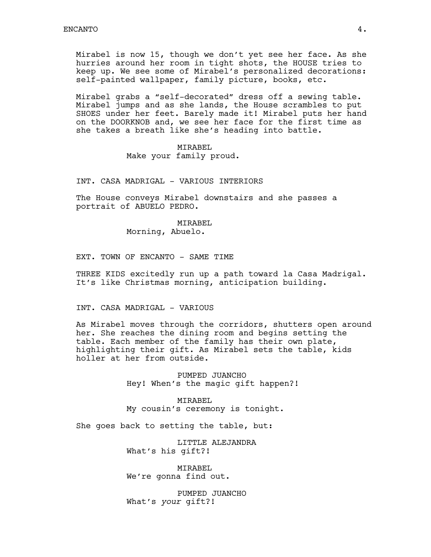Mirabel is now 15, though we don't yet see her face. As she hurries around her room in tight shots, the HOUSE tries to keep up. We see some of Mirabel's personalized decorations: self-painted wallpaper, family picture, books, etc.

Mirabel grabs a "self-decorated" dress off a sewing table. Mirabel jumps and as she lands, the House scrambles to put SHOES under her feet. Barely made it! Mirabel puts her hand on the DOORKNOB and, we see her face for the first time as she takes a breath like she's heading into battle.

> MIRABEL Make your family proud.

INT. CASA MADRIGAL - VARIOUS INTERIORS

The House conveys Mirabel downstairs and she passes a portrait of ABUELO PEDRO.

# MTRABEL

Morning, Abuelo.

EXT. TOWN OF ENCANTO - SAME TIME

THREE KIDS excitedly run up a path toward la Casa Madrigal. It's like Christmas morning, anticipation building.

INT. CASA MADRIGAL - VARIOUS

As Mirabel moves through the corridors, shutters open around her. She reaches the dining room and begins setting the table. Each member of the family has their own plate, highlighting their gift. As Mirabel sets the table, kids holler at her from outside.

> PUMPED JUANCHO Hey! When's the magic gift happen?!

MIRABEL My cousin's ceremony is tonight.

She goes back to setting the table, but:

LITTLE ALEJANDRA What's his gift?!

MIRABEL We're gonna find out.

PUMPED JUANCHO What's *your* gift?!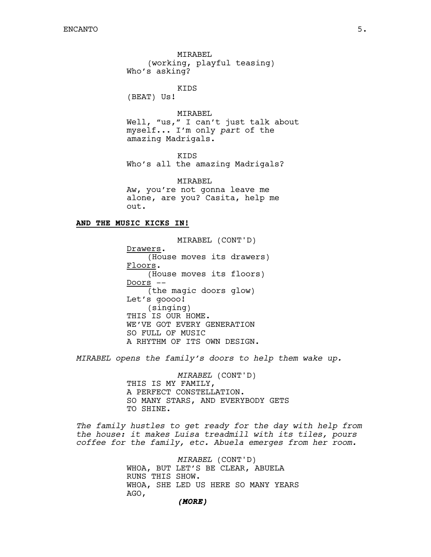MIRABEL (working, playful teasing) Who's asking?

KIDS

(BEAT) Us!

#### MIRABEL

Well, "us," I can't just talk about myself... I'm only *part* of the amazing Madrigals.

KIDS Who's all the amazing Madrigals?

MIRABEL Aw, you're not gonna leave me alone, are you? Casita, help me out.

# **AND THE MUSIC KICKS IN!**

MIRABEL (CONT'D) Drawers. (House moves its drawers) Floors. (House moves its floors) Doors -- (the magic doors glow) Let's goooo! (singing) THIS IS OUR HOME. WE'VE GOT EVERY GENERATION SO FULL OF MUSIC A RHYTHM OF ITS OWN DESIGN.

*MIRABEL opens the family's doors to help them wake up.*

*MIRABEL* (CONT'D) THIS IS MY FAMILY, A PERFECT CONSTELLATION. SO MANY STARS, AND EVERYBODY GETS TO SHINE.

*The family hustles to get ready for the day with help from the house: it makes Luisa treadmill with its tiles, pours coffee for the family, etc. Abuela emerges from her room.*

> *MIRABEL* (CONT'D) WHOA, BUT LET'S BE CLEAR, ABUELA RUNS THIS SHOW. WHOA, SHE LED US HERE SO MANY YEARS AGO,

### *(MORE)*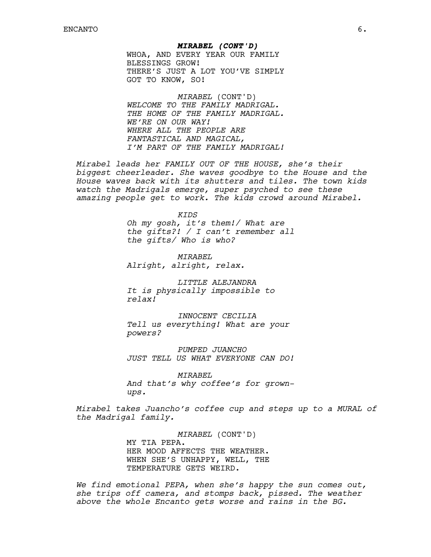## *MIRABEL (CONT'D)*

WHOA, AND EVERY YEAR OUR FAMILY BLESSINGS GROW! THERE'S JUST A LOT YOU'VE SIMPLY GOT TO KNOW, SO!

*MIRABEL* (CONT'D) *WELCOME TO THE FAMILY MADRIGAL. THE HOME OF THE FAMILY MADRIGAL. WE'RE ON OUR WAY! WHERE ALL THE PEOPLE ARE FANTASTICAL AND MAGICAL, I'M PART OF THE FAMILY MADRIGAL!*

*Mirabel leads her FAMILY OUT OF THE HOUSE, she's their biggest cheerleader. She waves goodbye to the House and the House waves back with its shutters and tiles. The town kids watch the Madrigals emerge, super psyched to see these amazing people get to work. The kids crowd around Mirabel.*

#### *KIDS*

*Oh my gosh, it's them!/ What are the gifts?! / I can't remember all the gifts/ Who is who?* 

*MIRABEL Alright, alright, relax.*

*LITTLE ALEJANDRA It is physically impossible to relax!*

*INNOCENT CECILIA Tell us everything! What are your powers?*

*PUMPED JUANCHO JUST TELL US WHAT EVERYONE CAN DO!*

*MIRABEL And that's why coffee's for grownups.*

*Mirabel takes Juancho's coffee cup and steps up to a MURAL of the Madrigal family.*

> *MIRABEL* (CONT'D) MY TIA PEPA. HER MOOD AFFECTS THE WEATHER. WHEN SHE'S UNHAPPY, WELL, THE TEMPERATURE GETS WEIRD.

*We find emotional PEPA, when she's happy the sun comes out, she trips off camera, and stomps back, pissed. The weather above the whole Encanto gets worse and rains in the BG.*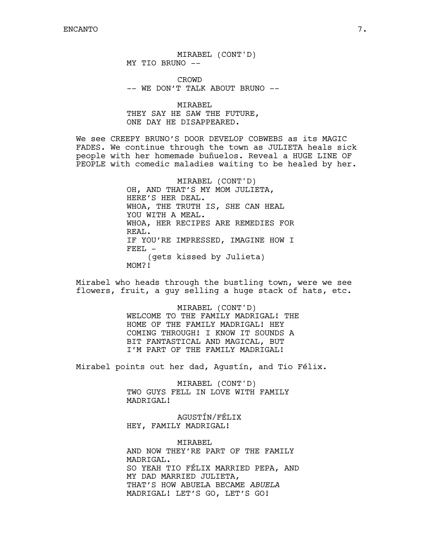MIRABEL (CONT'D) MY TIO BRUNO --

CROWD -- WE DON'T TALK ABOUT BRUNO --

MIRABEL THEY SAY HE SAW THE FUTURE, ONE DAY HE DISAPPEARED.

We see CREEPY BRUNO'S DOOR DEVELOP COBWEBS as its MAGIC FADES. We continue through the town as JULIETA heals sick people with her homemade buñuelos. Reveal a HUGE LINE OF PEOPLE with comedic maladies waiting to be healed by her.

> MIRABEL (CONT'D) OH, AND THAT'S MY MOM JULIETA, HERE'S HER DEAL. WHOA, THE TRUTH IS, SHE CAN HEAL YOU WITH A MEAL. WHOA, HER RECIPES ARE REMEDIES FOR REAL. IF YOU'RE IMPRESSED, IMAGINE HOW I  $FEEL -$ (gets kissed by Julieta) MOM?!

Mirabel who heads through the bustling town, were we see flowers, fruit, a guy selling a huge stack of hats, etc.

> MIRABEL (CONT'D) WELCOME TO THE FAMILY MADRIGAL! THE HOME OF THE FAMILY MADRIGAL! HEY COMING THROUGH! I KNOW IT SOUNDS A BIT FANTASTICAL AND MAGICAL, BUT I'M PART OF THE FAMILY MADRIGAL!

Mirabel points out her dad, Agustín, and Tio Félix.

MIRABEL (CONT'D) TWO GUYS FELL IN LOVE WITH FAMILY MADRIGAL!

AGUSTÍN/FÉLIX HEY, FAMILY MADRIGAL!

MTRABEL, AND NOW THEY'RE PART OF THE FAMILY MADRIGAL. SO YEAH TIO FÉLIX MARRIED PEPA, AND MY DAD MARRIED JULIETA, THAT'S HOW ABUELA BECAME *ABUELA* MADRIGAL! LET'S GO, LET'S GO!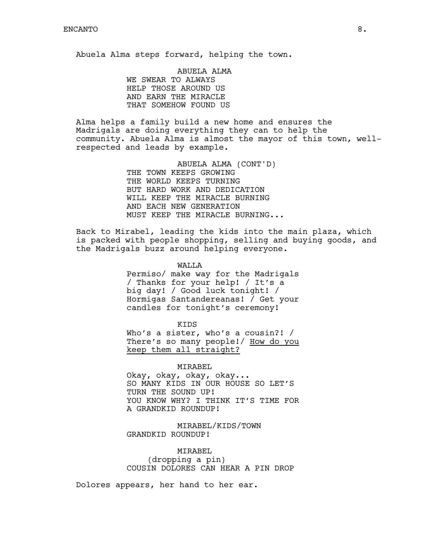Abuela Alma steps forward, helping the town.

ABUELA ALMA

WE SWEAR TO ALWAYS HELP THOSE AROUND US AND EARN THE MIRACLE THAT SOMEHOW FOUND US

Alma helps a family build a new home and ensures the Madrigals are doing everything they can to help the community. Abuela Alma is almost the mayor of this town, wellrespected and leads by example.

> ABUELA ALMA (CONT'D) THE TOWN KEEPS GROWING THE WORLD KEEPS TURNING BUT HARD WORK AND DEDICATION WILL KEEP THE MIRACLE BURNING AND EACH NEW GENERATION MUST KEEP THE MIRACLE BURNING...

Back to Mirabel, leading the kids into the main plaza, which is packed with people shopping, selling and buying goods, and the Madrigals buzz around helping everyone.

WAT.T.A

Permiso/ make way for the Madrigals / Thanks for your help! / It's a big day! / Good luck tonight! / Hormigas Santandereanas! / Get your candles for tonight's ceremony!

KIDS

Who's a sister, who's a cousin?! / There's so many people!/ How do you keep them all straight?

MIRABEL

Okay, okay, okay, okay... SO MANY KIDS IN OUR HOUSE SO LET'S TURN THE SOUND UP! YOU KNOW WHY? I THINK IT'S TIME FOR A GRANDKID ROUNDUP!

MIRABEL/KIDS/TOWN GRANDKID ROUNDUP!

MIRABEL (dropping a pin) COUSIN DOLORES CAN HEAR A PIN DROP

Dolores appears, her hand to her ear.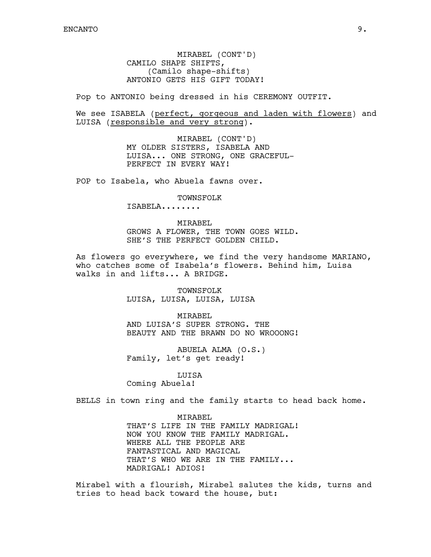MIRABEL (CONT'D) CAMILO SHAPE SHIFTS, (Camilo shape-shifts) ANTONIO GETS HIS GIFT TODAY!

Pop to ANTONIO being dressed in his CEREMONY OUTFIT.

We see ISABELA (perfect, gorgeous and laden with flowers) and LUISA (responsible and very strong).

> MIRABEL (CONT'D) MY OLDER SISTERS, ISABELA AND LUISA... ONE STRONG, ONE GRACEFUL-PERFECT IN EVERY WAY!

POP to Isabela, who Abuela fawns over.

TOWNSFOLK

ISABELA........

MTRABEL, GROWS A FLOWER, THE TOWN GOES WILD. SHE'S THE PERFECT GOLDEN CHILD.

As flowers go everywhere, we find the very handsome MARIANO, who catches some of Isabela's flowers. Behind him, Luisa walks in and lifts... A BRIDGE.

> TOWNSFOLK LUISA, LUISA, LUISA, LUISA

MTRABEL, AND LUISA'S SUPER STRONG. THE BEAUTY AND THE BRAWN DO NO WROOONG!

ABUELA ALMA (O.S.) Family, let's get ready!

# LUISA

Coming Abuela!

BELLS in town ring and the family starts to head back home.

#### MIRABEL

THAT'S LIFE IN THE FAMILY MADRIGAL! NOW YOU KNOW THE FAMILY MADRIGAL. WHERE ALL THE PEOPLE ARE FANTASTICAL AND MAGICAL THAT'S WHO WE ARE IN THE FAMILY... MADRIGAL! ADIOS!

Mirabel with a flourish, Mirabel salutes the kids, turns and tries to head back toward the house, but: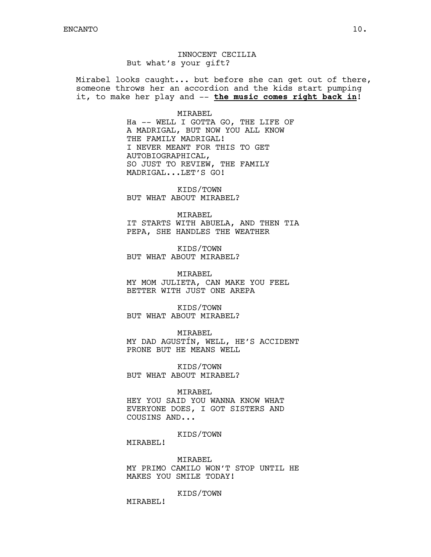INNOCENT CECILIA But what's your gift?

Mirabel looks caught... but before she can get out of there, someone throws her an accordion and the kids start pumping it, to make her play and -- **the music comes right back in**!

#### MIRABEL

Ha -- WELL I GOTTA GO, THE LIFE OF A MADRIGAL, BUT NOW YOU ALL KNOW THE FAMILY MADRIGAL! I NEVER MEANT FOR THIS TO GET AUTOBIOGRAPHICAL, SO JUST TO REVIEW, THE FAMILY MADRIGAL...LET'S GO!

KIDS/TOWN BUT WHAT ABOUT MIRABEL?

#### MIRABEL

IT STARTS WITH ABUELA, AND THEN TIA PEPA, SHE HANDLES THE WEATHER

KIDS/TOWN BUT WHAT ABOUT MIRABEL?

MIRABEL MY MOM JULIETA, CAN MAKE YOU FEEL BETTER WITH JUST ONE AREPA

KIDS/TOWN BUT WHAT ABOUT MIRABEL?

MIRABEL

MY DAD AGUSTÍN, WELL, HE'S ACCIDENT PRONE BUT HE MEANS WELL

KIDS/TOWN BUT WHAT ABOUT MIRABEL?

#### MIRABEL

HEY YOU SAID YOU WANNA KNOW WHAT EVERYONE DOES, I GOT SISTERS AND COUSINS AND...

KIDS/TOWN

MIRABEL!

MIRABEL MY PRIMO CAMILO WON'T STOP UNTIL HE MAKES YOU SMILE TODAY!

KIDS/TOWN

MIRABEL!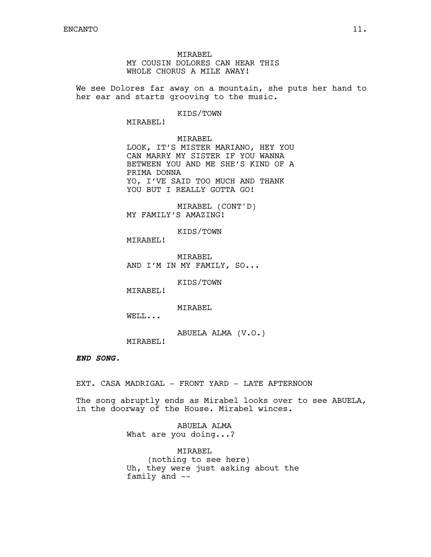MTRABEL MY COUSIN DOLORES CAN HEAR THIS WHOLE CHORUS A MILE AWAY!

We see Dolores far away on a mountain, she puts her hand to her ear and starts grooving to the music.

KIDS/TOWN

MIRABEL!

MIRABEL LOOK, IT'S MISTER MARIANO, HEY YOU CAN MARRY MY SISTER IF YOU WANNA BETWEEN YOU AND ME SHE'S KIND OF A PRIMA DONNA YO, I'VE SAID TOO MUCH AND THANK YOU BUT I REALLY GOTTA GO!

MIRABEL (CONT'D) MY FAMILY'S AMAZING!

KIDS/TOWN

MIRABEL!

MIRABEL AND I'M IN MY FAMILY, SO...

KIDS/TOWN

MIRABEL!

MIRABEL

WELL...

ABUELA ALMA (V.O.)

MIRABEL!

*END SONG.*

EXT. CASA MADRIGAL - FRONT YARD - LATE AFTERNOON

The song abruptly ends as Mirabel looks over to see ABUELA, in the doorway of the House. Mirabel winces.

> ABUELA ALMA What are you doing...?

MIRABEL (nothing to see here) Uh, they were just asking about the family and --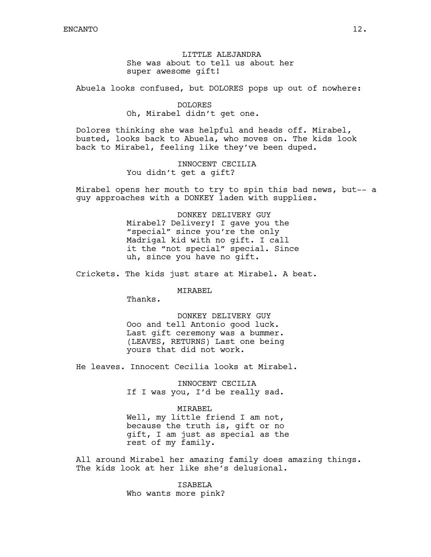LITTLE ALEJANDRA She was about to tell us about her super awesome gift!

Abuela looks confused, but DOLORES pops up out of nowhere:

DOLORES Oh, Mirabel didn't get one.

Dolores thinking she was helpful and heads off. Mirabel, busted, looks back to Abuela, who moves on. The kids look back to Mirabel, feeling like they've been duped.

> INNOCENT CECILIA You didn't get a gift?

Mirabel opens her mouth to try to spin this bad news, but-- a guy approaches with a DONKEY laden with supplies.

> DONKEY DELIVERY GUY Mirabel? Delivery! I gave you the "special" since you're the only Madrigal kid with no gift. I call it the "not special" special. Since uh, since you have no gift.

Crickets. The kids just stare at Mirabel. A beat.

MIRABEL

Thanks.

DONKEY DELIVERY GUY Ooo and tell Antonio good luck. Last gift ceremony was a bummer. (LEAVES, RETURNS) Last one being yours that did not work.

He leaves. Innocent Cecilia looks at Mirabel.

INNOCENT CECILIA If I was you, I'd be really sad.

MIRABEL Well, my little friend I am not, because the truth is, gift or no gift, I am just as special as the rest of my family.

All around Mirabel her amazing family does amazing things. The kids look at her like she's delusional.

> ISABELA Who wants more pink?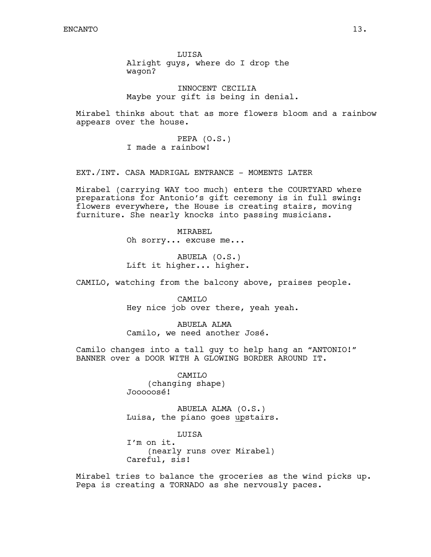**LUISA** Alright guys, where do I drop the wagon?

INNOCENT CECILIA Maybe your gift is being in denial.

Mirabel thinks about that as more flowers bloom and a rainbow appears over the house.

> PEPA (O.S.) I made a rainbow!

EXT./INT. CASA MADRIGAL ENTRANCE - MOMENTS LATER

Mirabel (carrying WAY too much) enters the COURTYARD where preparations for Antonio's gift ceremony is in full swing: flowers everywhere, the House is creating stairs, moving furniture. She nearly knocks into passing musicians.

> MIRABEL Oh sorry... excuse me...

ABUELA (O.S.) Lift it higher... higher.

CAMILO, watching from the balcony above, praises people.

CAMILO Hey nice job over there, yeah yeah.

ABUELA ALMA Camilo, we need another José.

Camilo changes into a tall guy to help hang an "ANTONIO!" BANNER over a DOOR WITH A GLOWING BORDER AROUND IT.

> CAMILO (changing shape) Jooooosé!

ABUELA ALMA (O.S.) Luisa, the piano goes upstairs.

LUISA I'm on it. (nearly runs over Mirabel) Careful, sis!

Mirabel tries to balance the groceries as the wind picks up. Pepa is creating a TORNADO as she nervously paces.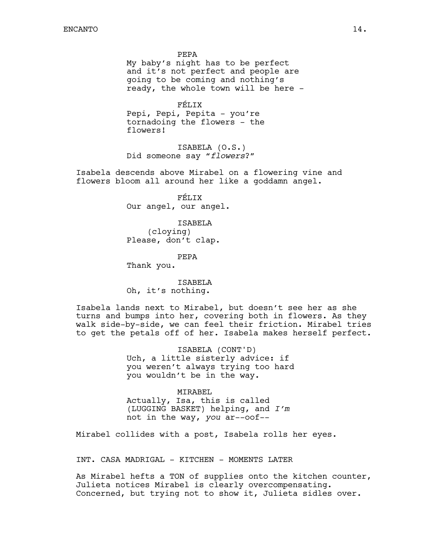PEPA My baby's night has to be perfect and it's not perfect and people are going to be coming and nothing's ready, the whole town will be here -

FÉLIX Pepi, Pepi, Pepita - you're tornadoing the flowers - the flowers!

ISABELA (O.S.) Did someone say "*flowers*?"

Isabela descends above Mirabel on a flowering vine and flowers bloom all around her like a goddamn angel.

> FÉLIX Our angel, our angel.

ISABELA (cloying) Please, don't clap.

PEPA

Thank you.

ISABELA Oh, it's nothing.

Isabela lands next to Mirabel, but doesn't see her as she turns and bumps into her, covering both in flowers. As they walk side-by-side, we can feel their friction. Mirabel tries to get the petals off of her. Isabela makes herself perfect.

> ISABELA (CONT'D) Uch, a little sisterly advice: if you weren't always trying too hard you wouldn't be in the way.

MIRABEL Actually, Isa, this is called (LUGGING BASKET) helping, and *I'm* not in the way, *you* ar--oof--

Mirabel collides with a post, Isabela rolls her eyes.

INT. CASA MADRIGAL - KITCHEN - MOMENTS LATER

As Mirabel hefts a TON of supplies onto the kitchen counter, Julieta notices Mirabel is clearly overcompensating. Concerned, but trying not to show it, Julieta sidles over.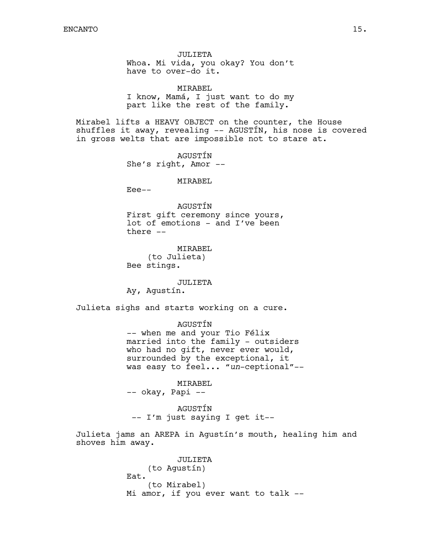JULIETA Whoa. Mi vida, you okay? You don't have to over-do it.

MIRABEL I know, Mamá, I just want to do my part like the rest of the family.

Mirabel lifts a HEAVY OBJECT on the counter, the House shuffles it away, revealing -- AGUSTÍN, his nose is covered in gross welts that are impossible not to stare at.

> AGUSTÍN She's right, Amor --

> > MIRABEL

Eee--

AGUSTÍN First gift ceremony since yours, lot of emotions - and I've been there --

MIRABEL (to Julieta) Bee stings.

JULIETA Ay, Agustín.

Julieta sighs and starts working on a cure.

AGUSTÍN -- when me and your Tio Félix married into the family - outsiders who had no gift, never ever would, surrounded by the exceptional, it was easy to feel... "*un*-ceptional"--

MIRABEL -- okay, Papi --

AGUSTÍN -- I'm just saying I get it--

Julieta jams an AREPA in Agustín's mouth, healing him and shoves him away.

> JULIETA (to Agustín) Eat. (to Mirabel) Mi amor, if you ever want to talk --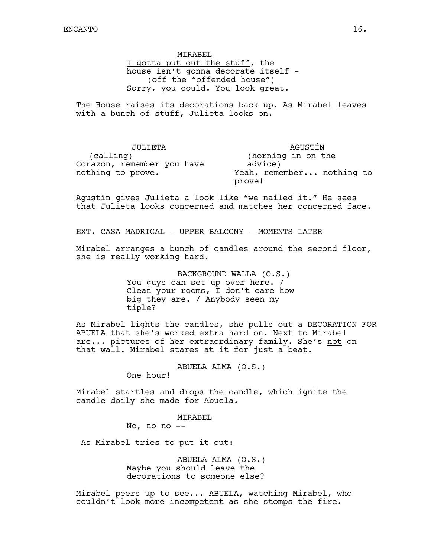MTRABEL.

I gotta put out the stuff, the house isn't gonna decorate itself - (off the "offended house") Sorry, you could. You look great.

The House raises its decorations back up. As Mirabel leaves with a bunch of stuff, Julieta looks on.

| JULTETA.                   | AGUSTIN                   |
|----------------------------|---------------------------|
| (calling)                  | (horning in on the        |
| Corazon, remember you have | advice)                   |
| nothing to prove.          | Yeah, remember nothing to |
|                            | prove!                    |

Agustín gives Julieta a look like "we nailed it." He sees that Julieta looks concerned and matches her concerned face.

EXT. CASA MADRIGAL - UPPER BALCONY - MOMENTS LATER

Mirabel arranges a bunch of candles around the second floor, she is really working hard.

> BACKGROUND WALLA (O.S.) You guys can set up over here. / Clean your rooms, I don't care how big they are. / Anybody seen my tiple?

As Mirabel lights the candles, she pulls out a DECORATION FOR ABUELA that she's worked extra hard on. Next to Mirabel are... pictures of her extraordinary family. She's not on that wall. Mirabel stares at it for just a beat.

ABUELA ALMA (O.S.)

One hour!

Mirabel startles and drops the candle, which ignite the candle doily she made for Abuela.

MIRABEL

No, no no  $--$ 

As Mirabel tries to put it out:

ABUELA ALMA (O.S.) Maybe you should leave the decorations to someone else?

Mirabel peers up to see... ABUELA, watching Mirabel, who couldn't look more incompetent as she stomps the fire.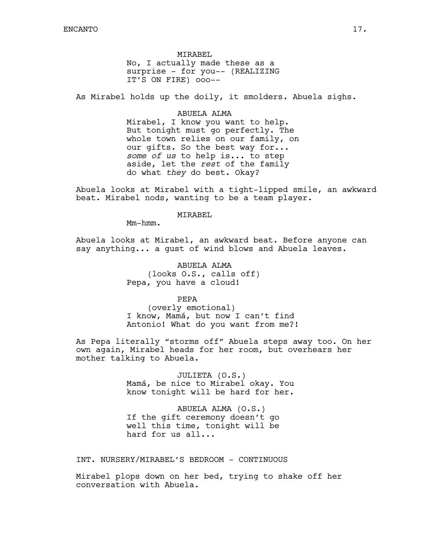MTRABEL No, I actually made these as a surprise - for you-- (REALIZING IT'S ON FIRE) ooo--

As Mirabel holds up the doily, it smolders. Abuela sighs.

#### ABUELA ALMA

Mirabel, I know you want to help. But tonight must go perfectly. The whole town relies on our family, on our gifts. So the best way for... *some of us* to help is... to step aside, let the *rest* of the family do what *they* do best. Okay?

Abuela looks at Mirabel with a tight-lipped smile, an awkward beat. Mirabel nods, wanting to be a team player.

## MIRABEL

Mm-hmm.

Abuela looks at Mirabel, an awkward beat. Before anyone can say anything... a gust of wind blows and Abuela leaves.

> ABUELA ALMA (looks O.S., calls off) Pepa, you have a cloud!

> > PEPA

(overly emotional) I know, Mamá, but now I can't find Antonio! What do you want from me?!

As Pepa literally "storms off" Abuela steps away too. On her own again, Mirabel heads for her room, but overhears her mother talking to Abuela.

> JULIETA (O.S.) Mamá, be nice to Mirabel okay. You know tonight will be hard for her.

ABUELA ALMA (O.S.) If the gift ceremony doesn't go well this time, tonight will be hard for us all...

INT. NURSERY/MIRABEL'S BEDROOM - CONTINUOUS

Mirabel plops down on her bed, trying to shake off her conversation with Abuela.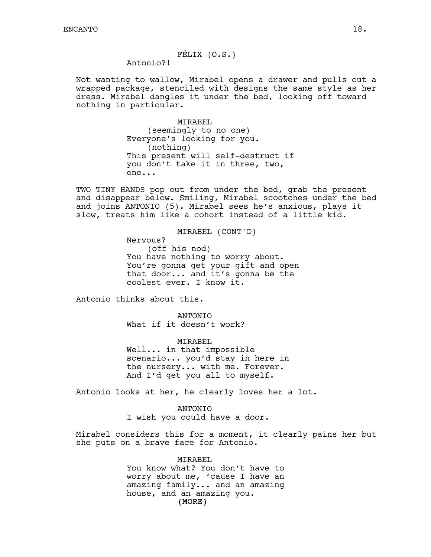FÉLIX (O.S.) Antonio?!

Not wanting to wallow, Mirabel opens a drawer and pulls out a wrapped package, stenciled with designs the same style as her dress. Mirabel dangles it under the bed, looking off toward nothing in particular.

> MIRABEL (seemingly to no one) Everyone's looking for you. (nothing) This present will self-destruct if you don't take it in three, two, one...

TWO TINY HANDS pop out from under the bed, grab the present and disappear below. Smiling, Mirabel scootches under the bed and joins ANTONIO (5). Mirabel sees he's anxious, plays it slow, treats him like a cohort instead of a little kid.

MIRABEL (CONT'D)

Nervous? (off his nod) You have nothing to worry about. You're gonna get your gift and open that door... and it's gonna be the coolest ever. I know it.

Antonio thinks about this.

ANTONIO What if it doesn't work?

MIRABEL Well... in that impossible scenario... you'd stay in here in the nursery... with me. Forever. And I'd get you all to myself.

Antonio looks at her, he clearly loves her a lot.

ANTONIO I wish you could have a door.

Mirabel considers this for a moment, it clearly pains her but she puts on a brave face for Antonio.

> (MORE) MTRABEL You know what? You don't have to worry about me, 'cause I have an amazing family... and an amazing house, and an amazing you.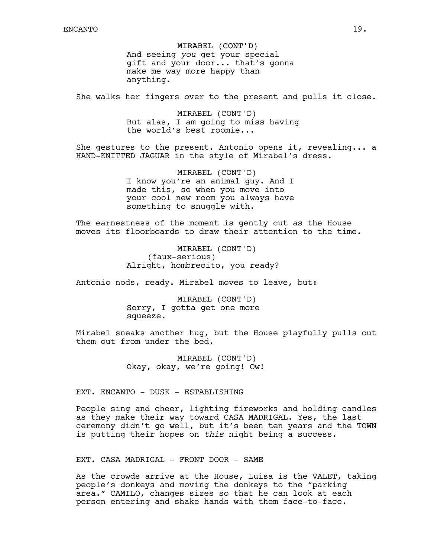MIRABEL (CONT'D) And seeing *you* get your special gift and your door... that's gonna make me way more happy than anything.

She walks her fingers over to the present and pulls it close.

MIRABEL (CONT'D) But alas, I am going to miss having the world's best roomie...

She gestures to the present. Antonio opens it, revealing... a HAND-KNITTED JAGUAR in the style of Mirabel's dress.

> MIRABEL (CONT'D) I know you're an animal guy. And I made this, so when you move into your cool new room you always have something to snuggle with.

The earnestness of the moment is gently cut as the House moves its floorboards to draw their attention to the time.

> MIRABEL (CONT'D) (faux-serious) Alright, hombrecito, you ready?

Antonio nods, ready. Mirabel moves to leave, but:

MIRABEL (CONT'D) Sorry, I gotta get one more squeeze.

Mirabel sneaks another hug, but the House playfully pulls out them out from under the bed.

> MIRABEL (CONT'D) Okay, okay, we're going! Ow!

EXT. ENCANTO - DUSK - ESTABLISHING

People sing and cheer, lighting fireworks and holding candles as they make their way toward CASA MADRIGAL. Yes, the last ceremony didn't go well, but it's been ten years and the TOWN is putting their hopes on *this* night being a success.

EXT. CASA MADRIGAL - FRONT DOOR - SAME

As the crowds arrive at the House, Luisa is the VALET, taking people's donkeys and moving the donkeys to the "parking area." CAMILO, changes sizes so that he can look at each person entering and shake hands with them face-to-face.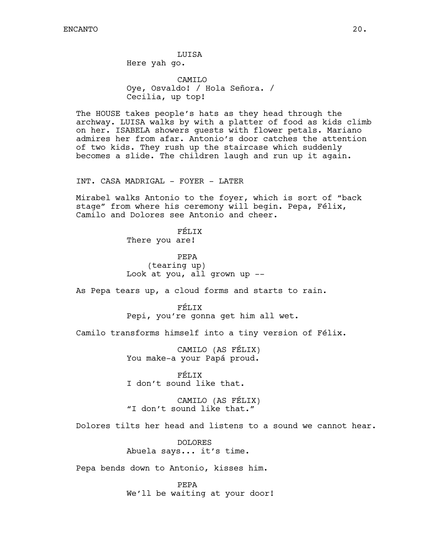LUISA Here yah go.

CAMILO Oye, Osvaldo! / Hola Señora. / Cecilia, up top!

The HOUSE takes people's hats as they head through the archway. LUISA walks by with a platter of food as kids climb on her. ISABELA showers guests with flower petals. Mariano admires her from afar. Antonio's door catches the attention of two kids. They rush up the staircase which suddenly becomes a slide. The children laugh and run up it again.

INT. CASA MADRIGAL - FOYER - LATER

Mirabel walks Antonio to the foyer, which is sort of "back stage" from where his ceremony will begin. Pepa, Félix, Camilo and Dolores see Antonio and cheer.

> FÉLIX There you are!

PEPA (tearing up) Look at you, all grown up --

As Pepa tears up, a cloud forms and starts to rain.

FÉLIX Pepi, you're gonna get him all wet.

Camilo transforms himself into a tiny version of Félix.

CAMILO (AS FÉLIX) You make-a your Papá proud.

FÉLIX I don't sound like that.

CAMILO (AS FÉLIX) "I don't sound like that."

Dolores tilts her head and listens to a sound we cannot hear.

DOLORES Abuela says... it's time.

Pepa bends down to Antonio, kisses him.

PEPA We'll be waiting at your door!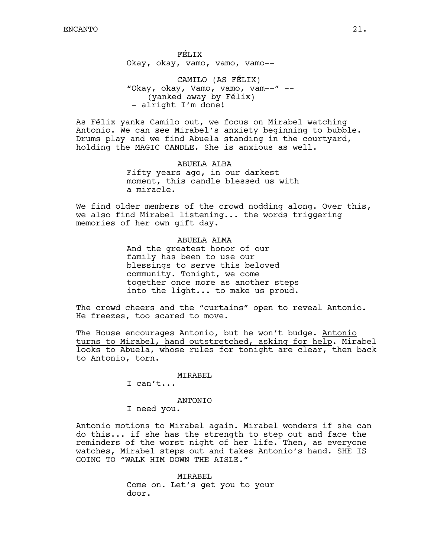FÉLIX Okay, okay, vamo, vamo, vamo--

CAMILO (AS FÉLIX) "Okay, okay, Vamo, vamo, vam--" -- (yanked away by Félix) - alright I'm done!

As Félix yanks Camilo out, we focus on Mirabel watching Antonio. We can see Mirabel's anxiety beginning to bubble. Drums play and we find Abuela standing in the courtyard, holding the MAGIC CANDLE. She is anxious as well.

> ABUELA ALBA Fifty years ago, in our darkest moment, this candle blessed us with a miracle.

We find older members of the crowd nodding along. Over this, we also find Mirabel listening... the words triggering memories of her own gift day.

# ABUELA ALMA

And the greatest honor of our family has been to use our blessings to serve this beloved community. Tonight, we come together once more as another steps into the light... to make us proud.

The crowd cheers and the "curtains" open to reveal Antonio. He freezes, too scared to move.

The House encourages Antonio, but he won't budge. Antonio turns to Mirabel, hand outstretched, asking for help. Mirabel looks to Abuela, whose rules for tonight are clear, then back to Antonio, torn.

### MIRABEL

I can't...

### ANTONIO

I need you.

Antonio motions to Mirabel again. Mirabel wonders if she can do this... if she has the strength to step out and face the reminders of the worst night of her life. Then, as everyone watches, Mirabel steps out and takes Antonio's hand. SHE IS GOING TO "WALK HIM DOWN THE AISLE."

> MIRABEL Come on. Let's get you to your door.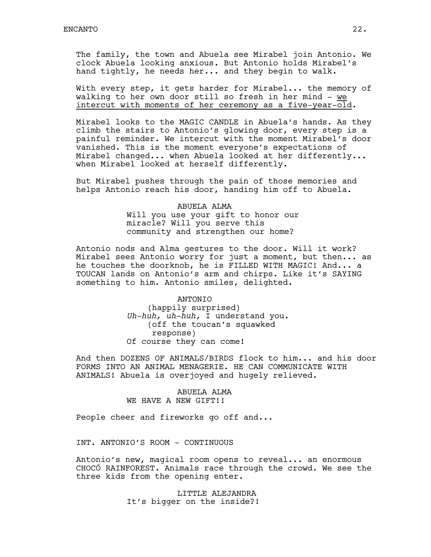The family, the town and Abuela see Mirabel join Antonio. We clock Abuela looking anxious. But Antonio holds Mirabel's hand tightly, he needs her... and they begin to walk.

With every step, it gets harder for Mirabel... the memory of walking to her own door still so fresh in her mind - we intercut with moments of her ceremony as a five-year-old.

Mirabel looks to the MAGIC CANDLE in Abuela's hands. As they climb the stairs to Antonio's glowing door, every step is a painful reminder. We intercut with the moment Mirabel's door vanished. This is the moment everyone's expectations of Mirabel changed... when Abuela looked at her differently... when Mirabel looked at herself differently.

But Mirabel pushes through the pain of those memories and helps Antonio reach his door, handing him off to Abuela.

> ABUELA ALMA Will you use your gift to honor our miracle? Will you serve this community and strengthen our home?

Antonio nods and Alma gestures to the door. Will it work? Mirabel sees Antonio worry for just a moment, but then... as he touches the doorknob, he is FILLED WITH MAGIC! And... a TOUCAN lands on Antonio's arm and chirps. Like it's SAYING something to him. Antonio smiles, delighted.

ANTONIO

(happily surprised) *Uh-huh, uh-huh,* I understand you. (off the toucan's squawked response) Of course they can come!

And then DOZENS OF ANIMALS/BIRDS flock to him... and his door FORMS INTO AN ANIMAL MENAGERIE. HE CAN COMMUNICATE WITH ANIMALS! Abuela is overjoyed and hugely relieved.

> ABUELA ALMA WE HAVE A NEW GIFT!!

People cheer and fireworks go off and...

INT. ANTONIO'S ROOM - CONTINUOUS

Antonio's new, magical room opens to reveal... an enormous CHOCÓ RAINFOREST. Animals race through the crowd. We see the three kids from the opening enter.

> LITTLE ALEJANDRA It's bigger on the inside?!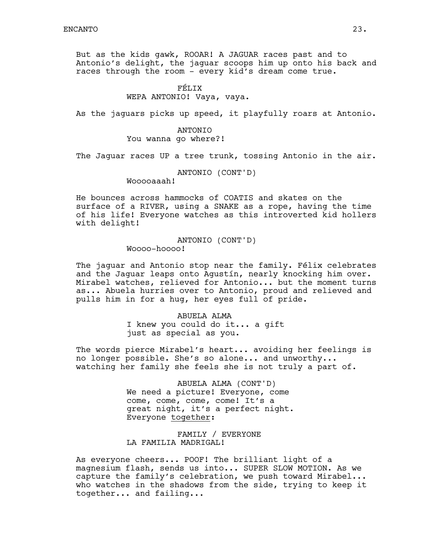But as the kids gawk, ROOAR! A JAGUAR races past and to Antonio's delight, the jaguar scoops him up onto his back and races through the room - every kid's dream come true.

# FÉLIX WEPA ANTONIO! Vaya, vaya.

As the jaguars picks up speed, it playfully roars at Antonio.

### ANTONIO

You wanna go where?!

The Jaguar races UP a tree trunk, tossing Antonio in the air.

ANTONIO (CONT'D)

Wooooaaah!

He bounces across hammocks of COATIS and skates on the surface of a RIVER, using a SNAKE as a rope, having the time of his life! Everyone watches as this introverted kid hollers with delight!

> ANTONIO (CONT'D) Woooo-hoooo!

The jaguar and Antonio stop near the family. Félix celebrates and the Jaguar leaps onto Agustín, nearly knocking him over. Mirabel watches, relieved for Antonio... but the moment turns as... Abuela hurries over to Antonio, proud and relieved and pulls him in for a hug, her eyes full of pride.

> ABUELA ALMA I knew you could do it... a gift just as special as you.

The words pierce Mirabel's heart... avoiding her feelings is no longer possible. She's so alone... and unworthy... watching her family she feels she is not truly a part of.

> ABUELA ALMA (CONT'D) We need a picture! Everyone, come come, come, come, come! It's a great night, it's a perfect night. Everyone together:

FAMILY / EVERYONE LA FAMILIA MADRIGAL!

As everyone cheers... POOF! The brilliant light of a magnesium flash, sends us into... SUPER SLOW MOTION. As we capture the family's celebration, we push toward Mirabel... who watches in the shadows from the side, trying to keep it together... and failing...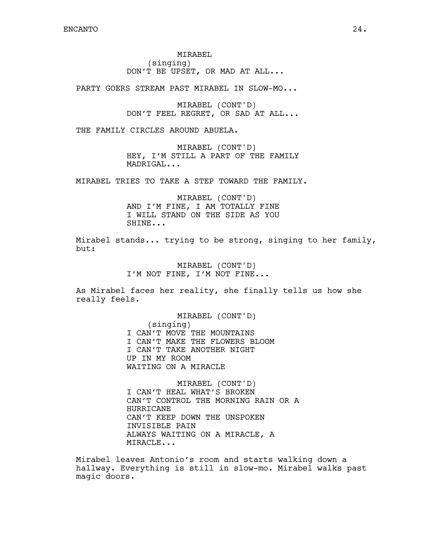MIRABEL (singing) DON'T BE UPSET, OR MAD AT ALL...

PARTY GOERS STREAM PAST MIRABEL IN SLOW-MO...

MIRABEL (CONT'D) DON'T FEEL REGRET, OR SAD AT ALL...

THE FAMILY CIRCLES AROUND ABUELA.

MIRABEL (CONT'D) HEY, I'M STILL A PART OF THE FAMILY MADRIGAL...

MIRABEL TRIES TO TAKE A STEP TOWARD THE FAMILY.

MIRABEL (CONT'D) AND I'M FINE, I AM TOTALLY FINE I WILL STAND ON THE SIDE AS YOU SHINE...

Mirabel stands... trying to be strong, singing to her family, but:

> MIRABEL (CONT'D) I'M NOT FINE, I'M NOT FINE...

As Mirabel faces her reality, she finally tells us how she really feels.

> MIRABEL (CONT'D) (singing) I CAN'T MOVE THE MOUNTAINS I CAN'T MAKE THE FLOWERS BLOOM I CAN'T TAKE ANOTHER NIGHT UP IN MY ROOM WAITING ON A MIRACLE

MIRABEL (CONT'D) I CAN'T HEAL WHAT'S BROKEN CAN'T CONTROL THE MORNING RAIN OR A HURRICANE CAN'T KEEP DOWN THE UNSPOKEN INVISIBLE PAIN ALWAYS WAITING ON A MIRACLE, A MTRACLE...

Mirabel leaves Antonio's room and starts walking down a hallway. Everything is still in slow-mo. Mirabel walks past magic doors.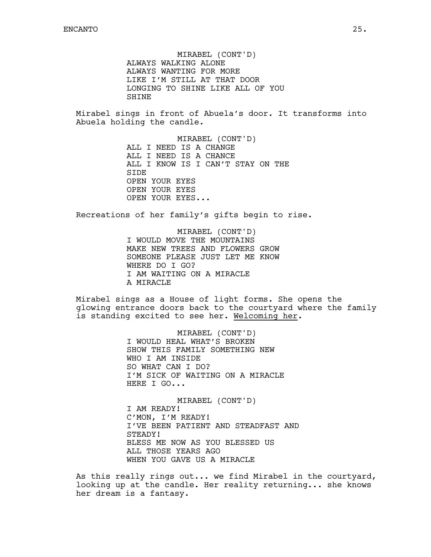MIRABEL (CONT'D) ALWAYS WALKING ALONE ALWAYS WANTING FOR MORE LIKE I'M STILL AT THAT DOOR LONGING TO SHINE LIKE ALL OF YOU **SHINE** 

Mirabel sings in front of Abuela's door. It transforms into Abuela holding the candle.

> MIRABEL (CONT'D) ALL I NEED IS A CHANGE ALL I NEED IS A CHANCE ALL I KNOW IS I CAN'T STAY ON THE SIDE OPEN YOUR EYES OPEN YOUR EYES OPEN YOUR EYES...

Recreations of her family's gifts begin to rise.

MIRABEL (CONT'D) I WOULD MOVE THE MOUNTAINS MAKE NEW TREES AND FLOWERS GROW SOMEONE PLEASE JUST LET ME KNOW WHERE DO I GO? I AM WAITING ON A MIRACLE A MIRACLE

Mirabel sings as a House of light forms. She opens the glowing entrance doors back to the courtyard where the family is standing excited to see her. Welcoming her.

> MIRABEL (CONT'D) I WOULD HEAL WHAT'S BROKEN SHOW THIS FAMILY SOMETHING NEW WHO I AM INSIDE SO WHAT CAN I DO? I'M SICK OF WAITING ON A MIRACLE HERE I GO...

MIRABEL (CONT'D) I AM READY! C'MON, I'M READY! I'VE BEEN PATIENT AND STEADFAST AND STEADY! BLESS ME NOW AS YOU BLESSED US ALL THOSE YEARS AGO WHEN YOU GAVE US A MIRACLE

As this really rings out... we find Mirabel in the courtyard, looking up at the candle. Her reality returning... she knows her dream is a fantasy.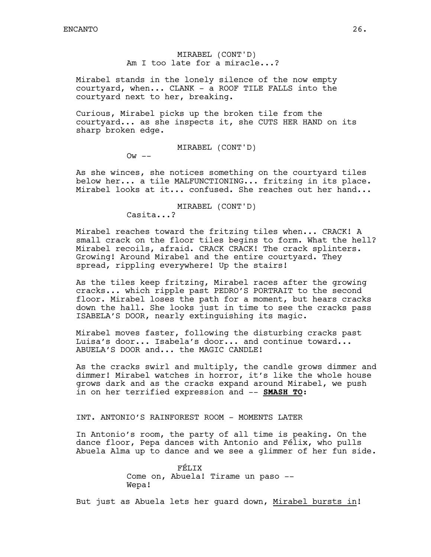# MIRABEL (CONT'D) Am I too late for a miracle...?

Mirabel stands in the lonely silence of the now empty courtyard, when... CLANK - a ROOF TILE FALLS into the courtyard next to her, breaking.

Curious, Mirabel picks up the broken tile from the courtyard... as she inspects it, she CUTS HER HAND on its sharp broken edge.

MIRABEL (CONT'D)

 $OW$   $--$ 

As she winces, she notices something on the courtyard tiles below her... a tile MALFUNCTIONING... fritzing in its place. Mirabel looks at it... confused. She reaches out her hand...

> MIRABEL (CONT'D) Casita...?

Mirabel reaches toward the fritzing tiles when... CRACK! A small crack on the floor tiles begins to form. What the hell? Mirabel recoils, afraid. CRACK CRACK! The crack splinters. Growing! Around Mirabel and the entire courtyard. They spread, rippling everywhere! Up the stairs!

As the tiles keep fritzing, Mirabel races after the growing cracks... which ripple past PEDRO'S PORTRAIT to the second floor. Mirabel loses the path for a moment, but hears cracks down the hall. She looks just in time to see the cracks pass ISABELA'S DOOR, nearly extinguishing its magic.

Mirabel moves faster, following the disturbing cracks past Luisa's door... Isabela's door... and continue toward... ABUELA'S DOOR and... the MAGIC CANDLE!

As the cracks swirl and multiply, the candle grows dimmer and dimmer! Mirabel watches in horror, it's like the whole house grows dark and as the cracks expand around Mirabel, we push in on her terrified expression and -- **SMASH TO**:

## INT. ANTONIO'S RAINFOREST ROOM - MOMENTS LATER

In Antonio's room, the party of all time is peaking. On the dance floor, Pepa dances with Antonio and Félix, who pulls Abuela Alma up to dance and we see a glimmer of her fun side.

> FÉLIX Come on, Abuela! Tirame un paso -- Wepa!

But just as Abuela lets her guard down, Mirabel bursts in!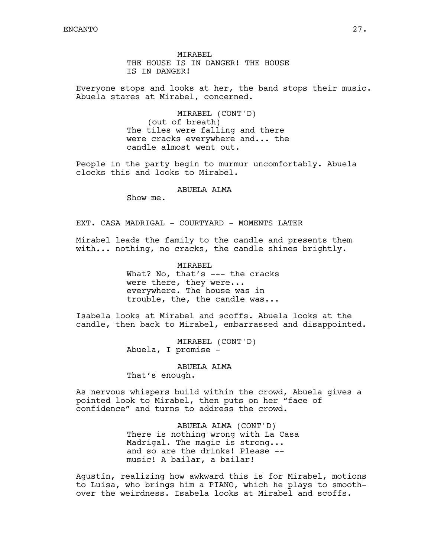MTRABEL THE HOUSE IS IN DANGER! THE HOUSE IS IN DANGER!

Everyone stops and looks at her, the band stops their music. Abuela stares at Mirabel, concerned.

> MIRABEL (CONT'D) (out of breath) The tiles were falling and there were cracks everywhere and... the candle almost went out.

People in the party begin to murmur uncomfortably. Abuela clocks this and looks to Mirabel.

ABUELA ALMA

Show me.

EXT. CASA MADRIGAL - COURTYARD - MOMENTS LATER

Mirabel leads the family to the candle and presents them with... nothing, no cracks, the candle shines brightly.

> MIRABEL What? No, that's --- the cracks were there, they were... everywhere. The house was in trouble, the, the candle was...

Isabela looks at Mirabel and scoffs. Abuela looks at the candle, then back to Mirabel, embarrassed and disappointed.

> MIRABEL (CONT'D) Abuela, I promise -

> > ABUELA ALMA

That's enough.

As nervous whispers build within the crowd, Abuela gives a pointed look to Mirabel, then puts on her "face of confidence" and turns to address the crowd.

> ABUELA ALMA (CONT'D) There is nothing wrong with La Casa Madrigal. The magic is strong... and so are the drinks! Please - music! A bailar, a bailar!

Agustín, realizing how awkward this is for Mirabel, motions to Luisa, who brings him a PIANO, which he plays to smoothover the weirdness. Isabela looks at Mirabel and scoffs.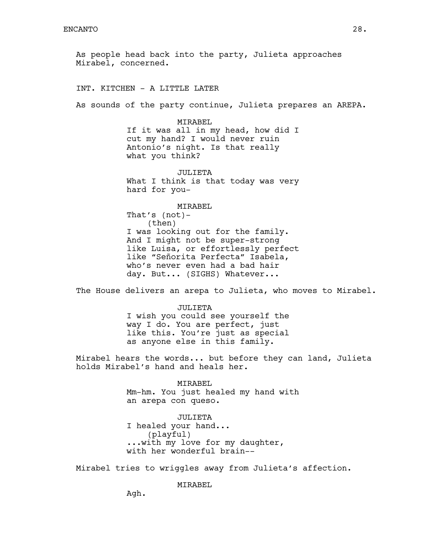As people head back into the party, Julieta approaches Mirabel, concerned.

INT. KITCHEN - A LITTLE LATER

As sounds of the party continue, Julieta prepares an AREPA.

MIRABEL If it was all in my head, how did I cut my hand? I would never ruin Antonio's night. Is that really what you think?

JULIETA What I think is that today was very hard for you-

MIRABEL

That's  $(not)-$ (then) I was looking out for the family. And I might not be super-strong like Luisa, or effortlessly perfect like "Señorita Perfecta" Isabela, who's never even had a bad hair day. But... (SIGHS) Whatever...

The House delivers an arepa to Julieta, who moves to Mirabel.

JULIETA I wish you could see yourself the way I do. You are perfect, just like this. You're just as special as anyone else in this family.

Mirabel hears the words... but before they can land, Julieta holds Mirabel's hand and heals her.

> MIRABEL Mm-hm. You just healed my hand with an arepa con queso.

JULIETA I healed your hand... (playful) ...with my love for my daughter, with her wonderful brain--

Mirabel tries to wriggles away from Julieta's affection.

MIRABEL

Agh.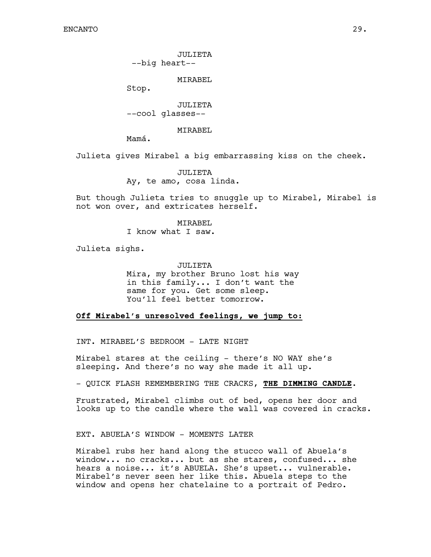# JULIETA --big heart--

MIRABEL

Stop.

JULIETA --cool glasses--

MIRABEL

Mamá.

Julieta gives Mirabel a big embarrassing kiss on the cheek.

JULIETA Ay, te amo, cosa linda.

But though Julieta tries to snuggle up to Mirabel, Mirabel is not won over, and extricates herself.

> MTRABEL I know what I saw.

Julieta sighs.

JULIETA Mira, my brother Bruno lost his way in this family... I don't want the same for you. Get some sleep. You'll feel better tomorrow.

# **Off Mirabel's unresolved feelings, we jump to:**

INT. MIRABEL'S BEDROOM - LATE NIGHT

Mirabel stares at the ceiling - there's NO WAY she's sleeping. And there's no way she made it all up.

- QUICK FLASH REMEMBERING THE CRACKS, **THE DIMMING CANDLE**.

Frustrated, Mirabel climbs out of bed, opens her door and looks up to the candle where the wall was covered in cracks.

EXT. ABUELA'S WINDOW - MOMENTS LATER

Mirabel rubs her hand along the stucco wall of Abuela's window... no cracks... but as she stares, confused... she hears a noise... it's ABUELA. She's upset... vulnerable. Mirabel's never seen her like this. Abuela steps to the window and opens her chatelaine to a portrait of Pedro.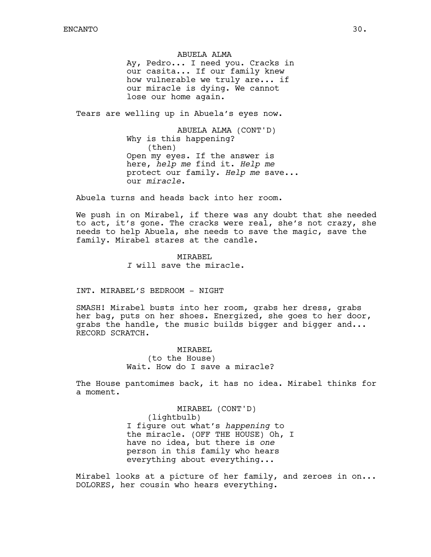ABUELA ALMA

Ay, Pedro... I need you. Cracks in our casita... If our family knew how vulnerable we truly are... if our miracle is dying. We cannot lose our home again.

Tears are welling up in Abuela's eyes now.

ABUELA ALMA (CONT'D) Why is this happening? (then) Open my eyes. If the answer is here, *help me* find it. *Help me* protect our family. *Help me* save... our *miracle*.

Abuela turns and heads back into her room.

We push in on Mirabel, if there was any doubt that she needed to act, it's gone. The cracks were real, she's not crazy, she needs to help Abuela, she needs to save the magic, save the family. Mirabel stares at the candle.

> MTRABEL, *I* will save the miracle.

INT. MIRABEL'S BEDROOM - NIGHT

SMASH! Mirabel busts into her room, grabs her dress, grabs her bag, puts on her shoes. Energized, she goes to her door, grabs the handle, the music builds bigger and bigger and... RECORD SCRATCH.

> MTRABEL, (to the House) Wait. How do I save a miracle?

The House pantomimes back, it has no idea. Mirabel thinks for a moment.

> MIRABEL (CONT'D) (lightbulb) I figure out what's *happening* to the miracle. (OFF THE HOUSE) Oh, I have no idea, but there is *one* person in this family who hears everything about everything...

Mirabel looks at a picture of her family, and zeroes in on... DOLORES, her cousin who hears everything.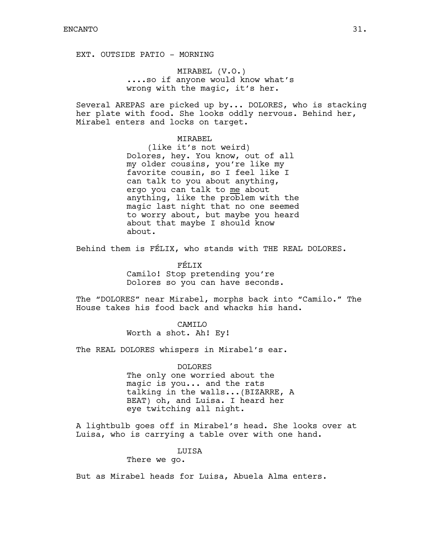EXT. OUTSIDE PATIO - MORNING

MIRABEL (V.O.) ....so if anyone would know what's wrong with the magic, it's her.

Several AREPAS are picked up by... DOLORES, who is stacking her plate with food. She looks oddly nervous. Behind her, Mirabel enters and locks on target.

#### MIRABEL

(like it's not weird) Dolores, hey. You know, out of all my older cousins, you're like my favorite cousin, so I feel like I can talk to you about anything, ergo you can talk to me about anything, like the problem with the magic last night that no one seemed to worry about, but maybe you heard about that maybe I should know about.

Behind them is FÉLIX, who stands with THE REAL DOLORES.

FÉLIX Camilo! Stop pretending you're Dolores so you can have seconds.

The "DOLORES" near Mirabel, morphs back into "Camilo." The House takes his food back and whacks his hand.

> CAMILO Worth a shot. Ah! Ey!

The REAL DOLORES whispers in Mirabel's ear.

DOLORES The only one worried about the magic is you... and the rats talking in the walls...(BIZARRE, A BEAT) oh, and Luisa. I heard her eye twitching all night**.**

A lightbulb goes off in Mirabel's head. She looks over at Luisa, who is carrying a table over with one hand.

#### LUISA

There we go.

But as Mirabel heads for Luisa, Abuela Alma enters.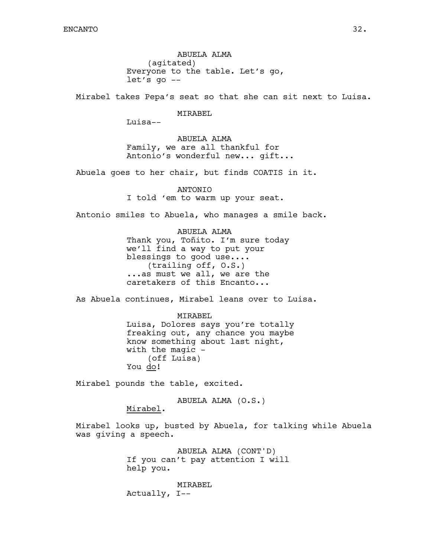ABUELA ALMA (agitated) Everyone to the table. Let's go, let's go  $--$ 

Mirabel takes Pepa's seat so that she can sit next to Luisa.

### MIRABEL

Luisa--

ABUELA ALMA Family, we are all thankful for Antonio's wonderful new... gift...

Abuela goes to her chair, but finds COATIS in it.

ANTONIO I told 'em to warm up your seat.

Antonio smiles to Abuela, who manages a smile back.

ABUELA ALMA Thank you, Toñito. I'm sure today we'll find a way to put your blessings to good use.... (trailing off, O.S.) ...as must we all, we are the caretakers of this Encanto...

As Abuela continues, Mirabel leans over to Luisa.

MIRABEL Luisa, Dolores says you're totally freaking out, any chance you maybe know something about last night, with the magic  $-$ (off Luisa) You do!

Mirabel pounds the table, excited.

ABUELA ALMA (O.S.)

Mirabel.

Mirabel looks up, busted by Abuela, for talking while Abuela was giving a speech.

> ABUELA ALMA (CONT'D) If you can't pay attention I will help you.

MIRABEL Actually, I--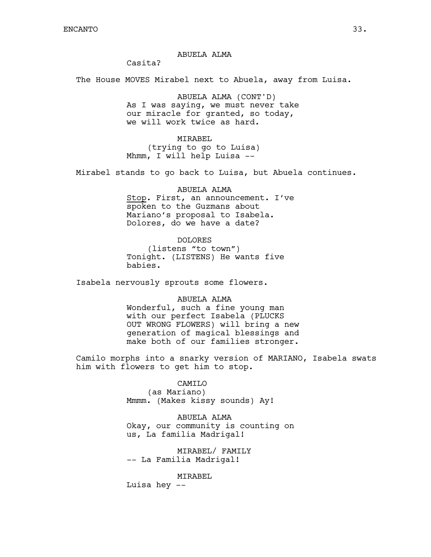# ABUELA ALMA

Casita?

The House MOVES Mirabel next to Abuela, away from Luisa.

ABUELA ALMA (CONT'D) As I was saying, we must never take our miracle for granted, so today, we will work twice as hard.

MIRABEL

(trying to go to Luisa) Mhmm, I will help Luisa --

Mirabel stands to go back to Luisa, but Abuela continues.

ABUELA ALMA Stop. First, an announcement. I've spoken to the Guzmans about Mariano's proposal to Isabela. Dolores, do we have a date?

DOLORES (listens "to town") Tonight. (LISTENS) He wants five babies.

Isabela nervously sprouts some flowers.

ABUELA ALMA Wonderful, such a fine young man with our perfect Isabela (PLUCKS OUT WRONG FLOWERS) will bring a new generation of magical blessings and make both of our families stronger.

Camilo morphs into a snarky version of MARIANO, Isabela swats him with flowers to get him to stop.

> CAMILO (as Mariano) Mmmm. (Makes kissy sounds) Ay!

ABUELA ALMA Okay, our community is counting on us, La familia Madrigal!

MIRABEL/ FAMILY -- La Familia Madrigal!

MIRABEL

Luisa hey  $--$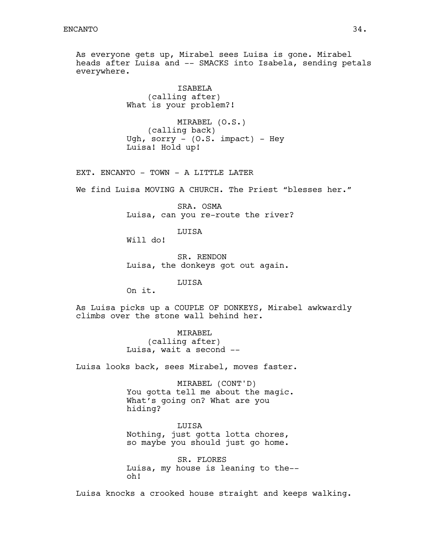As everyone gets up, Mirabel sees Luisa is gone. Mirabel heads after Luisa and -- SMACKS into Isabela, sending petals everywhere.

> ISABELA (calling after) What is your problem?!

MIRABEL (O.S.) (calling back) Ugh, sorry -  $(0. S.$  impact) - Hey Luisa! Hold up!

EXT. ENCANTO - TOWN - A LITTLE LATER

We find Luisa MOVING A CHURCH. The Priest "blesses her."

SRA. OSMA Luisa, can you re-route the river?

LUISA

Will do!

SR. RENDON Luisa, the donkeys got out again.

LUISA

On it.

As Luisa picks up a COUPLE OF DONKEYS, Mirabel awkwardly climbs over the stone wall behind her.

> MIRABEL (calling after) Luisa, wait a second --

Luisa looks back, sees Mirabel, moves faster.

MIRABEL (CONT'D) You gotta tell me about the magic. What's going on? What are you hiding?

LUISA Nothing, just gotta lotta chores, so maybe you should just go home.

SR. FLORES Luisa, my house is leaning to the- oh!

Luisa knocks a crooked house straight and keeps walking.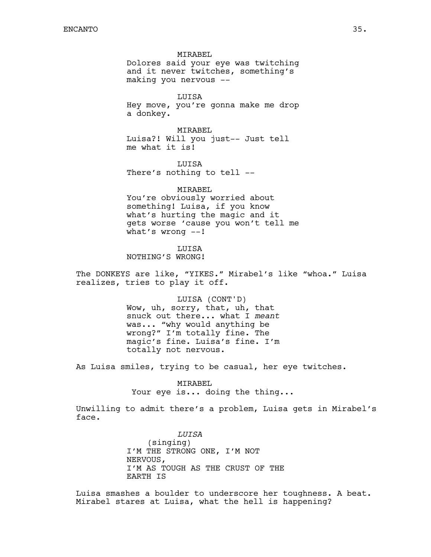MTRABEL Dolores said your eye was twitching and it never twitches, something's making you nervous --

LUISA Hey move, you're gonna make me drop a donkey.

MIRABEL Luisa?! Will you just-- Just tell me what it is!

**LUISA** There's nothing to tell --

# MIRABEL

You're obviously worried about something! Luisa, if you know what's hurting the magic and it gets worse 'cause you won't tell me what's wrong --!

#### LUISA

### NOTHING'S WRONG!

The DONKEYS are like, "YIKES." Mirabel's like "whoa." Luisa realizes, tries to play it off.

> LUISA (CONT'D) Wow, uh, sorry, that, uh, that snuck out there... what I *meant* was... "why would anything be wrong?" I'm totally fine. The magic's fine. Luisa's fine. I'm totally not nervous.

As Luisa smiles, trying to be casual, her eye twitches.

MIRABEL Your eye is... doing the thing...

Unwilling to admit there's a problem, Luisa gets in Mirabel's face.

> *LUISA* (singing) I'M THE STRONG ONE, I'M NOT NERVOUS, I'M AS TOUGH AS THE CRUST OF THE EARTH IS

Luisa smashes a boulder to underscore her toughness. A beat. Mirabel stares at Luisa, what the hell is happening?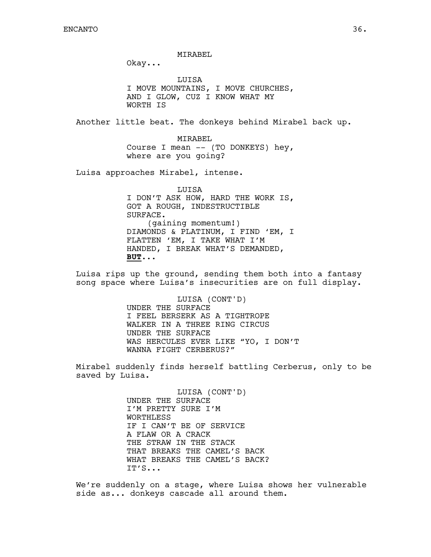### MIRABEL

Okay...

LUISA I MOVE MOUNTAINS, I MOVE CHURCHES, AND I GLOW, CUZ I KNOW WHAT MY WORTH IS

Another little beat. The donkeys behind Mirabel back up.

MIRABEL Course I mean -- (TO DONKEYS) hey, where are you going?

Luisa approaches Mirabel, intense.

LUISA I DON'T ASK HOW, HARD THE WORK IS**,** GOT A ROUGH, INDESTRUCTIBLE SURFACE. (gaining momentum!) DIAMONDS & PLATINUM, I FIND 'EM, I FLATTEN 'EM, I TAKE WHAT I'M HANDED, I BREAK WHAT'S DEMANDED, **BUT**...

Luisa rips up the ground, sending them both into a fantasy song space where Luisa's insecurities are on full display.

> LUISA (CONT'D) UNDER THE SURFACE I FEEL BERSERK AS A TIGHTROPE WALKER IN A THREE RING CIRCUS UNDER THE SURFACE WAS HERCULES EVER LIKE "YO, I DON'T WANNA FIGHT CERBERUS?"

Mirabel suddenly finds herself battling Cerberus, only to be saved by Luisa.

> LUISA (CONT'D) UNDER THE SURFACE I'M PRETTY SURE I'M WORTHLESS IF I CAN'T BE OF SERVICE A FLAW OR A CRACK THE STRAW IN THE STACK THAT BREAKS THE CAMEL'S BACK WHAT BREAKS THE CAMEL'S BACK? IT'S...

We're suddenly on a stage, where Luisa shows her vulnerable side as... donkeys cascade all around them.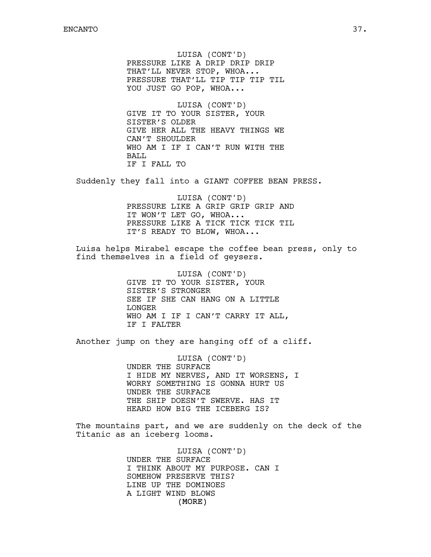LUISA (CONT'D) PRESSURE LIKE A DRIP DRIP DRIP THAT'LL NEVER STOP, WHOA... PRESSURE THAT'LL TIP TIP TIP TIL YOU JUST GO POP, WHOA...

LUISA (CONT'D) GIVE IT TO YOUR SISTER, YOUR SISTER'S OLDER GIVE HER ALL THE HEAVY THINGS WE CAN'T SHOULDER WHO AM I IF I CAN'T RUN WITH THE BALL IF I FALL TO

Suddenly they fall into a GIANT COFFEE BEAN PRESS.

LUISA (CONT'D) PRESSURE LIKE A GRIP GRIP GRIP AND IT WON'T LET GO, WHOA... PRESSURE LIKE A TICK TICK TICK TIL IT'S READY TO BLOW, WHOA...

Luisa helps Mirabel escape the coffee bean press, only to find themselves in a field of geysers.

> LUISA (CONT'D) GIVE IT TO YOUR SISTER, YOUR SISTER'S STRONGER SEE IF SHE CAN HANG ON A LITTLE LONGER WHO AM I IF I CAN'T CARRY IT ALL, IF I FALTER

Another jump on they are hanging off of a cliff.

LUISA (CONT'D) UNDER THE SURFACE I HIDE MY NERVES, AND IT WORSENS, I WORRY SOMETHING IS GONNA HURT US UNDER THE SURFACE THE SHIP DOESN'T SWERVE. HAS IT HEARD HOW BIG THE ICEBERG IS?

The mountains part, and we are suddenly on the deck of the Titanic as an iceberg looms.

> (MORE) LUISA (CONT'D) UNDER THE SURFACE I THINK ABOUT MY PURPOSE. CAN I SOMEHOW PRESERVE THIS? LINE UP THE DOMINOES A LIGHT WIND BLOWS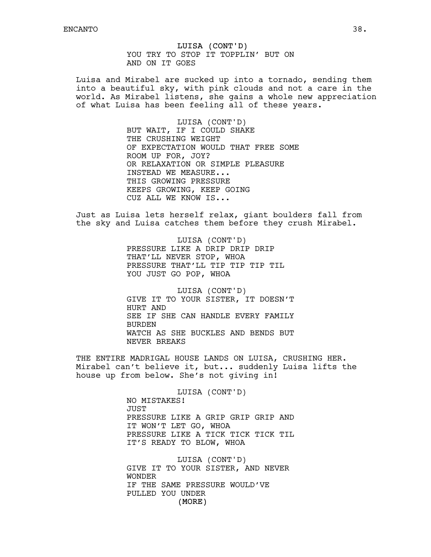# LUISA (CONT'D)

YOU TRY TO STOP IT TOPPLIN' BUT ON AND ON IT GOES

Luisa and Mirabel are sucked up into a tornado, sending them into a beautiful sky, with pink clouds and not a care in the world. As Mirabel listens, she gains a whole new appreciation of what Luisa has been feeling all of these years.

> LUISA (CONT'D) BUT WAIT, IF I COULD SHAKE THE CRUSHING WEIGHT OF EXPECTATION WOULD THAT FREE SOME ROOM UP FOR, JOY? OR RELAXATION OR SIMPLE PLEASURE INSTEAD WE MEASURE... THIS GROWING PRESSURE KEEPS GROWING, KEEP GOING CUZ ALL WE KNOW IS...

Just as Luisa lets herself relax, giant boulders fall from the sky and Luisa catches them before they crush Mirabel.

> LUISA (CONT'D) PRESSURE LIKE A DRIP DRIP DRIP THAT'LL NEVER STOP, WHOA PRESSURE THAT'LL TIP TIP TIP TIL YOU JUST GO POP, WHOA

LUISA (CONT'D) GIVE IT TO YOUR SISTER, IT DOESN'T HURT AND SEE IF SHE CAN HANDLE EVERY FAMILY BURDEN WATCH AS SHE BUCKLES AND BENDS BUT NEVER BREAKS

THE ENTIRE MADRIGAL HOUSE LANDS ON LUISA, CRUSHING HER. Mirabel can't believe it, but... suddenly Luisa lifts the house up from below. She's not giving in!

LUISA (CONT'D)

NO MISTAKES! JUST PRESSURE LIKE A GRIP GRIP GRIP AND IT WON'T LET GO, WHOA PRESSURE LIKE A TICK TICK TICK TIL IT'S READY TO BLOW, WHOA

(MORE) LUISA (CONT'D) GIVE IT TO YOUR SISTER, AND NEVER WONDER IF THE SAME PRESSURE WOULD'VE PULLED YOU UNDER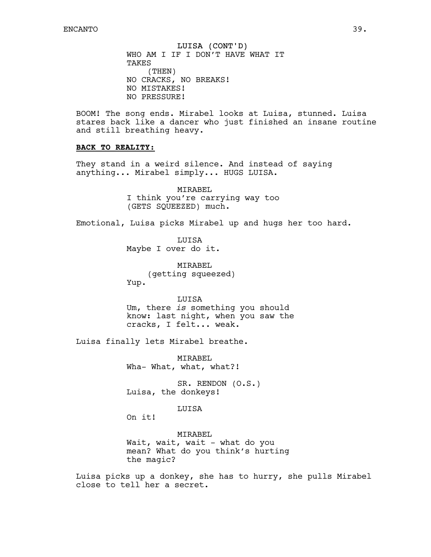LUISA (CONT'D) WHO AM I IF I DON'T HAVE WHAT IT TAKES (THEN) NO CRACKS, NO BREAKS! NO MISTAKES! NO PRESSURE!

BOOM! The song ends. Mirabel looks at Luisa, stunned. Luisa stares back like a dancer who just finished an insane routine and still breathing heavy.

## **BACK TO REALITY:**

They stand in a weird silence. And instead of saying anything... Mirabel simply... HUGS LUISA.

> MIRABEL I think you're carrying way too (GETS SQUEEZED) much.

Emotional, Luisa picks Mirabel up and hugs her too hard.

**LUISA** Maybe I over do it.

MIRABEL (getting squeezed) Yup.

LUISA Um, there *is* something you should know: last night, when you saw the cracks, I felt... weak.

Luisa finally lets Mirabel breathe.

MIRABEL Wha- What, what, what?!

SR. RENDON (O.S.) Luisa, the donkeys!

### LUISA

On it!

MIRABEL Wait, wait, wait - what do you mean? What do you think's hurting the magic?

Luisa picks up a donkey, she has to hurry, she pulls Mirabel close to tell her a secret.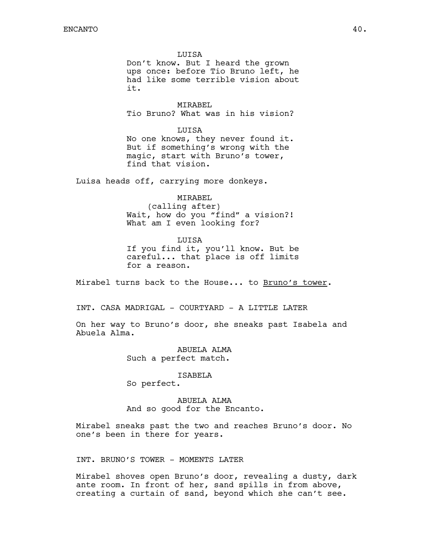**LUISA** Don't know. But I heard the grown ups once: before Tio Bruno left, he had like some terrible vision about it.

MIRABEL Tio Bruno? What was in his vision?

LUISA No one knows, they never found it. But if something's wrong with the magic, start with Bruno's tower, find that vision.

Luisa heads off, carrying more donkeys.

### MIRABEL

(calling after) Wait, how do you "find" a vision?! What am I even looking for?

LUISA If you find it, you'll know. But be careful... that place is off limits for a reason.

Mirabel turns back to the House... to Bruno's tower**.**

INT. CASA MADRIGAL - COURTYARD - A LITTLE LATER

On her way to Bruno's door, she sneaks past Isabela and Abuela Alma.

> ABUELA ALMA Such a perfect match.

## ISABELA

So perfect.

ABUELA ALMA And so good for the Encanto.

Mirabel sneaks past the two and reaches Bruno's door. No one's been in there for years.

INT. BRUNO'S TOWER - MOMENTS LATER

Mirabel shoves open Bruno's door, revealing a dusty, dark ante room. In front of her, sand spills in from above, creating a curtain of sand, beyond which she can't see.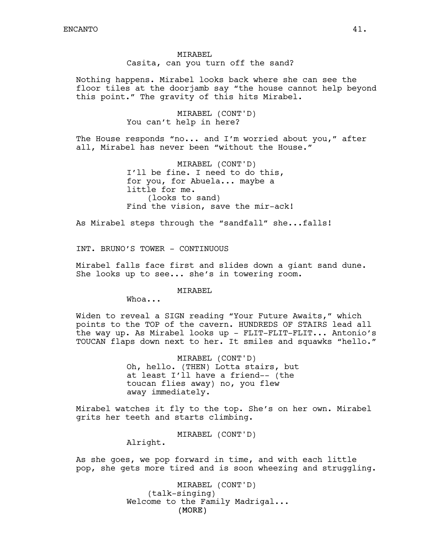MTRABEL. Casita, can you turn off the sand?

Nothing happens. Mirabel looks back where she can see the floor tiles at the doorjamb say "the house cannot help beyond this point." The gravity of this hits Mirabel.

> MIRABEL (CONT'D) You can't help in here?

The House responds "no... and I'm worried about you," after all, Mirabel has never been "without the House."

> MIRABEL (CONT'D) I'll be fine. I need to do this, for you, for Abuela... maybe a little for me. (looks to sand) Find the vision, save the mir-ack!

As Mirabel steps through the "sandfall" she...falls!

INT. BRUNO'S TOWER - CONTINUOUS

Mirabel falls face first and slides down a giant sand dune. She looks up to see... she's in towering room.

MIRABEL

Whoa...

Widen to reveal a SIGN reading "Your Future Awaits," which points to the TOP of the cavern. HUNDREDS OF STAIRS lead all the way up. As Mirabel looks up - FLIT-FLIT-FLIT... Antonio's TOUCAN flaps down next to her. It smiles and squawks "hello."

> MIRABEL (CONT'D) Oh, hello. (THEN) Lotta stairs, but at least I'll have a friend-- (the toucan flies away) no, you flew away immediately.

Mirabel watches it fly to the top. She's on her own. Mirabel grits her teeth and starts climbing.

MIRABEL (CONT'D)

Alright.

As she goes, we pop forward in time, and with each little pop, she gets more tired and is soon wheezing and struggling.

> (MORE) MIRABEL (CONT'D) (talk-singing) Welcome to the Family Madrigal...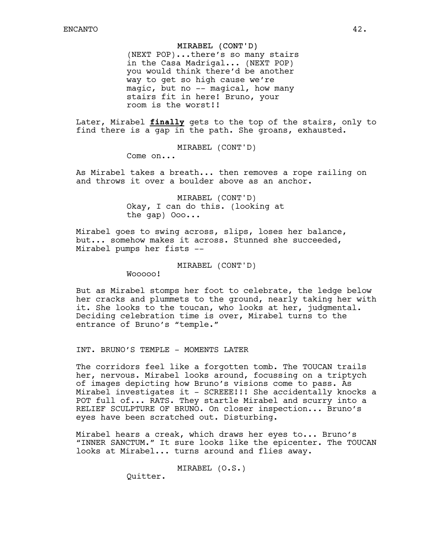## MIRABEL (CONT'D)

(NEXT POP)...there's so many stairs in the Casa Madrigal... (NEXT POP) you would think there'd be another way to get so high cause we're magic, but no -- magical, how many stairs fit in here! Bruno, your room is the worst!!

Later, Mirabel **finally** gets to the top of the stairs, only to find there is a gap in the path. She groans, exhausted.

## MIRABEL (CONT'D)

Come on...

As Mirabel takes a breath... then removes a rope railing on and throws it over a boulder above as an anchor.

> MIRABEL (CONT'D) Okay, I can do this. (looking at the gap) Ooo...

Mirabel goes to swing across, slips, loses her balance, but... somehow makes it across. Stunned she succeeded, Mirabel pumps her fists --

MIRABEL (CONT'D)

Wooooo!

But as Mirabel stomps her foot to celebrate, the ledge below her cracks and plummets to the ground, nearly taking her with it. She looks to the toucan, who looks at her, judgmental. Deciding celebration time is over, Mirabel turns to the entrance of Bruno's "temple."

INT. BRUNO'S TEMPLE - MOMENTS LATER

The corridors feel like a forgotten tomb. The TOUCAN trails her, nervous. Mirabel looks around, focussing on a triptych of images depicting how Bruno's visions come to pass. As Mirabel investigates it - SCREEE!!! She accidentally knocks a POT full of... RATS. They startle Mirabel and scurry into a RELIEF SCULPTURE OF BRUNO. On closer inspection... Bruno's eyes have been scratched out. Disturbing.

Mirabel hears a creak, which draws her eyes to... Bruno's "INNER SANCTUM." It sure looks like the epicenter. The TOUCAN looks at Mirabel... turns around and flies away.

MIRABEL (O.S.)

Quitter.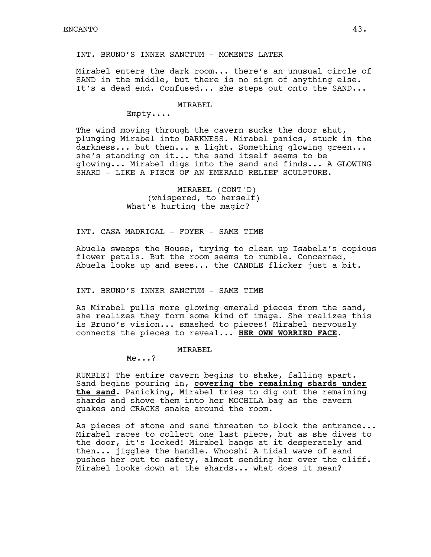## INT. BRUNO'S INNER SANCTUM - MOMENTS LATER

Mirabel enters the dark room... there's an unusual circle of SAND in the middle, but there is no sign of anything else. It's a dead end. Confused... she steps out onto the SAND...

## MIRABEL

Empty....

The wind moving through the cavern sucks the door shut, plunging Mirabel into DARKNESS. Mirabel panics, stuck in the darkness... but then... a light. Something glowing green... she's standing on it... the sand itself seems to be glowing... Mirabel digs into the sand and finds... A GLOWING SHARD - LIKE A PIECE OF AN EMERALD RELIEF SCULPTURE.

> MIRABEL (CONT'D) (whispered, to herself) What's hurting the magic?

INT. CASA MADRIGAL - FOYER - SAME TIME

Abuela sweeps the House, trying to clean up Isabela's copious flower petals. But the room seems to rumble. Concerned, Abuela looks up and sees... the CANDLE flicker just a bit.

## INT. BRUNO'S INNER SANCTUM - SAME TIME

As Mirabel pulls more glowing emerald pieces from the sand, she realizes they form some kind of image. She realizes this is Bruno's vision... smashed to pieces! Mirabel nervously connects the pieces to reveal... **HER OWN WORRIED FACE**.

## MIRABEL

Me...?

RUMBLE! The entire cavern begins to shake, falling apart. Sand begins pouring in, **covering the remaining shards under the sand**. Panicking, Mirabel tries to dig out the remaining shards and shove them into her MOCHILA bag as the cavern quakes and CRACKS snake around the room.

As pieces of stone and sand threaten to block the entrance... Mirabel races to collect one last piece, but as she dives to the door, it's locked! Mirabel bangs at it desperately and then... jiggles the handle. Whoosh! A tidal wave of sand pushes her out to safety, almost sending her over the cliff. Mirabel looks down at the shards... what does it mean?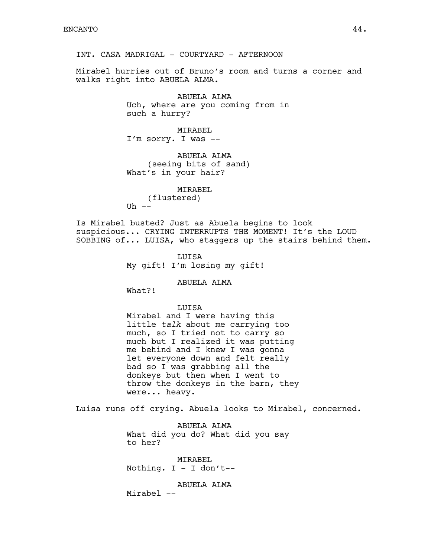INT. CASA MADRIGAL - COURTYARD - AFTERNOON

Mirabel hurries out of Bruno's room and turns a corner and walks right into ABUELA ALMA.

> ABUELA ALMA Uch, where are you coming from in such a hurry?

MIRABEL I'm sorry. I was --

ABUELA ALMA (seeing bits of sand) What's in your hair?

MIRABEL (flustered)  $U<sub>h</sub>$   $---$ 

Is Mirabel busted? Just as Abuela begins to look suspicious... CRYING INTERRUPTS THE MOMENT! It's the LOUD SOBBING of... LUISA, who staggers up the stairs behind them.

> LUISA My gift! I'm losing my gift!

> > ABUELA ALMA

What?!

## LUISA

Mirabel and I were having this little *talk* about me carrying too much, so I tried not to carry so much but I realized it was putting me behind and I knew I was gonna let everyone down and felt really bad so I was grabbing all the donkeys but then when I went to throw the donkeys in the barn, they were... heavy.

Luisa runs off crying. Abuela looks to Mirabel, concerned.

ABUELA ALMA What did you do? What did you say to her?

MIRABEL Nothing.  $I - I$  don't--

ABUELA ALMA Mirabel --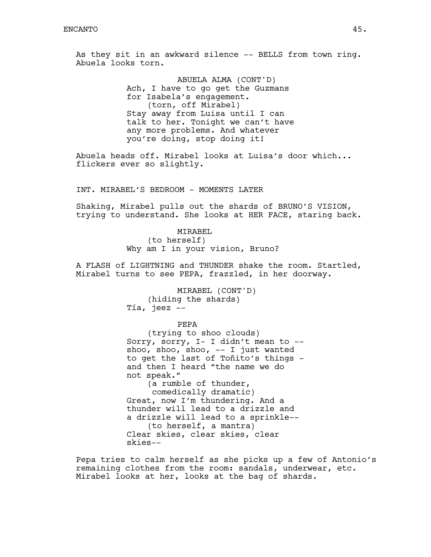As they sit in an awkward silence -- BELLS from town ring. Abuela looks torn.

> ABUELA ALMA (CONT'D) Ach, I have to go get the Guzmans for Isabela's engagement. (torn, off Mirabel) Stay away from Luisa until I can talk to her. Tonight we can't have any more problems. And whatever you're doing, stop doing it!

Abuela heads off. Mirabel looks at Luisa's door which... flickers ever so slightly.

INT. MIRABEL'S BEDROOM - MOMENTS LATER

Shaking, Mirabel pulls out the shards of BRUNO'S VISION, trying to understand. She looks at HER FACE, staring back.

> MIRABEL (to herself) Why am I in your vision, Bruno?

A FLASH of LIGHTNING and THUNDER shake the room. Startled, Mirabel turns to see PEPA, frazzled, in her doorway.

> MIRABEL (CONT'D) (hiding the shards) Tía, jeez --

### PEPA

(trying to shoo clouds) Sorry, sorry, I- I didn't mean to - shoo, shoo, shoo, -- I just wanted to get the last of Toñito's things and then I heard "the name we do not speak." (a rumble of thunder, comedically dramatic) Great, now I'm thundering. And a thunder will lead to a drizzle and a drizzle will lead to a sprinkle-- (to herself, a mantra) Clear skies, clear skies, clear skies--

Pepa tries to calm herself as she picks up a few of Antonio's remaining clothes from the room: sandals, underwear, etc. Mirabel looks at her, looks at the bag of shards.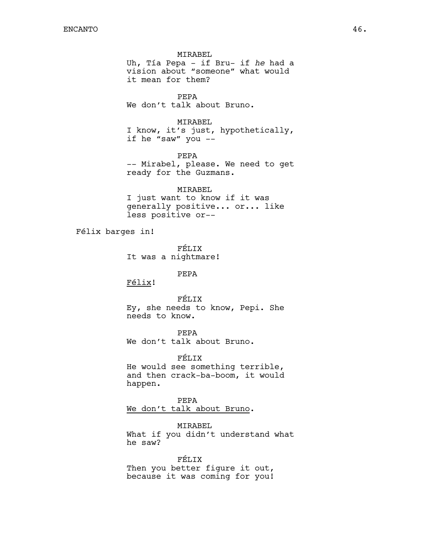MIRABEL Uh, Tía Pepa - if Bru- if *he* had a vision about "someone" what would it mean for them?

PEPA We don't talk about Bruno.

MIRABEL I know, it's just, hypothetically, if he "saw" you --

PEPA -- Mirabel, please. We need to get ready for the Guzmans.

MIRABEL I just want to know if it was generally positive... or... like less positive or--

Félix barges in!

FÉLIX It was a nightmare!

PEPA

Félix!

FÉLIX Ey, she needs to know, Pepi. She needs to know.

PEPA We don't talk about Bruno.

FÉLIX He would see something terrible, and then crack-ba-boom, it would happen.

PEPA We don't talk about Bruno.

MIRABEL

What if you didn't understand what he saw?

FÉLIX Then you better figure it out, because it was coming for you!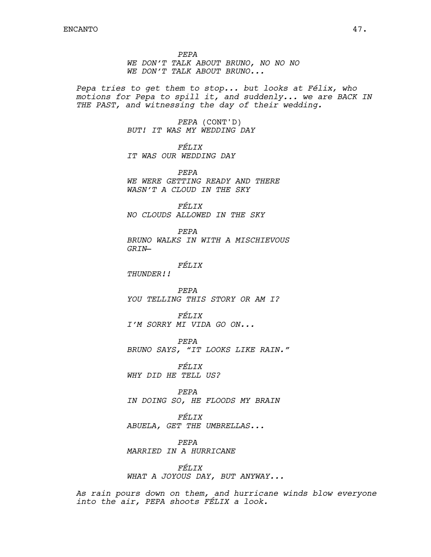*PEPA WE DON'T TALK ABOUT BRUNO, NO NO NO WE DON'T TALK ABOUT BRUNO...*

*Pepa tries to get them to stop... but looks at Félix, who motions for Pepa to spill it, and suddenly... we are BACK IN THE PAST, and witnessing the day of their wedding.*

> *PEPA* (CONT'D) *BUT! IT WAS MY WEDDING DAY*

*FÉLIX IT WAS OUR WEDDING DAY*

*PEPA WE WERE GETTING READY AND THERE WASN'T A CLOUD IN THE SKY*

*FÉLIX NO CLOUDS ALLOWED IN THE SKY*

*PEPA BRUNO WALKS IN WITH A MISCHIEVOUS GRIN—*

*FÉLIX THUNDER!!*

*PEPA*

*YOU TELLING THIS STORY OR AM I?*

*FÉLIX I'M SORRY MI VIDA GO ON...*

*PEPA BRUNO SAYS, "IT LOOKS LIKE RAIN."*

*FÉLIX WHY DID HE TELL US?*

*PEPA IN DOING SO, HE FLOODS MY BRAIN*

*FÉLIX ABUELA, GET THE UMBRELLAS...*

*PEPA MARRIED IN A HURRICANE*

*FÉLIX WHAT A JOYOUS DAY, BUT ANYWAY...*

*As rain pours down on them, and hurricane winds blow everyone into the air, PEPA shoots FÉLIX a look.*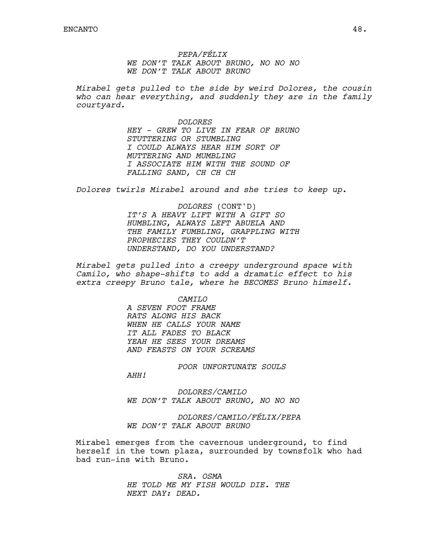*PEPA/FÉLIX WE DON'T TALK ABOUT BRUNO, NO NO NO WE DON'T TALK ABOUT BRUNO*

*Mirabel gets pulled to the side by weird Dolores, the cousin who can hear everything, and suddenly they are in the family courtyard.*

> *DOLORES HEY - GREW TO LIVE IN FEAR OF BRUNO STUTTERING OR STUMBLING I COULD ALWAYS HEAR HIM SORT OF MUTTERING AND MUMBLING I ASSOCIATE HIM WITH THE SOUND OF FALLING SAND, CH CH CH*

*Dolores twirls Mirabel around and she tries to keep up.*

*DOLORES* (CONT'D) *IT'S A HEAVY LIFT WITH A GIFT SO HUMBLING*, *ALWAYS LEFT ABUELA AND THE FAMILY FUMBLING*, *GRAPPLING WITH PROPHECIES THEY COULDN'T UNDERSTAND, DO YOU UNDERSTAND?*

*Mirabel gets pulled into a creepy underground space with Camilo, who shape-shifts to add a dramatic effect to his extra creepy Bruno tale, where he BECOMES Bruno himself.*

*CAMILO*

*A SEVEN FOOT FRAME RATS ALONG HIS BACK WHEN HE CALLS YOUR NAME IT ALL FADES TO BLACK YEAH HE SEES YOUR DREAMS AND FEASTS ON YOUR SCREAMS*

*POOR UNFORTUNATE SOULS*

*AHH!*

*DOLORES/CAMILO WE DON'T TALK ABOUT BRUNO, NO NO NO*

*DOLORES/CAMILO/FÉLIX/PEPA WE DON'T TALK ABOUT BRUNO*

Mirabel emerges from the cavernous underground, to find herself in the town plaza, surrounded by townsfolk who had bad run-ins with Bruno.

> *SRA. OSMA HE TOLD ME MY FISH WOULD DIE. THE NEXT DAY: DEAD.*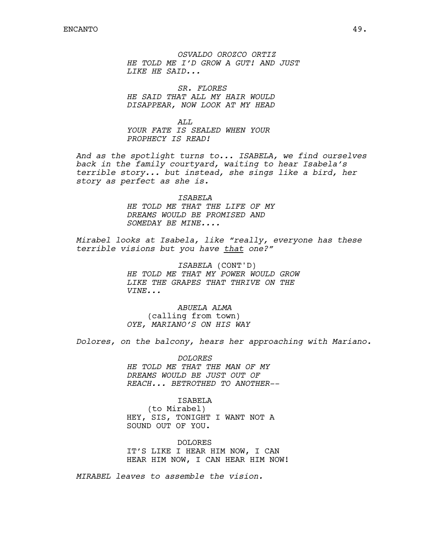*OSVALDO OROZCO ORTIZ HE TOLD ME I'D GROW A GUT! AND JUST LIKE HE SAID...*

*SR. FLORES HE SAID THAT ALL MY HAIR WOULD DISAPPEAR, NOW LOOK AT MY HEAD*

*ALL YOUR FATE IS SEALED WHEN YOUR PROPHECY IS READ!*

*And as the spotlight turns to... ISABELA, we find ourselves back in the family courtyard, waiting to hear Isabela's terrible story... but instead, she sings like a bird, her story as perfect as she is.*

> *ISABELA HE TOLD ME THAT THE LIFE OF MY DREAMS WOULD BE PROMISED AND SOMEDAY BE MINE....*

*Mirabel looks at Isabela, like "really, everyone has these terrible visions but you have that one?"*

> *ISABELA* (CONT'D) *HE TOLD ME THAT MY POWER WOULD GROW LIKE THE GRAPES THAT THRIVE ON THE VINE...*

*ABUELA ALMA* (calling from town) *OYE, MARIANO'S ON HIS WAY*

*Dolores, on the balcony, hears her approaching with Mariano.*

*DOLORES HE TOLD ME THAT THE MAN OF MY DREAMS WOULD BE JUST OUT OF REACH... BETROTHED TO ANOTHER--*

ISABELA (to Mirabel) HEY, SIS, TONIGHT I WANT NOT A SOUND OUT OF YOU.

DOLORES IT'S LIKE I HEAR HIM NOW, I CAN HEAR HIM NOW, I CAN HEAR HIM NOW!

*MIRABEL leaves to assemble the vision.*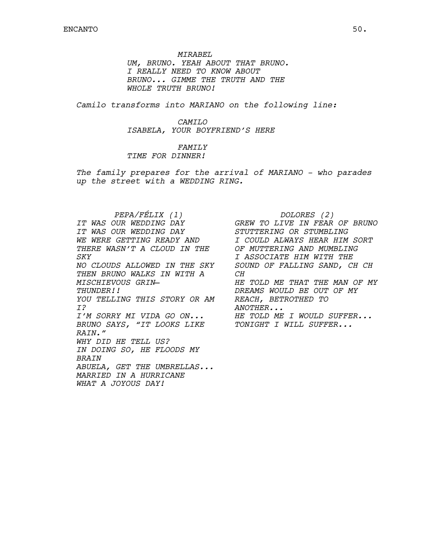*MIRABEL UM, BRUNO. YEAH ABOUT THAT BRUNO. I REALLY NEED TO KNOW ABOUT BRUNO... GIMME THE TRUTH AND THE WHOLE TRUTH BRUNO!*

*Camilo transforms into MARIANO on the following line:*

## *CAMILO*

*ISABELA, YOUR BOYFRIEND'S HERE*

### *FAMILY TIME FOR DINNER!*

*The family prepares for the arrival of MARIANO - who parades up the street with a WEDDING RING.*

*PEPA/FÉLIX (1) IT WAS OUR WEDDING DAY IT WAS OUR WEDDING DAY WE WERE GETTING READY AND THERE WASN'T A CLOUD IN THE SKY NO CLOUDS ALLOWED IN THE SKY THEN BRUNO WALKS IN WITH A MISCHIEVOUS GRIN— THUNDER!! YOU TELLING THIS STORY OR AM REACH, BETROTHED TO I? I'M SORRY MI VIDA GO ON... BRUNO SAYS, "IT LOOKS LIKE RAIN." WHY DID HE TELL US? IN DOING SO, HE FLOODS MY BRAIN ABUELA, GET THE UMBRELLAS... MARRIED IN A HURRICANE WHAT A JOYOUS DAY!*

*DOLORES (2) GREW TO LIVE IN FEAR OF BRUNO STUTTERING OR STUMBLING I COULD ALWAYS HEAR HIM SORT OF MUTTERING AND MUMBLING I ASSOCIATE HIM WITH THE SOUND OF FALLING SAND, CH CH CH HE TOLD ME THAT THE MAN OF MY DREAMS WOULD BE OUT OF MY ANOTHER... HE TOLD ME I WOULD SUFFER... TONIGHT I WILL SUFFER...*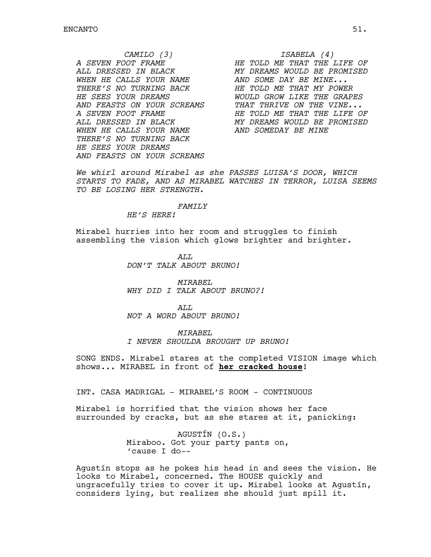*CAMILO (3) A SEVEN FOOT FRAME ALL DRESSED IN BLACK WHEN HE CALLS YOUR NAME THERE'S NO TURNING BACK HE SEES YOUR DREAMS AND FEASTS ON YOUR SCREAMS A SEVEN FOOT FRAME ALL DRESSED IN BLACK WHEN HE CALLS YOUR NAME THERE'S NO TURNING BACK HE SEES YOUR DREAMS AND FEASTS ON YOUR SCREAMS*

*ISABELA (4) HE TOLD ME THAT THE LIFE OF MY DREAMS WOULD BE PROMISED AND SOME DAY BE MINE... HE TOLD ME THAT MY POWER WOULD GROW LIKE THE GRAPES THAT THRIVE ON THE VINE... HE TOLD ME THAT THE LIFE OF MY DREAMS WOULD BE PROMISED AND SOMEDAY BE MINE*

*We whirl around Mirabel as she PASSES LUISA'S DOOR, WHICH STARTS TO FADE, AND AS MIRABEL WATCHES IN TERROR, LUISA SEEMS TO BE LOSING HER STRENGTH.*

#### *FAMILY*

*HE'S HERE!*

Mirabel hurries into her room and struggles to finish assembling the vision which glows brighter and brighter.

> *ALL DON'T TALK ABOUT BRUNO!*

*MIRABEL WHY DID I TALK ABOUT BRUNO?!*

*ALL NOT A WORD ABOUT BRUNO!*

*MIRABEL I NEVER SHOULDA BROUGHT UP BRUNO!*

SONG ENDS. Mirabel stares at the completed VISION image which shows... MIRABEL in front of **her cracked house**!

INT. CASA MADRIGAL - MIRABEL'S ROOM - CONTINUOUS

Mirabel is horrified that the vision shows her face surrounded by cracks, but as she stares at it, panicking:

> AGUSTÍN (O.S.) Miraboo. Got your party pants on, 'cause I do--

Agustín stops as he pokes his head in and sees the vision. He looks to Mirabel, concerned. The HOUSE quickly and ungracefully tries to cover it up. Mirabel looks at Agustín, considers lying, but realizes she should just spill it.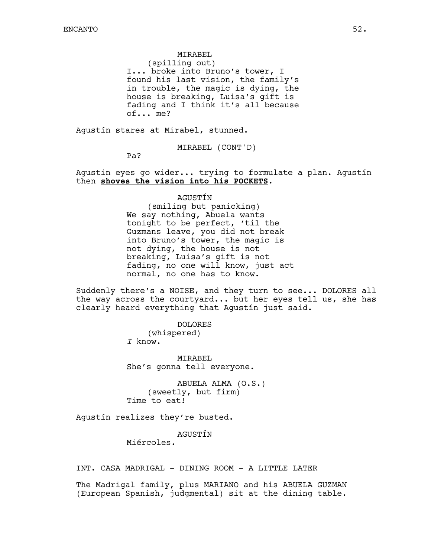MTRABEL

(spilling out) I... broke into Bruno's tower, I found his last vision, the family's in trouble, the magic is dying, the house is breaking, Luisa's gift is fading and I think it's all because of... me?

Agustín stares at Mirabel, stunned.

MIRABEL (CONT'D)

Pa?

Agustin eyes go wider... trying to formulate a plan. Agustín then **shoves the vision into his POCKETS**.

> AGUSTÍN (smiling but panicking) We say nothing, Abuela wants tonight to be perfect, 'til the Guzmans leave, you did not break into Bruno's tower, the magic is not dying, the house is not breaking, Luisa's gift is not fading, no one will know, just act normal, no one has to know.

Suddenly there's a NOISE, and they turn to see... DOLORES all the way across the courtyard... but her eyes tell us, she has clearly heard everything that Agustín just said.

> DOLORES (whispered) *I* know.

MIRABEL She's gonna tell everyone.

ABUELA ALMA (O.S.) (sweetly, but firm) Time to eat!

Agustín realizes they're busted.

AGUSTÍN

Miércoles.

INT. CASA MADRIGAL - DINING ROOM - A LITTLE LATER

The Madrigal family, plus MARIANO and his ABUELA GUZMAN (European Spanish, judgmental) sit at the dining table.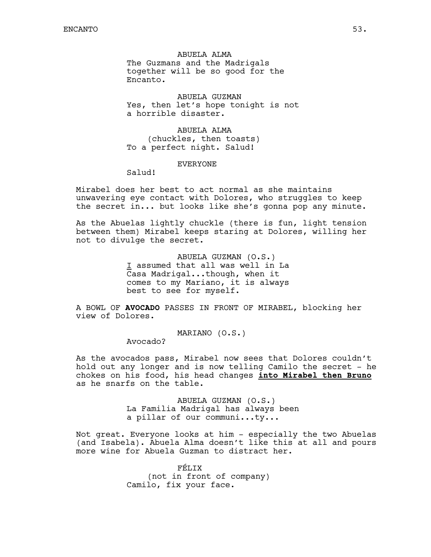ABUELA ALMA The Guzmans and the Madrigals together will be so good for the Encanto.

ABUELA GUZMAN Yes, then let's hope tonight is not a horrible disaster.

ABUELA ALMA (chuckles, then toasts) To a perfect night. Salud!

EVERYONE

Salud!

Mirabel does her best to act normal as she maintains unwavering eye contact with Dolores, who struggles to keep the secret in... but looks like she's gonna pop any minute.

As the Abuelas lightly chuckle (there is fun, light tension between them) Mirabel keeps staring at Dolores, willing her not to divulge the secret.

> ABUELA GUZMAN (O.S.) I assumed that all was well in La Casa Madrigal...though, when it comes to my Mariano, it is always best to see for myself.

A BOWL OF **AVOCADO** PASSES IN FRONT OF MIRABEL, blocking her view of Dolores.

MARIANO (O.S.)

Avocado?

As the avocados pass, Mirabel now sees that Dolores couldn't hold out any longer and is now telling Camilo the secret - he chokes on his food, his head changes **into Mirabel then Bruno** as he snarfs on the table.

> ABUELA GUZMAN (O.S.) La Familia Madrigal has always been a pillar of our communi...ty...

Not great. Everyone looks at him - especially the two Abuelas (and Isabela). Abuela Alma doesn't like this at all and pours more wine for Abuela Guzman to distract her.

> FÉLIX (not in front of company) Camilo, fix your face.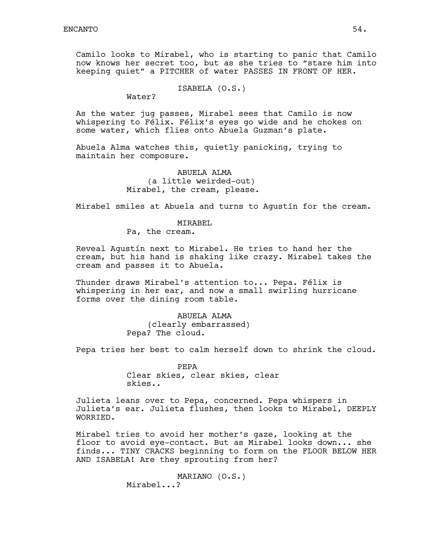Camilo looks to Mirabel, who is starting to panic that Camilo now knows her secret too, but as she tries to "stare him into keeping quiet" a PITCHER of water PASSES IN FRONT OF HER.

ISABELA (O.S.)

Water?

As the water jug passes, Mirabel sees that Camilo is now whispering to Félix. Félix's eyes go wide and he chokes on some water, which flies onto Abuela Guzman's plate.

Abuela Alma watches this, quietly panicking, trying to maintain her composure.

> ABUELA ALMA (a little weirded-out) Mirabel, the cream, please.

Mirabel smiles at Abuela and turns to Agustín for the cream.

### MTRABEL.

Pa, the cream.

Reveal Agustín next to Mirabel. He tries to hand her the cream, but his hand is shaking like crazy. Mirabel takes the cream and passes it to Abuela.

Thunder draws Mirabel's attention to... Pepa. Félix is whispering in her ear, and now a small swirling hurricane forms over the dining room table.

> ABUELA ALMA (clearly embarrassed) Pepa? The cloud.

Pepa tries her best to calm herself down to shrink the cloud.

PEPA Clear skies, clear skies, clear skies..

Julieta leans over to Pepa, concerned. Pepa whispers in Julieta's ear. Julieta flushes, then looks to Mirabel, DEEPLY WORRIED.

Mirabel tries to avoid her mother's gaze, looking at the floor to avoid eye-contact. But as Mirabel looks down... she finds... TINY CRACKS beginning to form on the FLOOR BELOW HER AND ISABELA! Are they sprouting from her?

```
MARIANO (O.S.)
Mirabel...?
```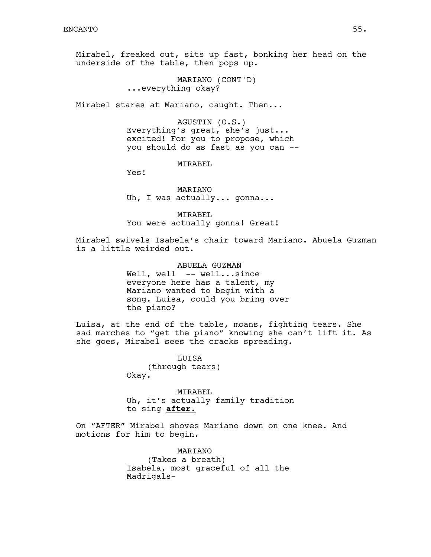Mirabel, freaked out, sits up fast, bonking her head on the underside of the table, then pops up.

> MARIANO (CONT'D) ...everything okay?

Mirabel stares at Mariano, caught. Then...

AGUSTIN (O.S.) Everything's great, she's just... excited! For you to propose, which you should do as fast as you can --

MTRABEL

Yes!

MARIANO Uh, I was actually... gonna...

MIRABEL You were actually gonna! Great!

Mirabel swivels Isabela's chair toward Mariano. Abuela Guzman is a little weirded out.

> ABUELA GUZMAN Well, well -- well...since everyone here has a talent, my Mariano wanted to begin with a song. Luisa, could you bring over the piano?

Luisa, at the end of the table, moans, fighting tears. She sad marches to "get the piano" knowing she can't lift it. As she goes, Mirabel sees the cracks spreading.

> LUISA (through tears) Okay.

MIRABEL Uh, it's actually family tradition to sing **after.**

On "AFTER" Mirabel shoves Mariano down on one knee. And motions for him to begin.

> MARIANO (Takes a breath) Isabela, most graceful of all the Madrigals-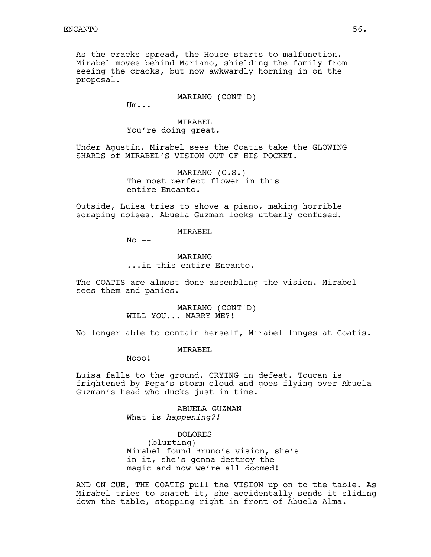As the cracks spread, the House starts to malfunction. Mirabel moves behind Mariano, shielding the family from seeing the cracks, but now awkwardly horning in on the proposal**.**

MARIANO (CONT'D)

Um...

## MIRABEL You're doing great.

Under Agustín, Mirabel sees the Coatis take the GLOWING SHARDS of MIRABEL'S VISION OUT OF HIS POCKET.

> MARIANO (O.S.) The most perfect flower in this entire Encanto.

Outside, Luisa tries to shove a piano, making horrible scraping noises. Abuela Guzman looks utterly confused.

MIRABEL

 $No$   $--$ 

MARIANO ...in this entire Encanto.

The COATIS are almost done assembling the vision. Mirabel sees them and panics.

> MARIANO (CONT'D) WILL YOU... MARRY ME?!

No longer able to contain herself, Mirabel lunges at Coatis.

MTRABEL

Nooo!

Luisa falls to the ground, CRYING in defeat. Toucan is frightened by Pepa's storm cloud and goes flying over Abuela Guzman's head who ducks just in time.

> ABUELA GUZMAN What is *happening?!*

DOLORES (blurting) Mirabel found Bruno's vision, she's in it, she's gonna destroy the magic and now we're all doomed!

AND ON CUE, THE COATIS pull the VISION up on to the table. As Mirabel tries to snatch it, she accidentally sends it sliding down the table, stopping right in front of Abuela Alma.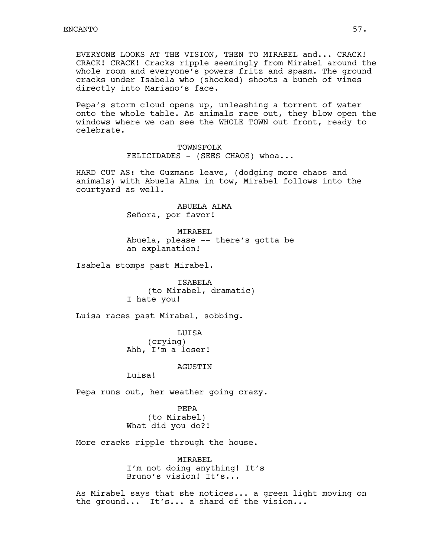EVERYONE LOOKS AT THE VISION, THEN TO MIRABEL and... CRACK! CRACK! CRACK! Cracks ripple seemingly from Mirabel around the whole room and everyone's powers fritz and spasm. The ground cracks under Isabela who (shocked) shoots a bunch of vines directly into Mariano's face.

Pepa's storm cloud opens up, unleashing a torrent of water onto the whole table. As animals race out, they blow open the windows where we can see the WHOLE TOWN out front, ready to celebrate.

> TOWNSFOLK FELICIDADES - (SEES CHAOS) whoa...

HARD CUT AS: the Guzmans leave, (dodging more chaos and animals) with Abuela Alma in tow, Mirabel follows into the courtyard as well.

> ABUELA ALMA Señora, por favor!

MIRABEL Abuela, please -- there's gotta be an explanation!

Isabela stomps past Mirabel.

ISABELA (to Mirabel, dramatic) I hate you!

Luisa races past Mirabel, sobbing.

LUISA (crying) Ahh, I'm a loser!

### AGUSTIN

Luisa!

Pepa runs out, her weather going crazy.

PEPA (to Mirabel) What did you do?!

More cracks ripple through the house.

MIRABEL I'm not doing anything! It's Bruno's vision! It's...

As Mirabel says that she notices... a green light moving on the ground... It's... a shard of the vision...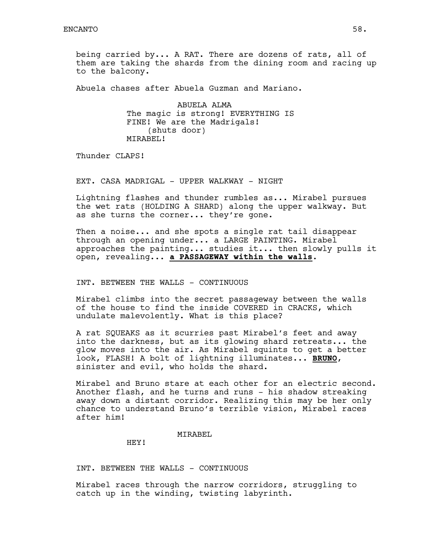being carried by... A RAT. There are dozens of rats, all of them are taking the shards from the dining room and racing up to the balcony.

Abuela chases after Abuela Guzman and Mariano.

ABUELA ALMA The magic is strong! EVERYTHING IS FINE! We are the Madrigals! (shuts door) MIRABEL!

Thunder CLAPS!

EXT. CASA MADRIGAL - UPPER WALKWAY - NIGHT

Lightning flashes and thunder rumbles as... Mirabel pursues the wet rats (HOLDING A SHARD) along the upper walkway. But as she turns the corner... they're gone.

Then a noise... and she spots a single rat tail disappear through an opening under... a LARGE PAINTING. Mirabel approaches the painting... studies it... then slowly pulls it open, revealing... **a PASSAGEWAY within the walls**.

INT. BETWEEN THE WALLS - CONTINUOUS

Mirabel climbs into the secret passageway between the walls of the house to find the inside COVERED in CRACKS, which undulate malevolently. What is this place?

A rat SQUEAKS as it scurries past Mirabel's feet and away into the darkness, but as its glowing shard retreats... the glow moves into the air. As Mirabel squints to get a better look, FLASH! A bolt of lightning illuminates... **BRUNO**, sinister and evil, who holds the shard.

Mirabel and Bruno stare at each other for an electric second. Another flash, and he turns and runs - his shadow streaking away down a distant corridor. Realizing this may be her only chance to understand Bruno's terrible vision, Mirabel races after him!

### MIRABEL

HEY!

INT. BETWEEN THE WALLS - CONTINUOUS

Mirabel races through the narrow corridors, struggling to catch up in the winding, twisting labyrinth.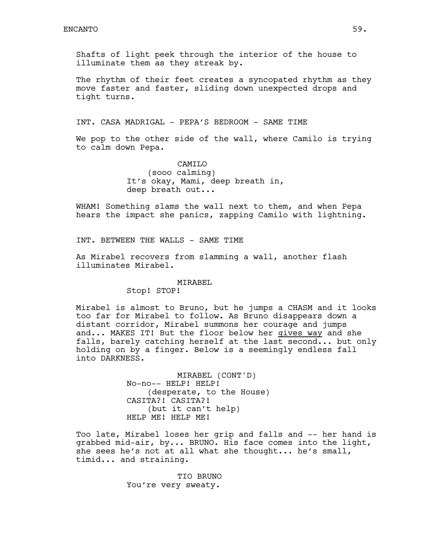Shafts of light peek through the interior of the house to illuminate them as they streak by.

The rhythm of their feet creates a syncopated rhythm as they move faster and faster, sliding down unexpected drops and tight turns.

INT. CASA MADRIGAL - PEPA'S BEDROOM - SAME TIME

We pop to the other side of the wall, where Camilo is trying to calm down Pepa.

> CAMILO (sooo calming) It's okay, Mami, deep breath in, deep breath out...

WHAM! Something slams the wall next to them, and when Pepa hears the impact she panics, zapping Camilo with lightning.

INT. BETWEEN THE WALLS - SAME TIME

As Mirabel recovers from slamming a wall, another flash illuminates Mirabel.

### MIRABEL

Stop! STOP!

Mirabel is almost to Bruno, but he jumps a CHASM and it looks too far for Mirabel to follow. As Bruno disappears down a distant corridor, Mirabel summons her courage and jumps and... MAKES IT! But the floor below her gives way and she falls, barely catching herself at the last second... but only holding on by a finger. Below is a seemingly endless fall into DARKNESS.

> MIRABEL (CONT'D) No-no-- HELP! HELP! (desperate, to the House) CASITA?! CASITA?! (but it can't help) HELP ME! HELP ME!

Too late, Mirabel loses her grip and falls and -- her hand is grabbed mid-air, by... BRUNO. His face comes into the light, she sees he's not at all what she thought... he's small, timid... and straining.

> TIO BRUNO You're very sweaty.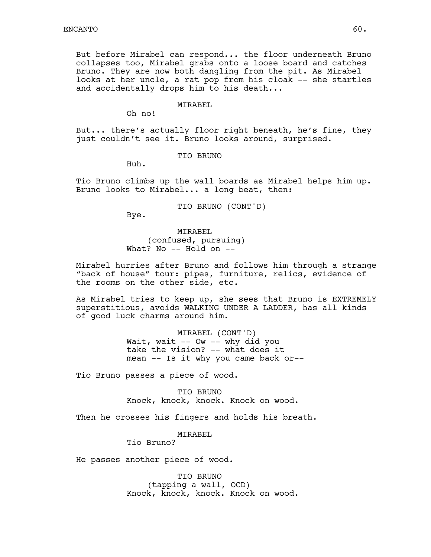But before Mirabel can respond... the floor underneath Bruno collapses too, Mirabel grabs onto a loose board and catches Bruno. They are now both dangling from the pit. As Mirabel looks at her uncle, a rat pop from his cloak -- she startles and accidentally drops him to his death...

## MIRABEL

Oh no!

But... there's actually floor right beneath, he's fine, they just couldn't see it. Bruno looks around, surprised.

TIO BRUNO

Huh.

Tio Bruno climbs up the wall boards as Mirabel helps him up. Bruno looks to Mirabel... a long beat, then:

TIO BRUNO (CONT'D)

Bye.

MIRABEL (confused, pursuing) What? No  $--$  Hold on  $--$ 

Mirabel hurries after Bruno and follows him through a strange "back of house" tour: pipes, furniture, relics, evidence of the rooms on the other side, etc.

As Mirabel tries to keep up, she sees that Bruno is EXTREMELY superstitious, avoids WALKING UNDER A LADDER, has all kinds of good luck charms around him.

> MIRABEL (CONT'D) Wait, wait -- Ow -- why did you take the vision? -- what does it mean -- Is it why you came back or--

Tio Bruno passes a piece of wood.

TIO BRUNO Knock, knock, knock. Knock on wood.

Then he crosses his fingers and holds his breath.

MIRABEL

Tio Bruno?

He passes another piece of wood.

TIO BRUNO (tapping a wall, OCD) Knock, knock, knock. Knock on wood.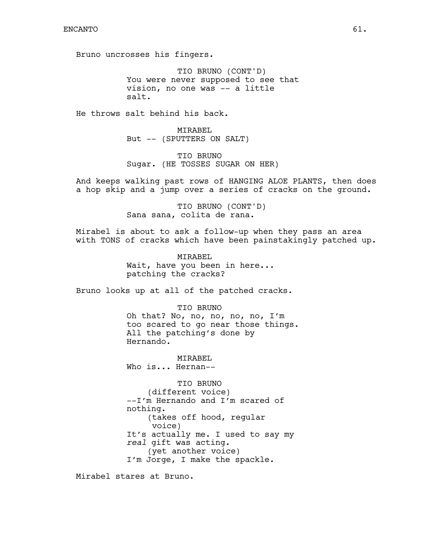Bruno uncrosses his fingers.

TIO BRUNO (CONT'D) You were never supposed to see that vision, no one was -- a little salt.

He throws salt behind his back.

MIRABEL But -- (SPUTTERS ON SALT)

TIO BRUNO Sugar. (HE TOSSES SUGAR ON HER)

And keeps walking past rows of HANGING ALOE PLANTS, then does a hop skip and a jump over a series of cracks on the ground.

> TIO BRUNO (CONT'D) Sana sana, colita de rana.

Mirabel is about to ask a follow-up when they pass an area with TONS of cracks which have been painstakingly patched up.

> MTRABEL. Wait, have you been in here... patching the cracks?

Bruno looks up at all of the patched cracks.

TIO BRUNO Oh that? No, no, no, no, no, I'm too scared to go near those things. All the patching's done by Hernando.

MIRABEL Who is... Hernan--

TIO BRUNO (different voice) --I'm Hernando and I'm scared of nothing. (takes off hood, regular voice) It's actually me. I used to say my *real* gift was acting. (yet another voice) I'm Jorge, I make the spackle.

Mirabel stares at Bruno.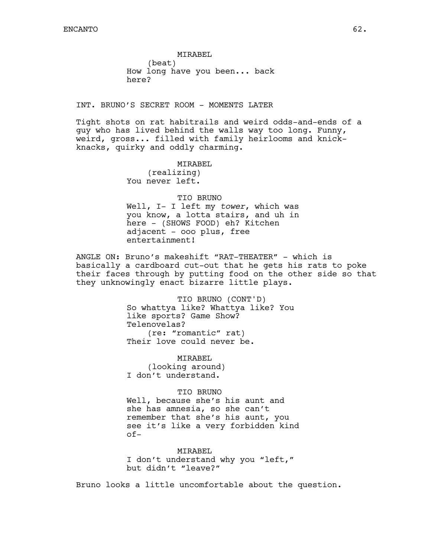MTRABEL. (beat) How long have you been... back here?

INT. BRUNO'S SECRET ROOM - MOMENTS LATER

Tight shots on rat habitrails and weird odds-and-ends of a guy who has lived behind the walls way too long. Funny, weird, gross... filled with family heirlooms and knickknacks, quirky and oddly charming.

## MTRABEL.

(realizing) You never left.

## TIO BRUNO Well, I- I left my *tower*, which was you know, a lotta stairs, and uh in here - (SHOWS FOOD) eh? Kitchen adjacent - ooo plus, free entertainment!

ANGLE ON: Bruno's makeshift "RAT-THEATER" - which is basically a cardboard cut-out that he gets his rats to poke their faces through by putting food on the other side so that they unknowingly enact bizarre little plays.

> TIO BRUNO (CONT'D) So whattya like? Whattya like? You like sports? Game Show? Telenovelas? (re: "romantic" rat) Their love could never be.

MIRABEL (looking around) I don't understand.

TIO BRUNO

Well, because she's his aunt and she has amnesia, so she can't remember that she's his aunt, you see it's like a very forbidden kind of-

MIRABEL I don't understand why you "left," but didn't "leave?"

Bruno looks a little uncomfortable about the question.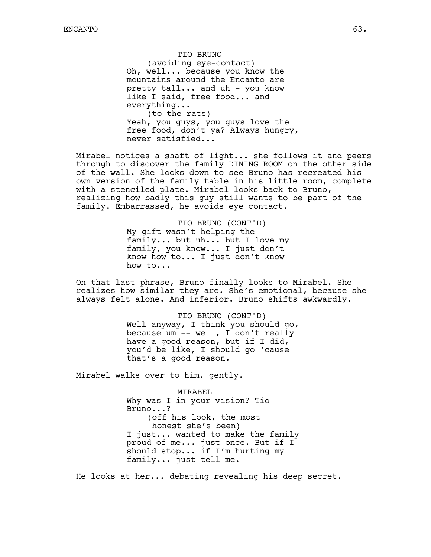TIO BRUNO (avoiding eye-contact) Oh, well... because you know the mountains around the Encanto are pretty tall... and uh - you know like I said, free food... and everything... (to the rats) Yeah, you guys, you guys love the free food, don't ya? Always hungry, never satisfied...

Mirabel notices a shaft of light... she follows it and peers through to discover the family DINING ROOM on the other side of the wall. She looks down to see Bruno has recreated his own version of the family table in his little room, complete with a stenciled plate. Mirabel looks back to Bruno, realizing how badly this guy still wants to be part of the family. Embarrassed, he avoids eye contact.

> TIO BRUNO (CONT'D) My gift wasn't helping the family... but uh... but I love my family, you know... I just don't know how to... I just don't know how to...

On that last phrase, Bruno finally looks to Mirabel. She realizes how similar they are. She's emotional, because she always felt alone. And inferior. Bruno shifts awkwardly.

> TIO BRUNO (CONT'D) Well anyway, I think you should go, because um -- well, I don't really have a good reason, but if I did, you'd be like, I should go 'cause that's a good reason.

Mirabel walks over to him, gently.

MIRABEL Why was I in your vision? Tio Bruno...? (off his look, the most honest she's been) I just... wanted to make the family proud of me... just once. But if I should stop... if I'm hurting my family... just tell me.

He looks at her... debating revealing his deep secret.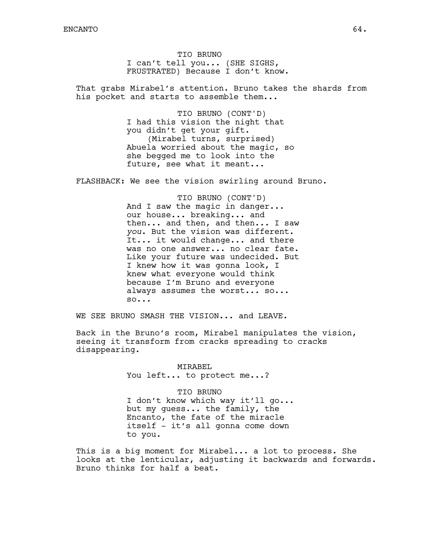TIO BRUNO I can't tell you... (SHE SIGHS, FRUSTRATED) Because I don't know.

That grabs Mirabel's attention. Bruno takes the shards from his pocket and starts to assemble them...

> TIO BRUNO (CONT'D) I had this vision the night that you didn't get your gift. (Mirabel turns, surprised) Abuela worried about the magic, so she begged me to look into the future, see what it meant...

FLASHBACK: We see the vision swirling around Bruno.

TIO BRUNO (CONT'D) And I saw the magic in danger... our house... breaking... and then... and then, and then... I saw *you*. But the vision was different**.**  It..**.** it would change... and there was no one answer... no clear fate. Like your future was undecided. But I knew how it was gonna look, I knew what everyone would think because I'm Bruno and everyone always assumes the worst... so... so...

WE SEE BRUNO SMASH THE VISION... and LEAVE.

Back in the Bruno's room, Mirabel manipulates the vision, seeing it transform from cracks spreading to cracks disappearing.

> MIRABEL You left... to protect me...?

TIO BRUNO I don't know which way it'll go... but my guess... the family, the Encanto, the fate of the miracle itself - it's all gonna come down to you.

This is a big moment for Mirabel... a lot to process. She looks at the lenticular, adjusting it backwards and forwards. Bruno thinks for half a beat.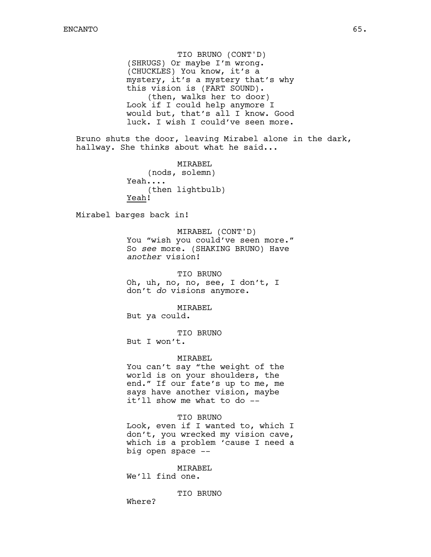TIO BRUNO (CONT'D) (SHRUGS) Or maybe I'm wrong. (CHUCKLES) You know, it's a mystery, it's a mystery that's why this vision is (FART SOUND). (then, walks her to door) Look if I could help anymore I would but, that's all I know. Good luck. I wish I could've seen more.

Bruno shuts the door, leaving Mirabel alone in the dark, hallway. She thinks about what he said...

> MIRABEL (nods, solemn) Yeah.... (then lightbulb) Yeah!

Mirabel barges back in!

MIRABEL (CONT'D) You "wish you could've seen more." So *see* more. (SHAKING BRUNO) Have *another* vision!

TIO BRUNO Oh, uh, no, no, see, I don't, I don't *do* visions anymore.

MIRABEL

But ya could.

TIO BRUNO

But I won't.

### MIRABEL

You can't say "the weight of the world is on your shoulders, the end." If our fate's up to me, me says have another vision, maybe it'll show me what to do --

### TIO BRUNO

Look, even if I wanted to, which I don't, you wrecked my vision cave, which is a problem 'cause I need a big open space --

MIRABEL We'll find one.

TIO BRUNO

Where?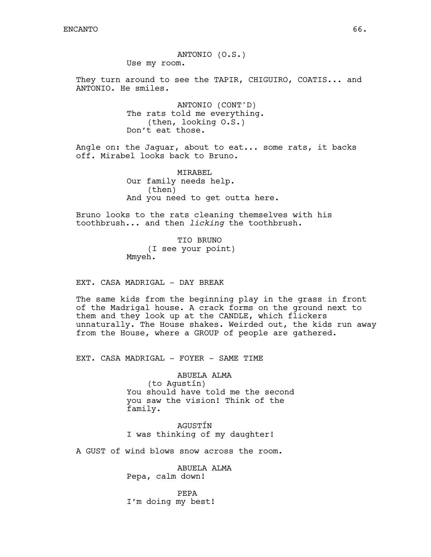ANTONIO (O.S.)

Use my room.

They turn around to see the TAPIR, CHIGUIRO, COATIS... and ANTONIO. He smiles.

> ANTONIO (CONT'D) The rats told me everything. (then, looking O.S.) Don't eat those.

Angle on: the Jaguar, about to eat... some rats, it backs off. Mirabel looks back to Bruno.

> MTRABEL, Our family needs help. (then) And you need to get outta here.

Bruno looks to the rats cleaning themselves with his toothbrush... and then *licking* the toothbrush.

> TIO BRUNO (I see your point) Mmyeh.

EXT. CASA MADRIGAL - DAY BREAK

The same kids from the beginning play in the grass in front of the Madrigal house. A crack forms on the ground next to them and they look up at the CANDLE, which flickers unnaturally. The House shakes. Weirded out, the kids run away from the House, where a GROUP of people are gathered.

EXT. CASA MADRIGAL - FOYER - SAME TIME

ABUELA ALMA (to Agustín) You should have told me the second you saw the vision! Think of the family.

AGUSTÍN I was thinking of my daughter!

A GUST of wind blows snow across the room.

ABUELA ALMA Pepa, calm down!

PEPA I'm doing my best!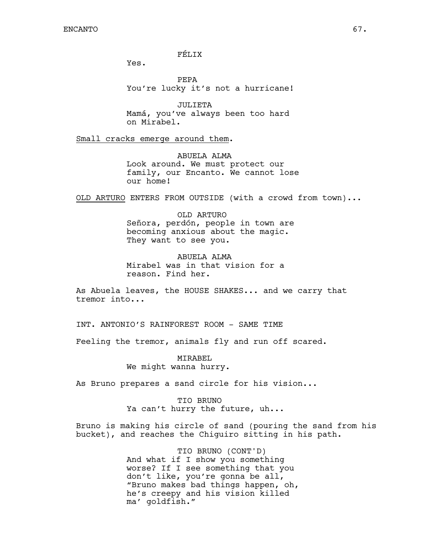FÉLIX

Yes.

PEPA You're lucky it's not a hurricane!

JULIETA Mamá, you've always been too hard on Mirabel.

Small cracks emerge around them.

ABUELA ALMA Look around. We must protect our family, our Encanto. We cannot lose our home!

OLD ARTURO ENTERS FROM OUTSIDE (with a crowd from town)...

OLD ARTURO Señora, perdón, people in town are becoming anxious about the magic. They want to see you.

ABUELA ALMA Mirabel was in that vision for a reason. Find her.

As Abuela leaves, the HOUSE SHAKES... and we carry that tremor into...

INT. ANTONIO'S RAINFOREST ROOM - SAME TIME

Feeling the tremor, animals fly and run off scared.

MIRABEL We might wanna hurry.

As Bruno prepares a sand circle for his vision...

TIO BRUNO Ya can't hurry the future, uh...

Bruno is making his circle of sand (pouring the sand from his bucket), and reaches the Chiguiro sitting in his path.

> TIO BRUNO (CONT'D) And what if I show you something worse? If I see something that you don't like, you're gonna be all, "Bruno makes bad things happen, oh, he's creepy and his vision killed ma' goldfish."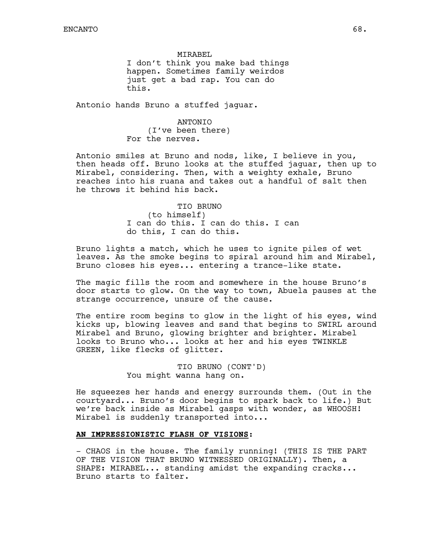MTRABEL I don't think you make bad things happen. Sometimes family weirdos just get a bad rap. You can do this.

Antonio hands Bruno a stuffed jaguar.

ANTONIO (I've been there) For the nerves.

Antonio smiles at Bruno and nods, like, I believe in you, then heads off. Bruno looks at the stuffed jaguar, then up to Mirabel, considering. Then, with a weighty exhale, Bruno reaches into his ruana and takes out a handful of salt then he throws it behind his back.

> TIO BRUNO (to himself) I can do this. I can do this. I can do this, I can do this.

Bruno lights a match, which he uses to ignite piles of wet leaves. As the smoke begins to spiral around him and Mirabel, Bruno closes his eyes... entering a trance-like state.

The magic fills the room and somewhere in the house Bruno's door starts to glow. On the way to town, Abuela pauses at the strange occurrence, unsure of the cause.

The entire room begins to glow in the light of his eyes, wind kicks up, blowing leaves and sand that begins to SWIRL around Mirabel and Bruno, glowing brighter and brighter. Mirabel looks to Bruno who... looks at her and his eyes TWINKLE GREEN, like flecks of glitter.

> TIO BRUNO (CONT'D) You might wanna hang on.

He squeezes her hands and energy surrounds them. (Out in the courtyard... Bruno's door begins to spark back to life.) But we're back inside as Mirabel gasps with wonder, as WHOOSH! Mirabel is suddenly transported into...

### **AN IMPRESSIONISTIC FLASH OF VISIONS**:

- CHAOS in the house. The family running! (THIS IS THE PART OF THE VISION THAT BRUNO WITNESSED ORIGINALLY). Then, a SHAPE: MIRABEL... standing amidst the expanding cracks... Bruno starts to falter.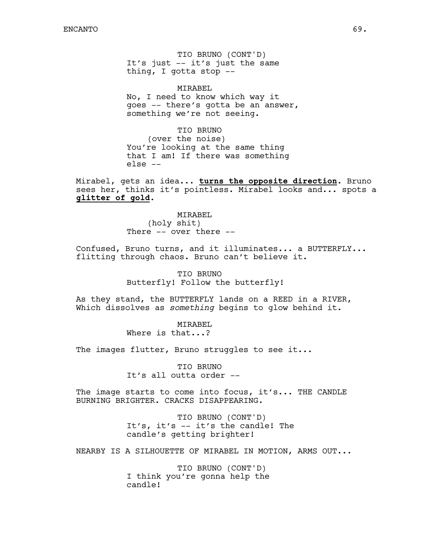TIO BRUNO (CONT'D) It's just -- it's just the same thing, I gotta stop --

MIRABEL No, I need to know which way it goes -- there's gotta be an answer, something we're not seeing.

TIO BRUNO (over the noise) You're looking at the same thing that I am! If there was something else --

Mirabel, gets an idea... **turns the opposite direction**. Bruno sees her, thinks it's pointless. Mirabel looks and... spots a **glitter of gold**.

> MIRABEL (holy shit) There -- over there --

Confused, Bruno turns, and it illuminates... a BUTTERFLY... flitting through chaos. Bruno can't believe it.

> TIO BRUNO Butterfly! Follow the butterfly!

As they stand, the BUTTERFLY lands on a REED in a RIVER, Which dissolves as *something* begins to glow behind it.

> MIRABEL Where is that...?

The images flutter, Bruno struggles to see it...

TIO BRUNO It's all outta order --

The image starts to come into focus, it's... THE CANDLE BURNING BRIGHTER. CRACKS DISAPPEARING.

> TIO BRUNO (CONT'D) It's, it's -- it's the candle! The candle's getting brighter!

NEARBY IS A SILHOUETTE OF MIRABEL IN MOTION, ARMS OUT...

TIO BRUNO (CONT'D) I think you're gonna help the candle!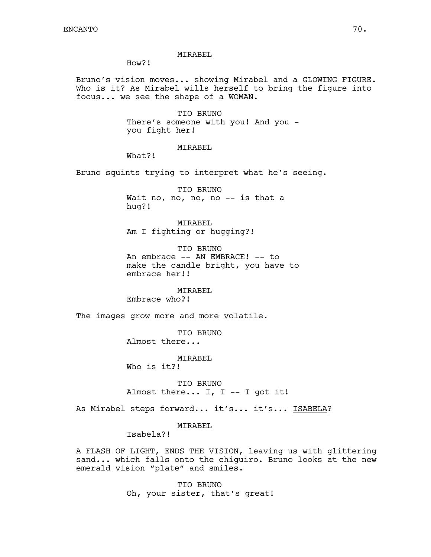## MIRABEL

How?!

Bruno's vision moves... showing Mirabel and a GLOWING FIGURE. Who is it? As Mirabel wills herself to bring the figure into focus... we see the shape of a WOMAN.

> TIO BRUNO There's someone with you! And you you fight her!

> > MIRABEL

What?!

Bruno squints trying to interpret what he's seeing.

TIO BRUNO Wait no, no, no, no -- is that a hug?!

MIRABEL Am I fighting or hugging?!

TIO BRUNO An embrace -- AN EMBRACE! -- to make the candle bright, you have to embrace her!!

MIRABEL Embrace who?!

The images grow more and more volatile.

TIO BRUNO Almost there...

MIRABEL Who is it?!

TIO BRUNO Almost there... I, I -- I got it!

As Mirabel steps forward... it's... it's... ISABELA?

### MIRABEL

Isabela?!

A FLASH OF LIGHT, ENDS THE VISION, leaving us with glittering sand... which falls onto the chiguiro. Bruno looks at the new emerald vision "plate" and smiles.

> TIO BRUNO Oh, your sister, that's great!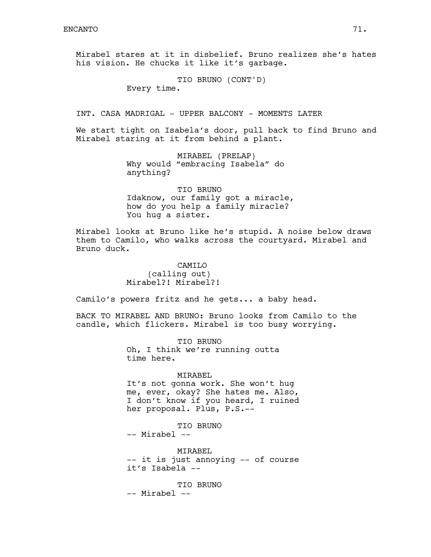Mirabel stares at it in disbelief. Bruno realizes she's hates his vision. He chucks it like it's garbage.

> TIO BRUNO (CONT'D) Every time.

INT. CASA MADRIGAL - UPPER BALCONY - MOMENTS LATER

We start tight on Isabela's door, pull back to find Bruno and Mirabel staring at it from behind a plant.

> MIRABEL (PRELAP) Why would "embracing Isabela" do anything?

TIO BRUNO Idaknow, our family got a miracle, how do you help a family miracle? You hug a sister.

Mirabel looks at Bruno like he's stupid. A noise below draws them to Camilo, who walks across the courtyard. Mirabel and Bruno duck.

> CAMILO (calling out) Mirabel?! Mirabel?!

Camilo's powers fritz and he gets... a baby head.

BACK TO MIRABEL AND BRUNO: Bruno looks from Camilo to the candle, which flickers. Mirabel is too busy worrying.

> TIO BRUNO Oh, I think we're running outta time here.

> > MIRABEL

It's not gonna work. She won't hug me, ever, okay? She hates me. Also, I don't know if you heard, I ruined her proposal. Plus, P.S.--

TIO BRUNO

-- Mirabel --

MIRABEL -- it is just annoying -- of course it's Isabela --

TIO BRUNO -- Mirabel --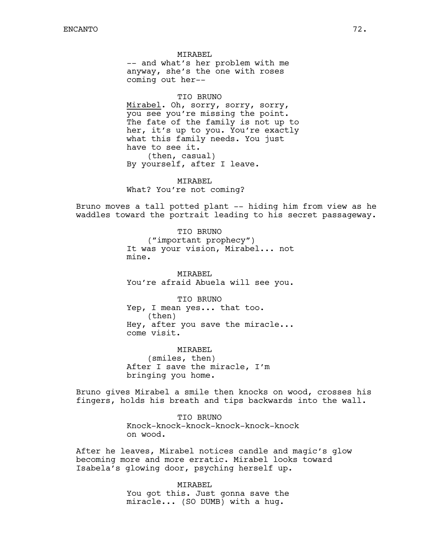MTRABEL. -- and what's her problem with me anyway, she's the one with roses coming out her--

TIO BRUNO Mirabel. Oh, sorry, sorry, sorry, you see you're missing the point. The fate of the family is not up to her, it's up to you. You're exactly what this family needs. You just have to see it. (then, casual) By yourself, after I leave.

MTRABEL. What? You're not coming?

Bruno moves a tall potted plant -- hiding him from view as he waddles toward the portrait leading to his secret passageway.

> TIO BRUNO ("important prophecy") It was your vision, Mirabel... not mine.

> MIRABEL You're afraid Abuela will see you.

> TIO BRUNO Yep, I mean yes... that too. (then) Hey, after you save the miracle... come visit.

MIRABEL (smiles, then) After I save the miracle, I'm bringing you home.

Bruno gives Mirabel a smile then knocks on wood, crosses his fingers, holds his breath and tips backwards into the wall.

> TIO BRUNO Knock-knock-knock-knock-knock-knock on wood.

After he leaves, Mirabel notices candle and magic's glow becoming more and more erratic. Mirabel looks toward Isabela's glowing door, psyching herself up.

> MIRABEL You got this. Just gonna save the miracle... (SO DUMB) with a hug.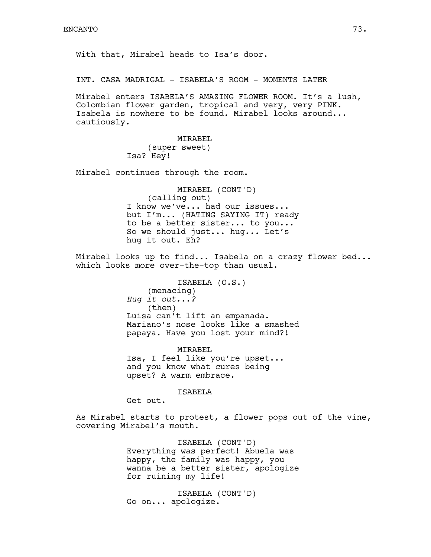With that, Mirabel heads to Isa's door.

INT. CASA MADRIGAL - ISABELA'S ROOM - MOMENTS LATER

Mirabel enters ISABELA'S AMAZING FLOWER ROOM. It's a lush, Colombian flower garden, tropical and very, very PINK. Isabela is nowhere to be found. Mirabel looks around... cautiously.

> MIRABEL (super sweet) Isa? Hey!

Mirabel continues through the room.

MIRABEL (CONT'D) (calling out) I know we've... had our issues... but I'm... (HATING SAYING IT) ready to be a better sister... to you... So we should just... hug... Let's hug it out. Eh?

Mirabel looks up to find... Isabela on a crazy flower bed... which looks more over-the-top than usual.

> ISABELA (O.S.) (menacing) *Hug it out...?* (then) Luisa can't lift an empanada. Mariano's nose looks like a smashed papaya. Have you lost your mind?!

MIRABEL Isa, I feel like you're upset... and you know what cures being upset? A warm embrace.

ISABELA

Get out.

As Mirabel starts to protest, a flower pops out of the vine, covering Mirabel's mouth.

> ISABELA (CONT'D) Everything was perfect! Abuela was happy, the family was happy, you wanna be a better sister, apologize for ruining my life!

ISABELA (CONT'D) Go on... apologize.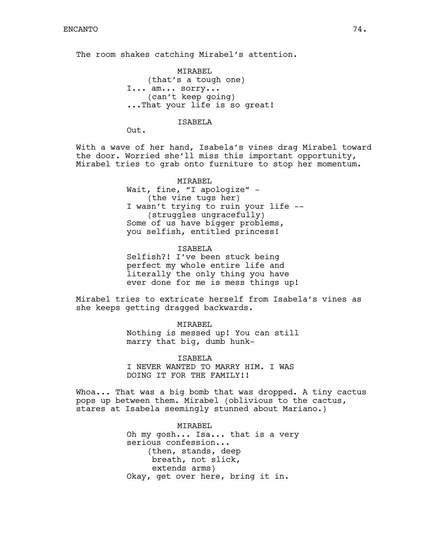The room shakes catching Mirabel's attention.

MIRABEL (that's a tough one) I... am... sorry... (can't keep going) ...That your life is so great!

#### ISABELA

Out.

With a wave of her hand, Isabela's vines drag Mirabel toward the door. Worried she'll miss this important opportunity, Mirabel tries to grab onto furniture to stop her momentum.

> MIRABEL Wait, fine, "I apologize" - (the vine tugs her) I wasn't trying to ruin your life -- (struggles ungracefully) Some of us have bigger problems, you selfish, entitled princess!

ISABELA Selfish?! I've been stuck being perfect my whole entire life and literally the only thing you have ever done for me is mess things up!

Mirabel tries to extricate herself from Isabela's vines as she keeps getting dragged backwards.

#### MIRABEL

Nothing is messed up! You can still marry that big, dumb hunk-

ISABELA I NEVER WANTED TO MARRY HIM. I WAS DOING IT FOR THE FAMILY!!

Whoa... That was a big bomb that was dropped. A tiny cactus pops up between them. Mirabel (oblivious to the cactus, stares at Isabela seemingly stunned about Mariano.)

> MIRABEL Oh my gosh... Isa... that is a very serious confession... (then, stands, deep breath, not slick, extends arms) Okay, get over here, bring it in.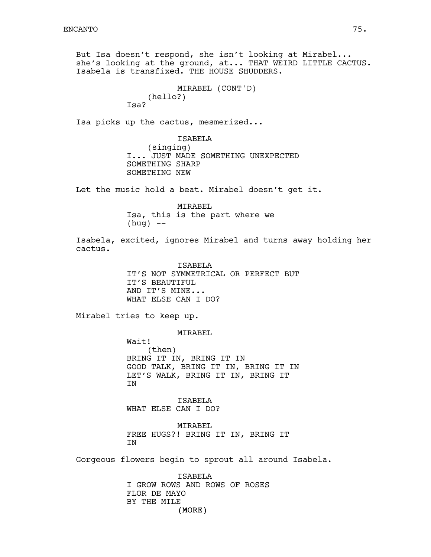But Isa doesn't respond, she isn't looking at Mirabel... she's looking at the ground, at... THAT WEIRD LITTLE CACTUS. Isabela is transfixed. THE HOUSE SHUDDERS.

```
MIRABEL (CONT'D)
(hello?)
```
Isa picks up the cactus, mesmerized...

Isa?

ISABELA (singing) I... JUST MADE SOMETHING UNEXPECTED SOMETHING SHARP SOMETHING NEW

Let the music hold a beat. Mirabel doesn't get it.

MIRABEL Isa, this is the part where we (hug) --

Isabela, excited, ignores Mirabel and turns away holding her cactus.

> ISABELA IT'S NOT SYMMETRICAL OR PERFECT BUT IT'S BEAUTIFUL AND IT'S MINE... WHAT ELSE CAN I DO?

Mirabel tries to keep up.

MIRABEL

Wait! (then) BRING IT IN, BRING IT IN GOOD TALK, BRING IT IN, BRING IT IN LET'S WALK, BRING IT IN, BRING IT IN

ISABELA WHAT ELSE CAN I DO?

MIRABEL FREE HUGS?! BRING IT IN, BRING IT IN

Gorgeous flowers begin to sprout all around Isabela.

(MORE) ISABELA I GROW ROWS AND ROWS OF ROSES FLOR DE MAYO BY THE MILE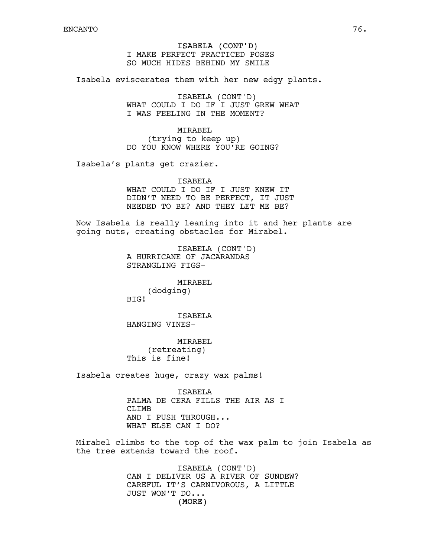ISABELA (CONT'D) I MAKE PERFECT PRACTICED POSES SO MUCH HIDES BEHIND MY SMILE

Isabela eviscerates them with her new edgy plants.

ISABELA (CONT'D) WHAT COULD I DO IF I JUST GREW WHAT I WAS FEELING IN THE MOMENT?

MIRABEL (trying to keep up) DO YOU KNOW WHERE YOU'RE GOING?

Isabela's plants get crazier.

ISABELA WHAT COULD I DO IF I JUST KNEW IT DIDN'T NEED TO BE PERFECT, IT JUST NEEDED TO BE? AND THEY LET ME BE?

Now Isabela is really leaning into it and her plants are going nuts, creating obstacles for Mirabel.

> ISABELA (CONT'D) A HURRICANE OF JACARANDAS STRANGLING FIGS-

MIRABEL (dodging) BIG!

**TSABELA** HANGING VINES-

MIRABEL (retreating) This is fine!

Isabela creates huge, crazy wax palms!

ISABELA PALMA DE CERA FILLS THE AIR AS I CLTMB AND I PUSH THROUGH... WHAT ELSE CAN I DO?

Mirabel climbs to the top of the wax palm to join Isabela as the tree extends toward the roof.

> (MORE) ISABELA (CONT'D) CAN I DELIVER US A RIVER OF SUNDEW? CAREFUL IT'S CARNIVOROUS, A LITTLE JUST WON'T DO...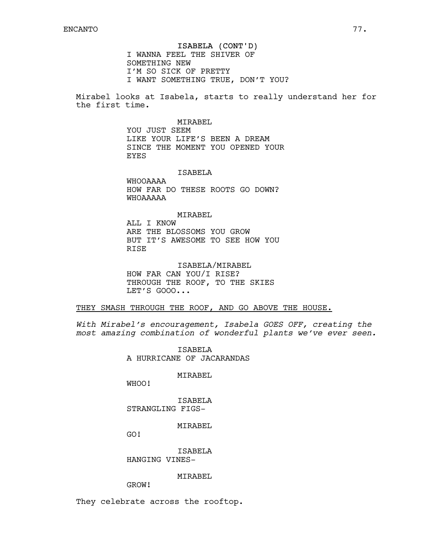ISABELA (CONT'D) I WANNA FEEL THE SHIVER OF SOMETHING NEW I'M SO SICK OF PRETTY I WANT SOMETHING TRUE, DON'T YOU?

Mirabel looks at Isabela, starts to really understand her for the first time.

MIRABEL

YOU JUST SEEM LIKE YOUR LIFE'S BEEN A DREAM SINCE THE MOMENT YOU OPENED YOUR EYES

ISABELA WHOOAAAA HOW FAR DO THESE ROOTS GO DOWN? WHOAAAAA

MIRABEL

ALL I KNOW ARE THE BLOSSOMS YOU GROW BUT IT'S AWESOME TO SEE HOW YOU RISE

ISABELA/MIRABEL HOW FAR CAN YOU/I RISE? THROUGH THE ROOF, TO THE SKIES LET'S GOOO...

THEY SMASH THROUGH THE ROOF, AND GO ABOVE THE HOUSE.

*With Mirabel's encouragement, Isabela GOES OFF, creating the most amazing combination of wonderful plants we've ever seen.*

> ISABELA A HURRICANE OF JACARANDAS

> > MIRABEL

WHOO!

ISABELA STRANGLING FIGS-

MIRABEL

GO!

ISABELA HANGING VINES-

MIRABEL

GROW!

They celebrate across the rooftop.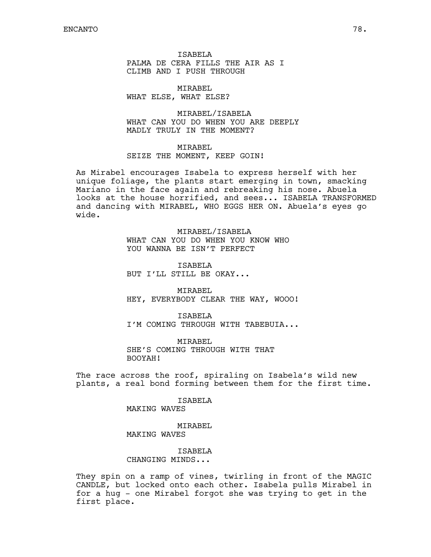**TSABELA** PALMA DE CERA FILLS THE AIR AS I CLIMB AND I PUSH THROUGH

MIRABEL WHAT ELSE, WHAT ELSE?

MIRABEL/ISABELA WHAT CAN YOU DO WHEN YOU ARE DEEPLY MADLY TRULY IN THE MOMENT?

MIRABEL SEIZE THE MOMENT, KEEP GOIN!

As Mirabel encourages Isabela to express herself with her unique foliage, the plants start emerging in town, smacking Mariano in the face again and rebreaking his nose. Abuela looks at the house horrified, and sees... ISABELA TRANSFORMED and dancing with MIRABEL, WHO EGGS HER ON. Abuela's eyes go wide.

> MIRABEL/ISABELA WHAT CAN YOU DO WHEN YOU KNOW WHO YOU WANNA BE ISN'T PERFECT

ISABELA BUT I'LL STILL BE OKAY...

MIRABEL HEY, EVERYBODY CLEAR THE WAY, WOOO!

**TSABELA** I'M COMING THROUGH WITH TABEBUIA...

MIRABEL SHE'S COMING THROUGH WITH THAT BOOYAH!

The race across the roof, spiraling on Isabela's wild new plants, a real bond forming between them for the first time.

ISABELA

MAKING WAVES

MIRABEL MAKING WAVES

ISABELA CHANGING MINDS...

They spin on a ramp of vines, twirling in front of the MAGIC CANDLE, but locked onto each other. Isabela pulls Mirabel in for a hug - one Mirabel forgot she was trying to get in the first place.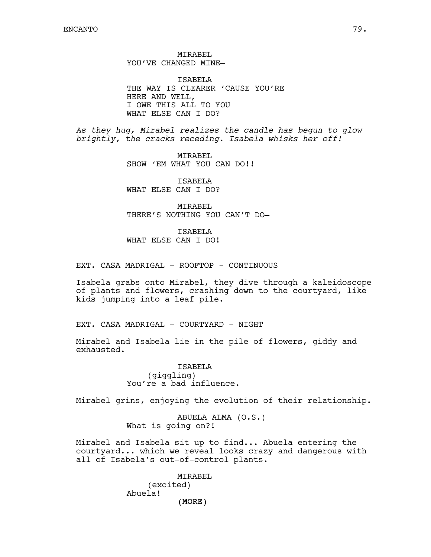MTRABEL. YOU'VE CHANGED MINE—

ISABELA THE WAY IS CLEARER 'CAUSE YOU'RE HERE AND WELL, I OWE THIS ALL TO YOU WHAT ELSE CAN I DO?

*As they hug, Mirabel realizes the candle has begun to glow brightly, the cracks receding. Isabela whisks her off!*

> MIRABEL SHOW 'EM WHAT YOU CAN DO!!

ISABELA WHAT ELSE CAN I DO?

MIRABEL THERE'S NOTHING YOU CAN'T DO—

ISABELA WHAT ELSE CAN I DO!

EXT. CASA MADRIGAL - ROOFTOP - CONTINUOUS

Isabela grabs onto Mirabel, they dive through a kaleidoscope of plants and flowers, crashing down to the courtyard, like kids jumping into a leaf pile.

EXT. CASA MADRIGAL - COURTYARD - NIGHT

Mirabel and Isabela lie in the pile of flowers, giddy and exhausted.

> ISABELA (giggling) You're a bad influence.

Mirabel grins, enjoying the evolution of their relationship.

ABUELA ALMA (O.S.) What is going on?!

Mirabel and Isabela sit up to find... Abuela entering the courtyard... which we reveal looks crazy and dangerous with all of Isabela's out-of-control plants.

> (MORE) MIRABEL (excited) Abuela!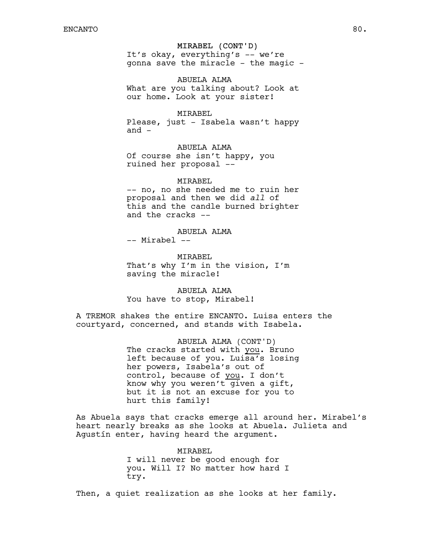#### MIRABEL (CONT'D)

It's okay, everything's -- we're gonna save the miracle - the magic -

ABUELA ALMA What are you talking about? Look at our home. Look at your sister!

MIRABEL Please, just - Isabela wasn't happy and  $-$ 

ABUELA ALMA Of course she isn't happy, you ruined her proposal --

MIRABEL -- no, no she needed me to ruin her proposal and then we did *all* of this and the candle burned brighter and the cracks --

ABUELA ALMA -- Mirabel --

MTRABEL. That's why I'm in the vision, I'm saving the miracle!

ABUELA ALMA You have to stop, Mirabel!

A TREMOR shakes the entire ENCANTO. Luisa enters the courtyard, concerned, and stands with Isabela.

> ABUELA ALMA (CONT'D) The cracks started with you. Bruno left because of you. Luisa's losing her powers, Isabela's out of control, because of you. I don't know why you weren't given a gift, but it is not an excuse for you to hurt this family!

As Abuela says that cracks emerge all around her. Mirabel's heart nearly breaks as she looks at Abuela. Julieta and Agustín enter, having heard the argument.

> MIRABEL I will never be good enough for you. Will I? No matter how hard I try.

Then, a quiet realization as she looks at her family.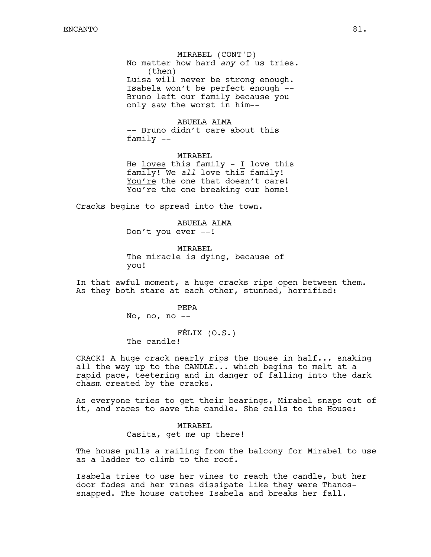MIRABEL (CONT'D) No matter how hard *any* of us tries. (then) Luisa will never be strong enough. Isabela won't be perfect enough -- Bruno left our family because you only saw the worst in him--

ABUELA ALMA -- Bruno didn't care about this family --

MIRABEL He loves this family - I love this family! We *all* love this family! You're the one that doesn't care! You're the one breaking our home!

Cracks begins to spread into the town.

ABUELA ALMA Don't you ever --!

MIRABEL The miracle is dying, because of you!

In that awful moment, a huge cracks rips open between them. As they both stare at each other, stunned, horrified:

> PEPA No, no, no --

FÉLIX (O.S.) The candle!

CRACK! A huge crack nearly rips the House in half... snaking all the way up to the CANDLE... which begins to melt at a rapid pace, teetering and in danger of falling into the dark chasm created by the cracks.

As everyone tries to get their bearings, Mirabel snaps out of it, and races to save the candle. She calls to the House:

> MIRABEL Casita, get me up there!

The house pulls a railing from the balcony for Mirabel to use as a ladder to climb to the roof.

Isabela tries to use her vines to reach the candle, but her door fades and her vines dissipate like they were Thanossnapped. The house catches Isabela and breaks her fall.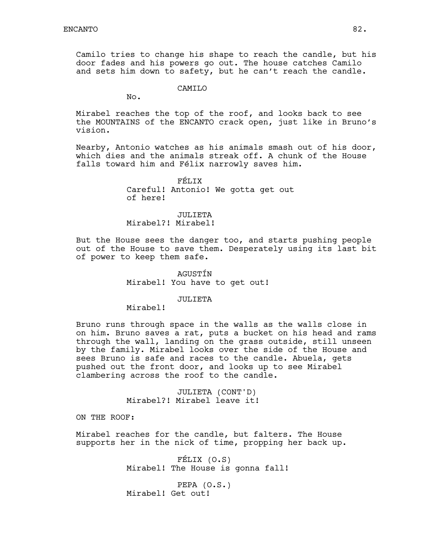Camilo tries to change his shape to reach the candle, but his door fades and his powers go out. The house catches Camilo and sets him down to safety, but he can't reach the candle.

CAMILO

No.

Mirabel reaches the top of the roof, and looks back to see the MOUNTAINS of the ENCANTO crack open, just like in Bruno's vision.

Nearby, Antonio watches as his animals smash out of his door, which dies and the animals streak off. A chunk of the House falls toward him and Félix narrowly saves him.

> FÉLIX Careful! Antonio! We gotta get out of here!

JULIETA Mirabel?! Mirabel!

But the House sees the danger too, and starts pushing people out of the House to save them. Desperately using its last bit of power to keep them safe.

> AGUSTÍN Mirabel! You have to get out!

> > JULIETA

Mirabel!

Bruno runs through space in the walls as the walls close in on him. Bruno saves a rat, puts a bucket on his head and rams through the wall, landing on the grass outside, still unseen by the family. Mirabel looks over the side of the House and sees Bruno is safe and races to the candle. Abuela, gets pushed out the front door, and looks up to see Mirabel clambering across the roof to the candle.

> JULIETA (CONT'D) Mirabel?! Mirabel leave it!

ON THE ROOF:

Mirabel reaches for the candle, but falters. The House supports her in the nick of time, propping her back up.

> FÉLIX (O.S) Mirabel! The House is gonna fall!

PEPA (O.S.) Mirabel! Get out!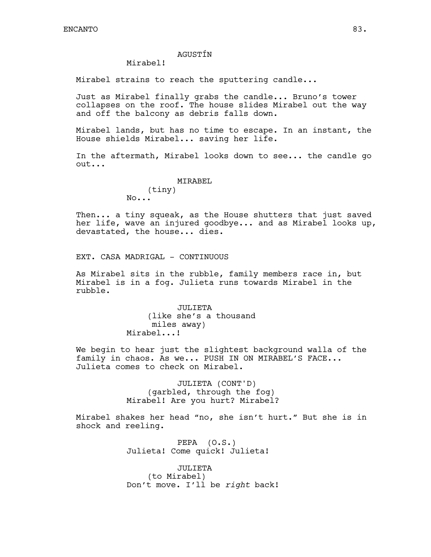# AGUSTÍN

# Mirabel!

Mirabel strains to reach the sputtering candle...

Just as Mirabel finally grabs the candle... Bruno's tower collapses on the roof. The house slides Mirabel out the way and off the balcony as debris falls down.

Mirabel lands, but has no time to escape. In an instant, the House shields Mirabel... saving her life.

In the aftermath, Mirabel looks down to see... the candle go out...

#### MIRABEL

(tiny) No...

Then... a tiny squeak, as the House shutters that just saved her life, wave an injured goodbye... and as Mirabel looks up, devastated, the house... dies.

EXT. CASA MADRIGAL - CONTINUOUS

As Mirabel sits in the rubble, family members race in, but Mirabel is in a fog. Julieta runs towards Mirabel in the rubble.

> JULIETA (like she's a thousand miles away) Mirabel...!

We begin to hear just the slightest background walla of the family in chaos. As we... PUSH IN ON MIRABEL'S FACE... Julieta comes to check on Mirabel.

> JULIETA (CONT'D) (garbled, through the fog) Mirabel! Are you hurt? Mirabel?

Mirabel shakes her head "no, she isn't hurt." But she is in shock and reeling.

> PEPA (O.S.) Julieta! Come quick! Julieta!

JULIETA (to Mirabel) Don't move. I'll be *right* back!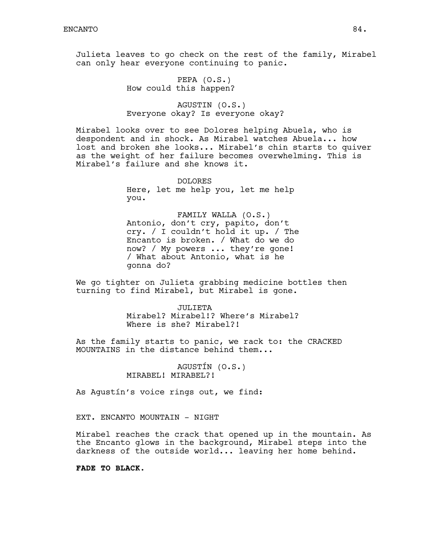Julieta leaves to go check on the rest of the family, Mirabel can only hear everyone continuing to panic.

> PEPA (O.S.) How could this happen?

AGUSTIN (O.S.) Everyone okay? Is everyone okay?

Mirabel looks over to see Dolores helping Abuela, who is despondent and in shock. As Mirabel watches Abuela... how lost and broken she looks... Mirabel's chin starts to quiver as the weight of her failure becomes overwhelming. This is Mirabel's failure and she knows it.

> DOLORES Here, let me help you, let me help you.

FAMILY WALLA (O.S.) Antonio, don't cry, papito, don't cry. / I couldn't hold it up. / The Encanto is broken. / What do we do now? / My powers ... they're gone! / What about Antonio, what is he gonna do?

We go tighter on Julieta grabbing medicine bottles then turning to find Mirabel, but Mirabel is gone.

> JULIETA Mirabel? Mirabel!? Where's Mirabel? Where is she? Mirabel?!

As the family starts to panic, we rack to: the CRACKED MOUNTAINS in the distance behind them...

> AGUSTÍN (O.S.) MIRABEL! MIRABEL?!

As Agustín's voice rings out, we find:

EXT. ENCANTO MOUNTAIN - NIGHT

Mirabel reaches the crack that opened up in the mountain. As the Encanto glows in the background, Mirabel steps into the darkness of the outside world... leaving her home behind.

**FADE TO BLACK**.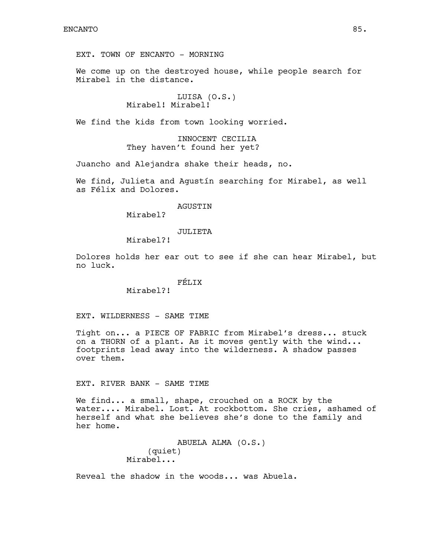EXT. TOWN OF ENCANTO - MORNING

We come up on the destroyed house, while people search for Mirabel in the distance.

> LUISA (O.S.) Mirabel! Mirabel!

We find the kids from town looking worried.

INNOCENT CECILIA They haven't found her yet?

Juancho and Alejandra shake their heads, no.

We find, Julieta and Agustín searching for Mirabel, as well as Félix and Dolores.

#### AGUSTIN

Mirabel?

# JULIETA

Mirabel?!

Dolores holds her ear out to see if she can hear Mirabel, but no luck.

# FÉLIX

Mirabel?!

EXT. WILDERNESS - SAME TIME

Tight on... a PIECE OF FABRIC from Mirabel's dress... stuck on a THORN of a plant. As it moves gently with the wind... footprints lead away into the wilderness. A shadow passes over them.

# EXT. RIVER BANK - SAME TIME

We find... a small, shape, crouched on a ROCK by the water.... Mirabel. Lost. At rockbottom. She cries, ashamed of herself and what she believes she's done to the family and her home.

```
ABUELA ALMA (O.S.)
    (quiet)
Mirabel...
```
Reveal the shadow in the woods... was Abuela.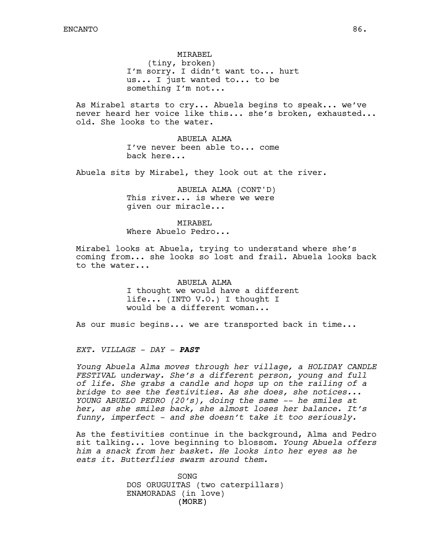MIRABEL (tiny, broken) I'm sorry. I didn't want to... hurt us... I just wanted to... to be something I'm not...

As Mirabel starts to cry... Abuela begins to speak... we've never heard her voice like this... she's broken, exhausted... old. She looks to the water.

> ABUELA ALMA I've never been able to... come back here...

Abuela sits by Mirabel, they look out at the river.

ABUELA ALMA (CONT'D) This river... is where we were given our miracle...

MTRABEL. Where Abuelo Pedro...

Mirabel looks at Abuela, trying to understand where she's coming from... she looks so lost and frail. Abuela looks back to the water...

> ABUELA ALMA I thought we would have a different life... (INTO V.O.) I thought I would be a different woman...

As our music begins... we are transported back in time...

*EXT. VILLAGE - DAY - PAST*

*Young Abuela Alma moves through her village, a HOLIDAY CANDLE FESTIVAL underway. She's a different person, young and full of life. She grabs a candle and hops up on the railing of a bridge to see the festivities. As she does, she notices... YOUNG ABUELO PEDRO (20's), doing the same -- he smiles at her, as she smiles back, she almost loses her balance. It's funny, imperfect - and she doesn't take it too seriously.*

As the festivities continue in the background, Alma and Pedro sit talking... love beginning to blossom. *Young Abuela offers him a snack from her basket. He looks into her eyes as he eats it. Butterflies swarm around them.*

> (MORE) SONG DOS ORUGUITAS (two caterpillars) ENAMORADAS (in love)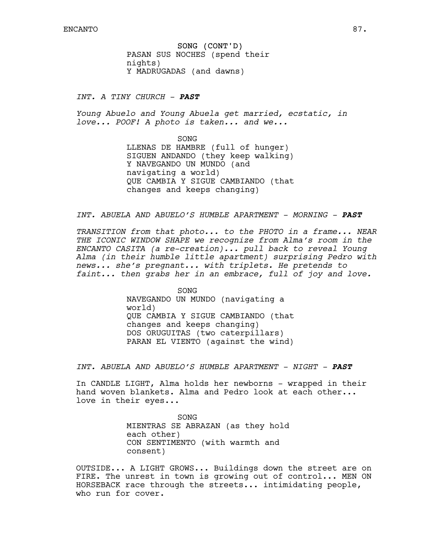SONG (CONT'D) PASAN SUS NOCHES (spend their nights) Y MADRUGADAS (and dawns)

### *INT. A TINY CHURCH - PAST*

*Young Abuelo and Young Abuela get married, ecstatic, in love... POOF! A photo is taken... and we...*

> SONG LLENAS DE HAMBRE (full of hunger) SIGUEN ANDANDO (they keep walking) Y NAVEGANDO UN MUNDO (and navigating a world) QUE CAMBIA Y SIGUE CAMBIANDO (that changes and keeps changing)

## *INT. ABUELA AND ABUELO'S HUMBLE APARTMENT - MORNING - PAST*

*TRANSITION from that photo... to the PHOTO in a frame... NEAR THE ICONIC WINDOW SHAPE we recognize from Alma's room in the ENCANTO CASITA (a re-creation)... pull back to reveal Young Alma (in their humble little apartment) surprising Pedro with news... she's pregnant... with triplets. He pretends to faint... then grabs her in an embrace, full of joy and love.*

> SONG NAVEGANDO UN MUNDO (navigating a world) QUE CAMBIA Y SIGUE CAMBIANDO (that changes and keeps changing) DOS ORUGUITAS (two caterpillars) PARAN EL VIENTO (against the wind)

*INT. ABUELA AND ABUELO'S HUMBLE APARTMENT - NIGHT - PAST*

In CANDLE LIGHT, Alma holds her newborns - wrapped in their hand woven blankets. Alma and Pedro look at each other... love in their eyes...

> SONG MIENTRAS SE ABRAZAN (as they hold each other) CON SENTIMENTO (with warmth and consent)

OUTSIDE... A LIGHT GROWS... Buildings down the street are on FIRE. The unrest in town is growing out of control... MEN ON HORSEBACK race through the streets... intimidating people, who run for cover.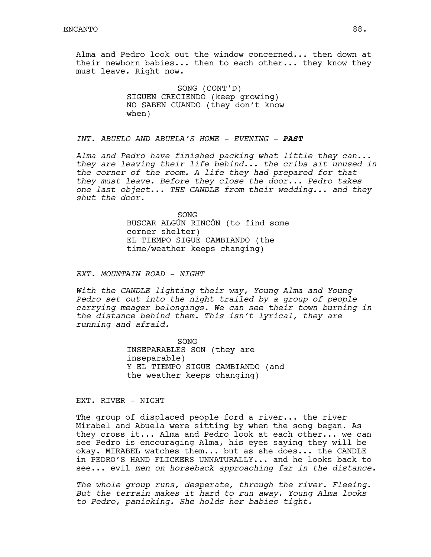Alma and Pedro look out the window concerned... then down at their newborn babies... then to each other... they know they must leave. Right now.

> SONG (CONT'D) SIGUEN CRECIENDO (keep growing) NO SABEN CUANDO (they don't know when)

# *INT. ABUELO AND ABUELA'S HOME - EVENING - PAST*

*Alma and Pedro have finished packing what little they can... they are leaving their life behind... the cribs sit unused in the corner of the room. A life they had prepared for that they must leave. Before they close the door... Pedro takes one last object... THE CANDLE from their wedding... and they shut the door.*

> SONG BUSCAR ALGÚN RINCÓN (to find some corner shelter) EL TIEMPO SIGUE CAMBIANDO (the time/weather keeps changing)

*EXT. MOUNTAIN ROAD - NIGHT*

*With the CANDLE lighting their way, Young Alma and Young Pedro set out into the night trailed by a group of people carrying meager belongings. We can see their town burning in the distance behind them. This isn't lyrical, they are running and afraid.*

> SONG INSEPARABLES SON (they are inseparable) Y EL TIEMPO SIGUE CAMBIANDO (and the weather keeps changing)

EXT. RIVER - NIGHT

The group of displaced people ford a river... the river Mirabel and Abuela were sitting by when the song began. As they cross it... Alma and Pedro look at each other... we can see Pedro is encouraging Alma, his eyes saying they will be okay. MIRABEL watches them... but as she does... the CANDLE in PEDRO'S HAND FLICKERS UNNATURALLY... and he looks back to see... evil *men on horseback approaching far in the distance.* 

*The whole group runs, desperate, through the river. Fleeing. But the terrain makes it hard to run away. Young Alma looks to Pedro, panicking. She holds her babies tight.*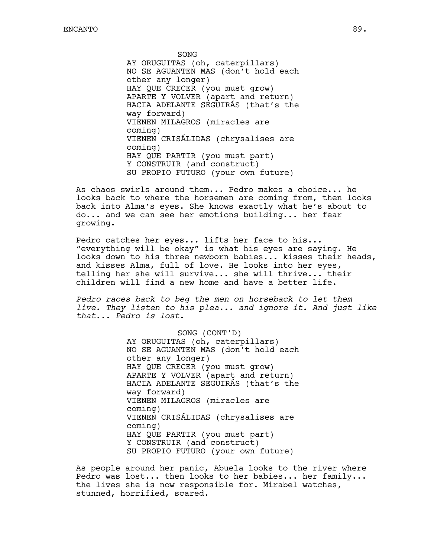SONG AY ORUGUITAS (oh, caterpillars) NO SE AGUANTEN MAS (don't hold each other any longer) HAY QUE CRECER (you must grow) APARTE Y VOLVER (apart and return) HACIA ADELANTE SEGUIRÁS (that's the way forward) VIENEN MILAGROS (miracles are coming) VIENEN CRISÁLIDAS (chrysalises are coming) HAY QUE PARTIR (you must part) Y CONSTRUIR (and construct) SU PROPIO FUTURO (your own future)

As chaos swirls around them... Pedro makes a choice... he looks back to where the horsemen are coming from, then looks back into Alma's eyes. She knows exactly what he's about to do... and we can see her emotions building... her fear growing.

Pedro catches her eyes... lifts her face to his... "everything will be okay" is what his eyes are saying. He looks down to his three newborn babies... kisses their heads, and kisses Alma, full of love. He looks into her eyes, telling her she will survive... she will thrive... their children will find a new home and have a better life.

*Pedro races back to beg the men on horseback to let them live. They listen to his plea... and ignore it. And just like that... Pedro is lost.*

> SONG (CONT'D) AY ORUGUITAS (oh, caterpillars) NO SE AGUANTEN MAS (don't hold each other any longer) HAY QUE CRECER (you must grow) APARTE Y VOLVER (apart and return) HACIA ADELANTE SEGUIRÁS (that's the way forward) VIENEN MILAGROS (miracles are coming) VIENEN CRISÁLIDAS (chrysalises are coming) HAY QUE PARTIR (you must part) Y CONSTRUIR (and construct) SU PROPIO FUTURO (your own future)

As people around her panic, Abuela looks to the river where Pedro was lost... then looks to her babies... her family... the lives she is now responsible for. Mirabel watches, stunned, horrified, scared.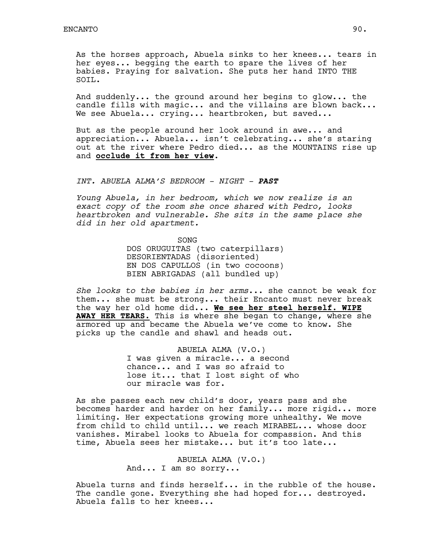As the horses approach, Abuela sinks to her knees... tears in her eyes... begging the earth to spare the lives of her babies. Praying for salvation. She puts her hand INTO THE SOIL.

And suddenly... the ground around her begins to glow... the candle fills with magic... and the villains are blown back... We see Abuela... crying... heartbroken, but saved...

But as the people around her look around in awe... and appreciation... Abuela... isn't celebrating... she's staring out at the river where Pedro died... as the MOUNTAINS rise up and **occlude it from her view**.

*INT. ABUELA ALMA'S BEDROOM - NIGHT - PAST*

*Young Abuela, in her bedroom, which we now realize is an exact copy of the room she once shared with Pedro, looks heartbroken and vulnerable. She sits in the same place she did in her old apartment.*

> SONG DOS ORUGUITAS (two caterpillars) DESORIENTADAS (disoriented) EN DOS CAPULLOS (in two cocoons) BIEN ABRIGADAS (all bundled up)

*She looks to the babies in her arms*... she cannot be weak for them... she must be strong... their Encanto must never break the way her old home did... **We see her steel herself. WIPE AWAY HER TEARS.** This is where she began to change, where she armored up and became the Abuela we've come to know. She picks up the candle and shawl and heads out.

> ABUELA ALMA (V.O.) I was given a miracle... a second chance... and I was so afraid to lose it... that I lost sight of who our miracle was for.

As she passes each new child's door, years pass and she becomes harder and harder on her family... more rigid... more limiting. Her expectations growing more unhealthy. We move from child to child until... we reach MIRABEL... whose door vanishes. Mirabel looks to Abuela for compassion. And this time, Abuela sees her mistake... but it's too late...

> ABUELA ALMA (V.O.) And... I am so sorry...

Abuela turns and finds herself... in the rubble of the house. The candle gone. Everything she had hoped for... destroyed. Abuela falls to her knees...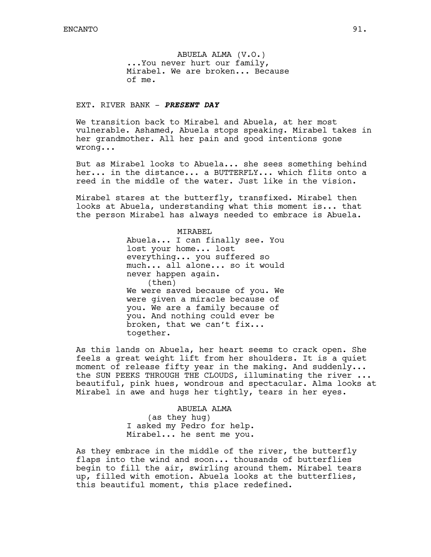ABUELA ALMA (V.O.) ...You never hurt our family, Mirabel. We are broken... Because of me.

#### EXT. RIVER BANK - *PRESENT DAY*

We transition back to Mirabel and Abuela, at her most vulnerable. Ashamed, Abuela stops speaking. Mirabel takes in her grandmother. All her pain and good intentions gone wrong...

But as Mirabel looks to Abuela... she sees something behind her... in the distance... a BUTTERFLY... which flits onto a reed in the middle of the water. Just like in the vision.

Mirabel stares at the butterfly, transfixed. Mirabel then looks at Abuela, understanding what this moment is... that the person Mirabel has always needed to embrace is Abuela.

> MIRABEL Abuela... I can finally see. You lost your home... lost everything... you suffered so much... all alone... so it would never happen again. (then) We were saved because of you. We were given a miracle because of you. We are a family because of you. And nothing could ever be broken, that we can't fix... together.

As this lands on Abuela, her heart seems to crack open. She feels a great weight lift from her shoulders. It is a quiet moment of release fifty year in the making. And suddenly... the SUN PEEKS THROUGH THE CLOUDS, illuminating the river ... beautiful, pink hues, wondrous and spectacular. Alma looks at Mirabel in awe and hugs her tightly, tears in her eyes.

> ABUELA ALMA (as they hug) I asked my Pedro for help. Mirabel... he sent me you.

As they embrace in the middle of the river, the butterfly flaps into the wind and soon... thousands of butterflies begin to fill the air, swirling around them. Mirabel tears up, filled with emotion. Abuela looks at the butterflies, this beautiful moment, this place redefined.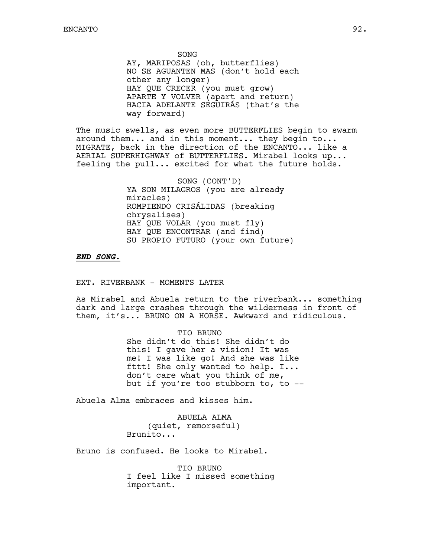SONG AY, MARIPOSAS (oh, butterflies) NO SE AGUANTEN MAS (don't hold each other any longer) HAY QUE CRECER (you must grow) APARTE Y VOLVER (apart and return) HACIA ADELANTE SEGUIRÁS (that's the way forward)

The music swells, as even more BUTTERFLIES begin to swarm around them... and in this moment... they begin to... MIGRATE, back in the direction of the ENCANTO... like a AERIAL SUPERHIGHWAY of BUTTERFLIES. Mirabel looks up... feeling the pull... excited for what the future holds.

> SONG (CONT'D) YA SON MILAGROS (you are already miracles) ROMPIENDO CRISÁLIDAS (breaking chrysalises) HAY QUE VOLAR (you must fly) HAY QUE ENCONTRAR (and find) SU PROPIO FUTURO (your own future)

#### *END SONG.*

EXT. RIVERBANK - MOMENTS LATER

As Mirabel and Abuela return to the riverbank... something dark and large crashes through the wilderness in front of them, it's... BRUNO ON A HORSE. Awkward and ridiculous.

> TIO BRUNO She didn't do this! She didn't do this! I gave her a vision! It was me! I was like go! And she was like fttt! She only wanted to help. I... don't care what you think of me, but if you're too stubborn to, to --

Abuela Alma embraces and kisses him.

ABUELA ALMA (quiet, remorseful) Brunito...

Bruno is confused. He looks to Mirabel.

TIO BRUNO I feel like I missed something important.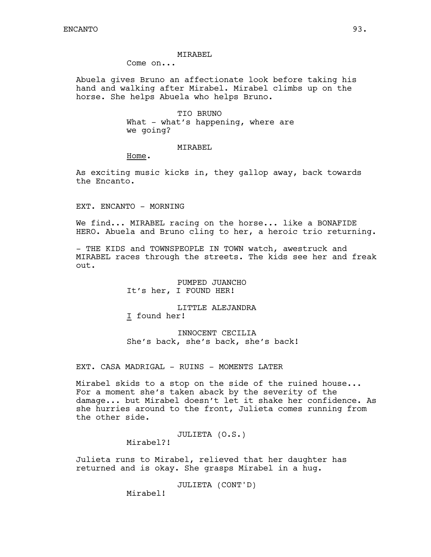### MIRABEL

Come on...

Abuela gives Bruno an affectionate look before taking his hand and walking after Mirabel. Mirabel climbs up on the horse. She helps Abuela who helps Bruno.

> TIO BRUNO What - what's happening, where are we going?

> > MIRABEL

Home.

As exciting music kicks in, they gallop away, back towards the Encanto.

EXT. ENCANTO - MORNING

We find... MIRABEL racing on the horse... like a BONAFIDE HERO. Abuela and Bruno cling to her, a heroic trio returning.

- THE KIDS and TOWNSPEOPLE IN TOWN watch, awestruck and MIRABEL races through the streets. The kids see her and freak out.

> PUMPED JUANCHO It's her, I FOUND HER!

LITTLE ALEJANDRA I found her!

INNOCENT CECILIA She's back, she's back, she's back!

EXT. CASA MADRIGAL - RUINS - MOMENTS LATER

Mirabel skids to a stop on the side of the ruined house... For a moment she's taken aback by the severity of the damage... but Mirabel doesn't let it shake her confidence. As she hurries around to the front, Julieta comes running from the other side.

JULIETA (O.S.)

Mirabel?!

Julieta runs to Mirabel, relieved that her daughter has returned and is okay. She grasps Mirabel in a hug.

JULIETA (CONT'D)

Mirabel!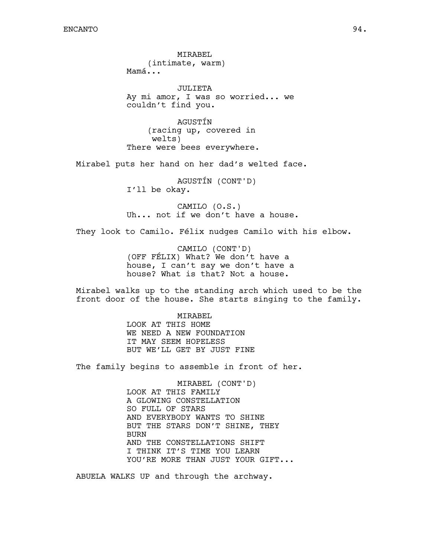MIRABEL (intimate, warm) Mamá...

JULIETA Ay mi amor, I was so worried... we couldn't find you.

AGUSTÍN (racing up, covered in welts) There were bees everywhere.

Mirabel puts her hand on her dad's welted face.

AGUSTÍN (CONT'D) I'll be okay.

CAMILO (O.S.) Uh... not if we don't have a house.

They look to Camilo. Félix nudges Camilo with his elbow.

CAMILO (CONT'D) (OFF FÉLIX) What? We don't have a house, I can't say we don't have a house? What is that? Not a house.

Mirabel walks up to the standing arch which used to be the front door of the house. She starts singing to the family.

> MTRABEL. LOOK AT THIS HOME WE NEED A NEW FOUNDATION IT MAY SEEM HOPELESS BUT WE'LL GET BY JUST FINE

The family begins to assemble in front of her.

MIRABEL (CONT'D) LOOK AT THIS FAMILY A GLOWING CONSTELLATION SO FULL OF STARS AND EVERYBODY WANTS TO SHINE BUT THE STARS DON'T SHINE, THEY BURN AND THE CONSTELLATIONS SHIFT I THINK IT'S TIME YOU LEARN YOU'RE MORE THAN JUST YOUR GIFT...

ABUELA WALKS UP and through the archway.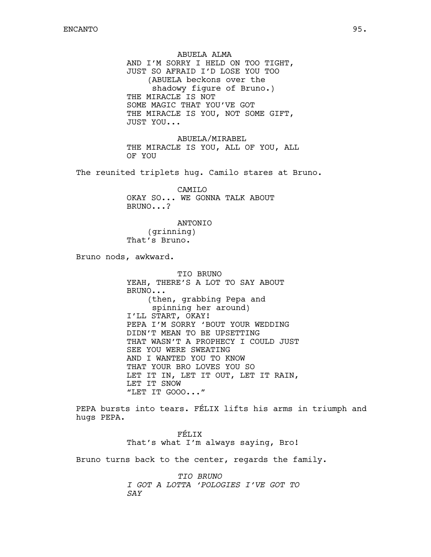ABUELA ALMA AND I'M SORRY I HELD ON TOO TIGHT, JUST SO AFRAID I'D LOSE YOU TOO (ABUELA beckons over the shadowy figure of Bruno.) THE MIRACLE IS NOT SOME MAGIC THAT YOU'VE GOT THE MIRACLE IS YOU, NOT SOME GIFT, JUST YOU...

ABUELA/MIRABEL THE MIRACLE IS YOU, ALL OF YOU, ALL OF YOU

The reunited triplets hug. Camilo stares at Bruno.

CAMILO OKAY SO... WE GONNA TALK ABOUT BRUNO...?

ANTONIO (grinning) That's Bruno.

Bruno nods, awkward.

TIO BRUNO YEAH, THERE'S A LOT TO SAY ABOUT BRUNO... (then, grabbing Pepa and spinning her around) I'LL START, OKAY! PEPA I'M SORRY 'BOUT YOUR WEDDING DIDN'T MEAN TO BE UPSETTING THAT WASN'T A PROPHECY I COULD JUST SEE YOU WERE SWEATING AND I WANTED YOU TO KNOW THAT YOUR BRO LOVES YOU SO LET IT IN, LET IT OUT, LET IT RAIN, LET IT SNOW "LET IT GOOO..."

PEPA bursts into tears. FÉLIX lifts his arms in triumph and hugs PEPA.

> FÉLIX That's what I'm always saying, Bro!

Bruno turns back to the center, regards the family.

*TIO BRUNO I GOT A LOTTA 'POLOGIES I'VE GOT TO SAY*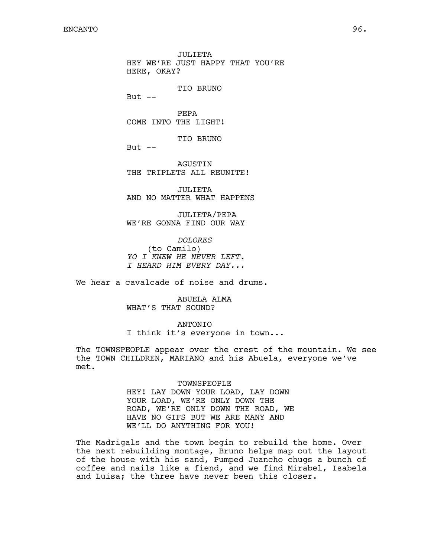JULIETA HEY WE'RE JUST HAPPY THAT YOU'RE HERE, OKAY?

TIO BRUNO

But  $--$ 

PEPA COME INTO THE LIGHT!

TIO BRUNO

But  $--$ 

AGUSTIN THE TRIPLETS ALL REUNITE!

JULIETA AND NO MATTER WHAT HAPPENS

JULIETA/PEPA WE'RE GONNA FIND OUR WAY

*DOLORES* (to Camilo) *YO I KNEW HE NEVER LEFT. I HEARD HIM EVERY DAY...*

We hear a cavalcade of noise and drums.

ABUELA ALMA WHAT'S THAT SOUND?

# ANTONIO

I think it's everyone in town...

The TOWNSPEOPLE appear over the crest of the mountain. We see the TOWN CHILDREN, MARIANO and his Abuela, everyone we've met.

# TOWNSPEOPLE

HEY! LAY DOWN YOUR LOAD, LAY DOWN YOUR LOAD, WE'RE ONLY DOWN THE ROAD, WE'RE ONLY DOWN THE ROAD, WE HAVE NO GIFS BUT WE ARE MANY AND WE'LL DO ANYTHING FOR YOU!

The Madrigals and the town begin to rebuild the home. Over the next rebuilding montage, Bruno helps map out the layout of the house with his sand, Pumped Juancho chugs a bunch of coffee and nails like a fiend, and we find Mirabel, Isabela and Luisa; the three have never been this closer.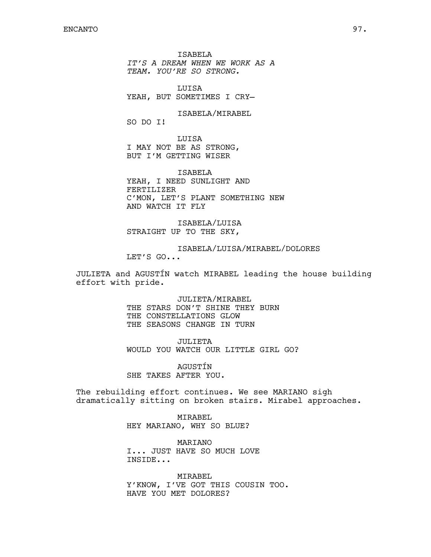**TSABELA** *IT'S A DREAM WHEN WE WORK AS A TEAM. YOU'RE SO STRONG.*

LUISA YEAH, BUT SOMETIMES I CRY—

ISABELA/MIRABEL

SO DO I!

LUISA I MAY NOT BE AS STRONG, BUT I'M GETTING WISER

ISABELA YEAH, I NEED SUNLIGHT AND FERTILIZER C'MON, LET'S PLANT SOMETHING NEW AND WATCH IT FLY

ISABELA/LUISA STRAIGHT UP TO THE SKY,

ISABELA/LUISA/MIRABEL/DOLORES LET'S GO...

JULIETA and AGUSTÍN watch MIRABEL leading the house building effort with pride.

> JULIETA/MIRABEL THE STARS DON'T SHINE THEY BURN THE CONSTELLATIONS GLOW THE SEASONS CHANGE IN TURN

JULIETA WOULD YOU WATCH OUR LITTLE GIRL GO?

AGUSTÍN SHE TAKES AFTER YOU.

The rebuilding effort continues. We see MARIANO sigh dramatically sitting on broken stairs. Mirabel approaches.

> MIRABEL HEY MARIANO, WHY SO BLUE?

MARIANO I... JUST HAVE SO MUCH LOVE INSIDE...

MIRABEL Y'KNOW, I'VE GOT THIS COUSIN TOO. HAVE YOU MET DOLORES?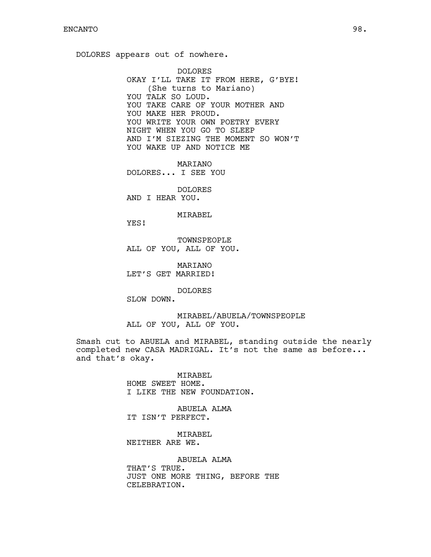DOLORES appears out of nowhere.

DOLORES OKAY I'LL TAKE IT FROM HERE, G'BYE! (She turns to Mariano) YOU TALK SO LOUD. YOU TAKE CARE OF YOUR MOTHER AND YOU MAKE HER PROUD. YOU WRITE YOUR OWN POETRY EVERY NIGHT WHEN YOU GO TO SLEEP AND I'M SIEZING THE MOMENT SO WON'T YOU WAKE UP AND NOTICE ME

MARIANO DOLORES... I SEE YOU

DOLORES AND I HEAR YOU.

MIRABEL

YES!

TOWNSPEOPLE ALL OF YOU, ALL OF YOU.

MARIANO LET'S GET MARRIED!

DOLORES

SLOW DOWN.

MIRABEL/ABUELA/TOWNSPEOPLE ALL OF YOU, ALL OF YOU.

Smash cut to ABUELA and MIRABEL, standing outside the nearly completed new CASA MADRIGAL. It's not the same as before... and that's okay.

> MIRABEL HOME SWEET HOME. I LIKE THE NEW FOUNDATION.

ABUELA ALMA IT ISN'T PERFECT.

MIRABEL NEITHER ARE WE.

ABUELA ALMA THAT'S TRUE. JUST ONE MORE THING, BEFORE THE CELEBRATION.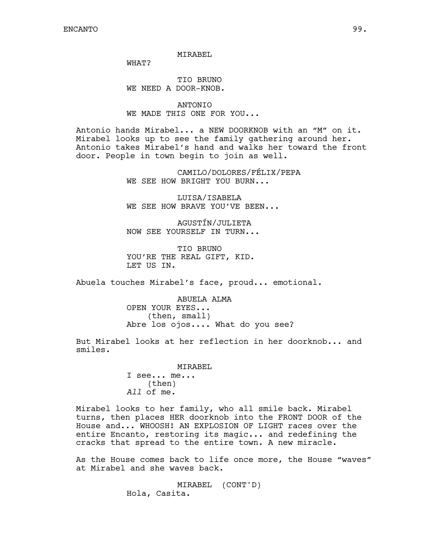## MIRABEL

WHAT?

TIO BRUNO WE NEED A DOOR-KNOB.

ANTONIO WE MADE THIS ONE FOR YOU...

Antonio hands Mirabel... a NEW DOORKNOB with an "M" on it. Mirabel looks up to see the family gathering around her. Antonio takes Mirabel's hand and walks her toward the front door. People in town begin to join as well.

> CAMILO/DOLORES/FÉLIX/PEPA WE SEE HOW BRIGHT YOU BURN...

LUISA/ISABELA WE SEE HOW BRAVE YOU'VE BEEN...

AGUSTÍN/JULIETA NOW SEE YOURSELF IN TURN...

TIO BRUNO YOU'RE THE REAL GIFT, KID. LET US IN.

Abuela touches Mirabel's face, proud... emotional.

ABUELA ALMA OPEN YOUR EYES... (then, small) Abre los ojos.... What do you see?

But Mirabel looks at her reflection in her doorknob... and smiles.

> MIRABEL I see... me... (then) *All* of me.

Mirabel looks to her family, who all smile back. Mirabel turns, then places HER doorknob into the FRONT DOOR of the House and... WHOOSH! AN EXPLOSION OF LIGHT races over the entire Encanto, restoring its magic... and redefining the cracks that spread to the entire town. A new miracle.

As the House comes back to life once more, the House "waves" at Mirabel and she waves back.

> MIRABEL (CONT'D) Hola, Casita.